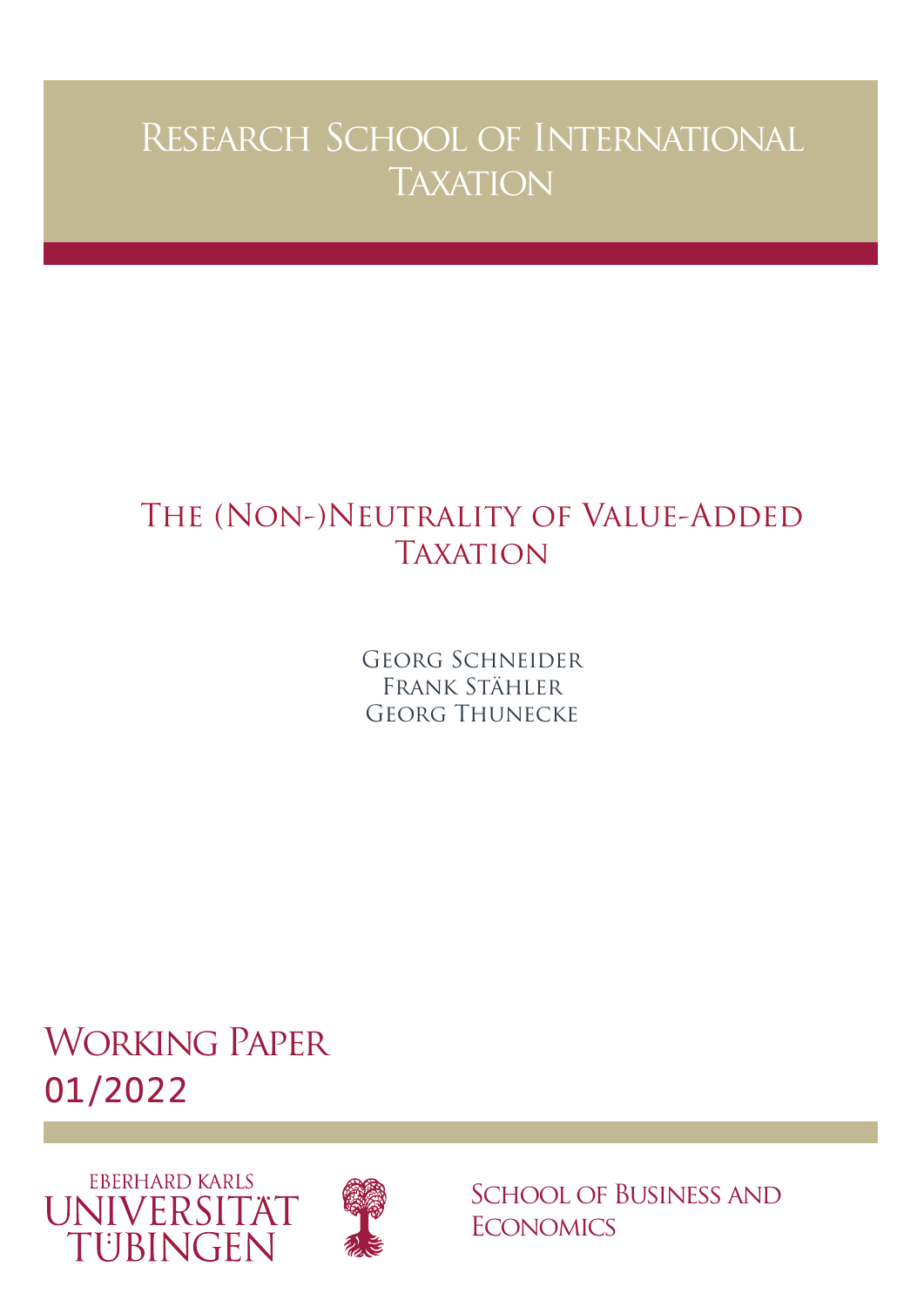# Research School of International **TAXATION**

# THE (NON-)NEUTRALITY OF VALUE-ADDED **TAXATION**

Georg Schneider Frank Stähler Georg Thunecke

Working Paper 01/2022





School of Business and **ECONOMICS**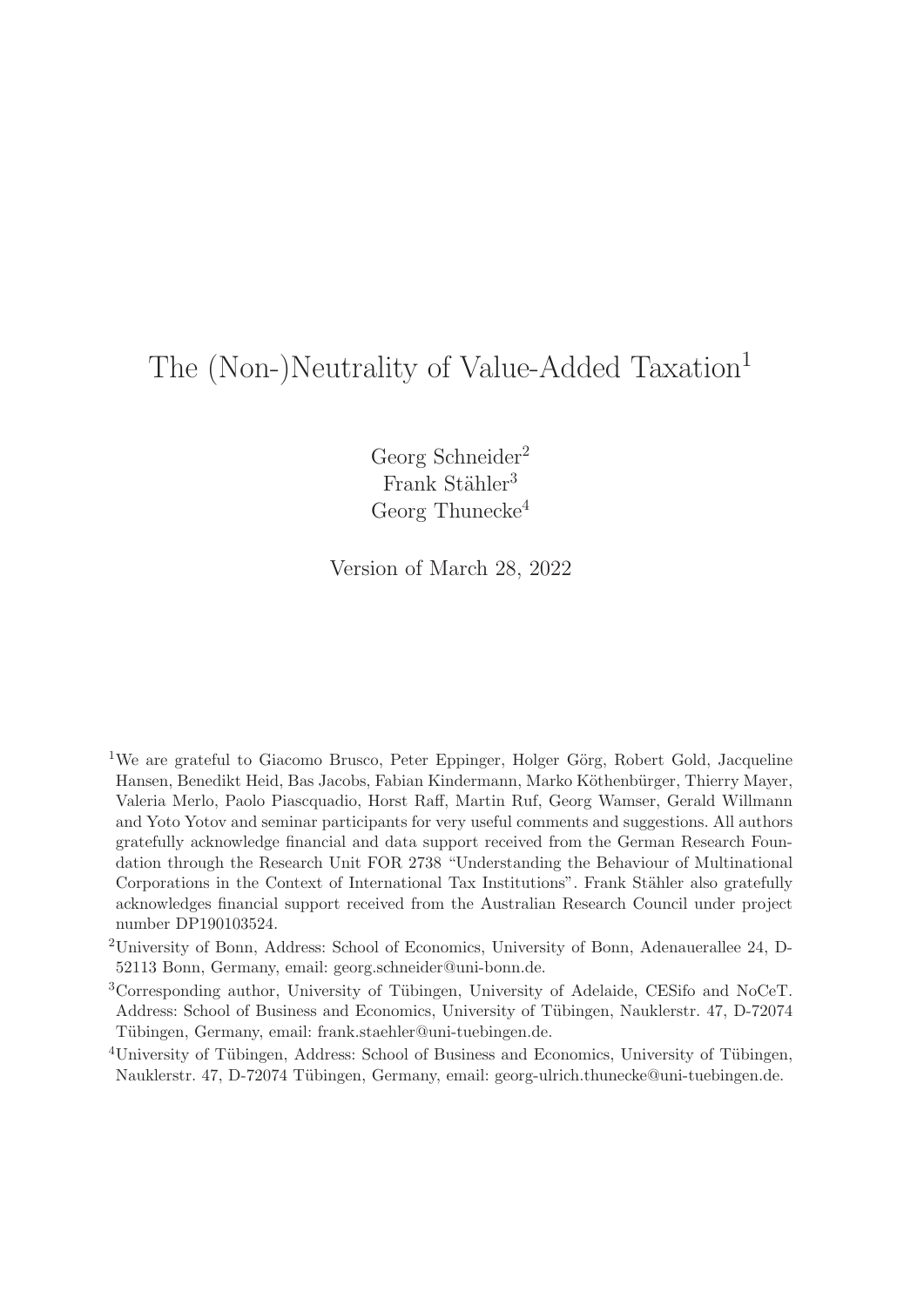## The (Non-)Neutrality of Value-Added Taxation<sup>1</sup>

Georg Schneider<sup>2</sup> Frank Stähler<sup>3</sup> Georg Thunecke<sup>4</sup>

Version of March 28, 2022

- <sup>1</sup>We are grateful to Giacomo Brusco, Peter Eppinger, Holger Görg, Robert Gold, Jacqueline Hansen, Benedikt Heid, Bas Jacobs, Fabian Kindermann, Marko Köthenbürger, Thierry Mayer, Valeria Merlo, Paolo Piascquadio, Horst Raff, Martin Ruf, Georg Wamser, Gerald Willmann and Yoto Yotov and seminar participants for very useful comments and suggestions. All authors gratefully acknowledge financial and data support received from the German Research Foundation through the Research Unit FOR 2738 "Understanding the Behaviour of Multinational Corporations in the Context of International Tax Institutions". Frank Stähler also gratefully acknowledges financial support received from the Australian Research Council under project number DP190103524.
- <sup>2</sup>University of Bonn, Address: School of Economics, University of Bonn, Adenauerallee 24, D-52113 Bonn, Germany, email: georg.schneider@uni-bonn.de.
- <sup>3</sup>Corresponding author, University of Tübingen, University of Adelaide, CESifo and NoCeT. Address: School of Business and Economics, University of Tübingen, Nauklerstr. 47, D-72074 Tübingen, Germany, email: frank.staehler@uni-tuebingen.de.
- <sup>4</sup>University of Tübingen, Address: School of Business and Economics, University of Tübingen, Nauklerstr. 47, D-72074 Tübingen, Germany, email: georg-ulrich.thunecke@uni-tuebingen.de.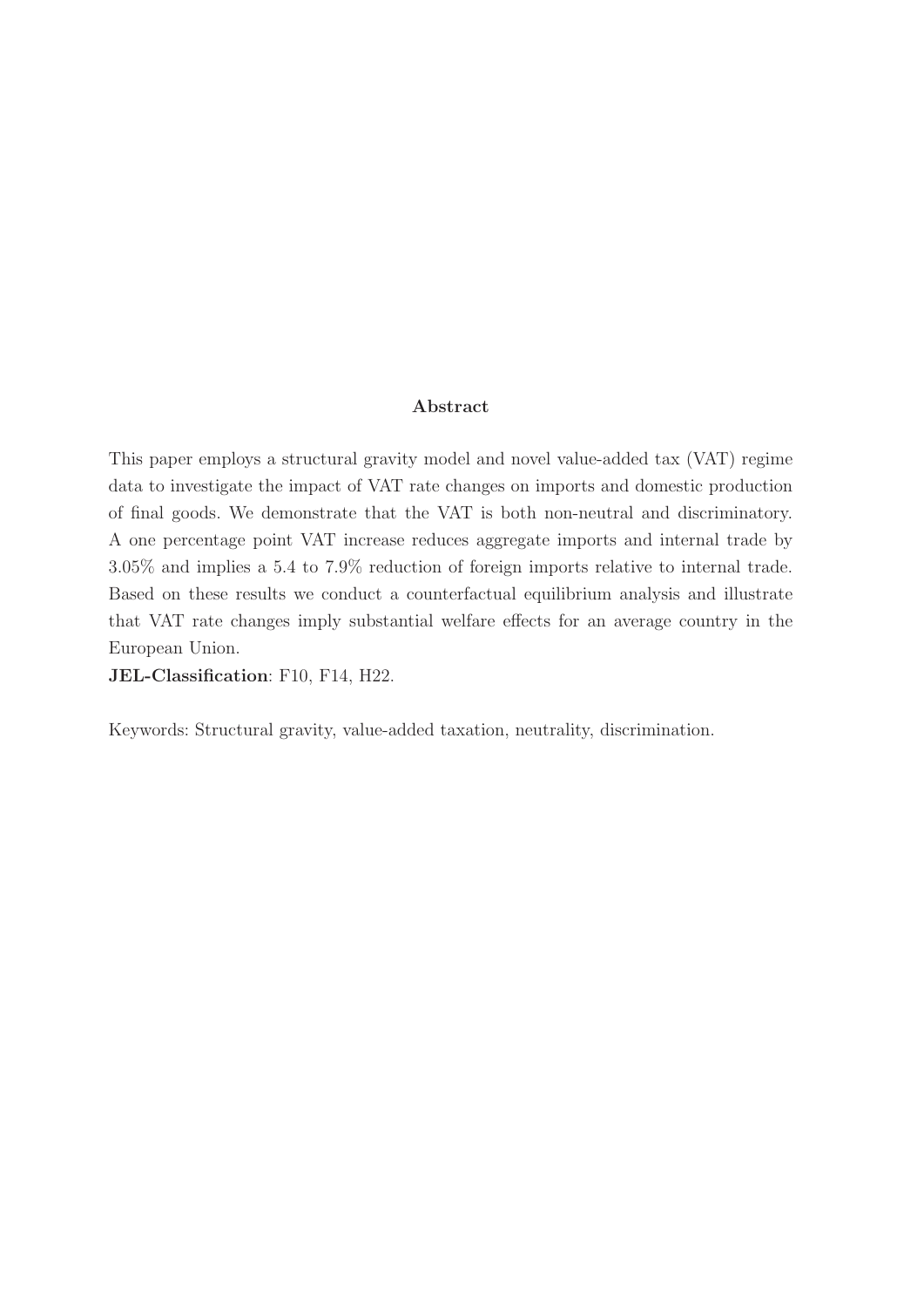#### **Abstract**

This paper employs a structural gravity model and novel value-added tax (VAT) regime data to investigate the impact of VAT rate changes on imports and domestic production of final goods. We demonstrate that the VAT is both non-neutral and discriminatory. A one percentage point VAT increase reduces aggregate imports and internal trade by 3.05% and implies a 5.4 to 7.9% reduction of foreign imports relative to internal trade. Based on these results we conduct a counterfactual equilibrium analysis and illustrate that VAT rate changes imply substantial welfare effects for an average country in the European Union.

**JEL-Classification**: F10, F14, H22.

Keywords: Structural gravity, value-added taxation, neutrality, discrimination.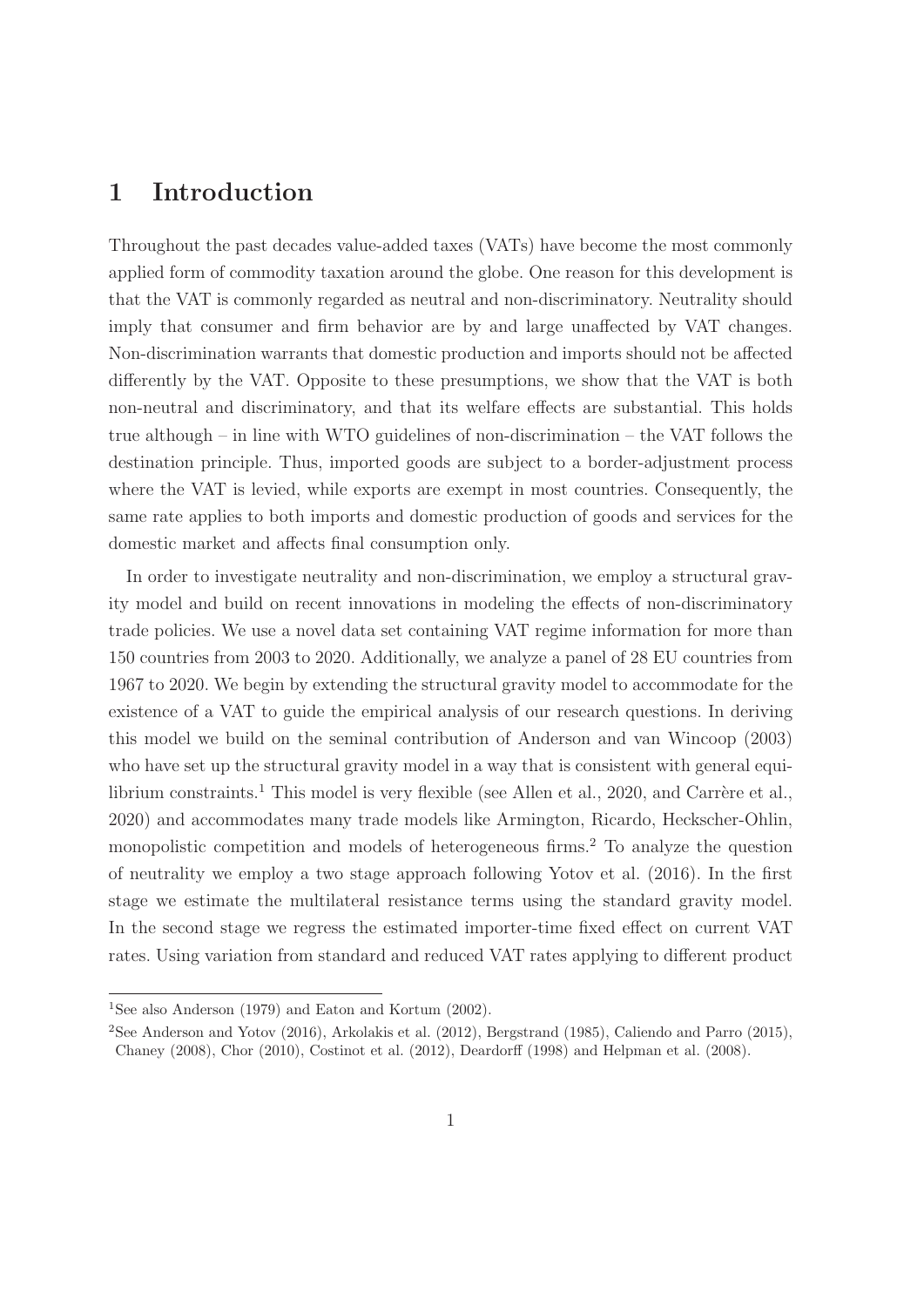## **1 Introduction**

Throughout the past decades value-added taxes (VATs) have become the most commonly applied form of commodity taxation around the globe. One reason for this development is that the VAT is commonly regarded as neutral and non-discriminatory. Neutrality should imply that consumer and firm behavior are by and large unaffected by VAT changes. Non-discrimination warrants that domestic production and imports should not be affected differently by the VAT. Opposite to these presumptions, we show that the VAT is both non-neutral and discriminatory, and that its welfare effects are substantial. This holds true although – in line with WTO guidelines of non-discrimination – the VAT follows the destination principle. Thus, imported goods are subject to a border-adjustment process where the VAT is levied, while exports are exempt in most countries. Consequently, the same rate applies to both imports and domestic production of goods and services for the domestic market and affects final consumption only.

In order to investigate neutrality and non-discrimination, we employ a structural gravity model and build on recent innovations in modeling the effects of non-discriminatory trade policies. We use a novel data set containing VAT regime information for more than 150 countries from 2003 to 2020. Additionally, we analyze a panel of 28 EU countries from 1967 to 2020. We begin by extending the structural gravity model to accommodate for the existence of a VAT to guide the empirical analysis of our research questions. In deriving this model we build on the seminal contribution of Anderson and van Wincoop (2003) who have set up the structural gravity model in a way that is consistent with general equilibrium constraints.<sup>1</sup> This model is very flexible (see Allen et al., 2020, and Carrère et al., 2020) and accommodates many trade models like Armington, Ricardo, Heckscher-Ohlin, monopolistic competition and models of heterogeneous firms.<sup>2</sup> To analyze the question of neutrality we employ a two stage approach following Yotov et al. (2016). In the first stage we estimate the multilateral resistance terms using the standard gravity model. In the second stage we regress the estimated importer-time fixed effect on current VAT rates. Using variation from standard and reduced VAT rates applying to different product

<sup>&</sup>lt;sup>1</sup>See also Anderson (1979) and Eaton and Kortum (2002).

<sup>2</sup>See Anderson and Yotov (2016), Arkolakis et al. (2012), Bergstrand (1985), Caliendo and Parro (2015), Chaney (2008), Chor (2010), Costinot et al. (2012), Deardorff (1998) and Helpman et al. (2008).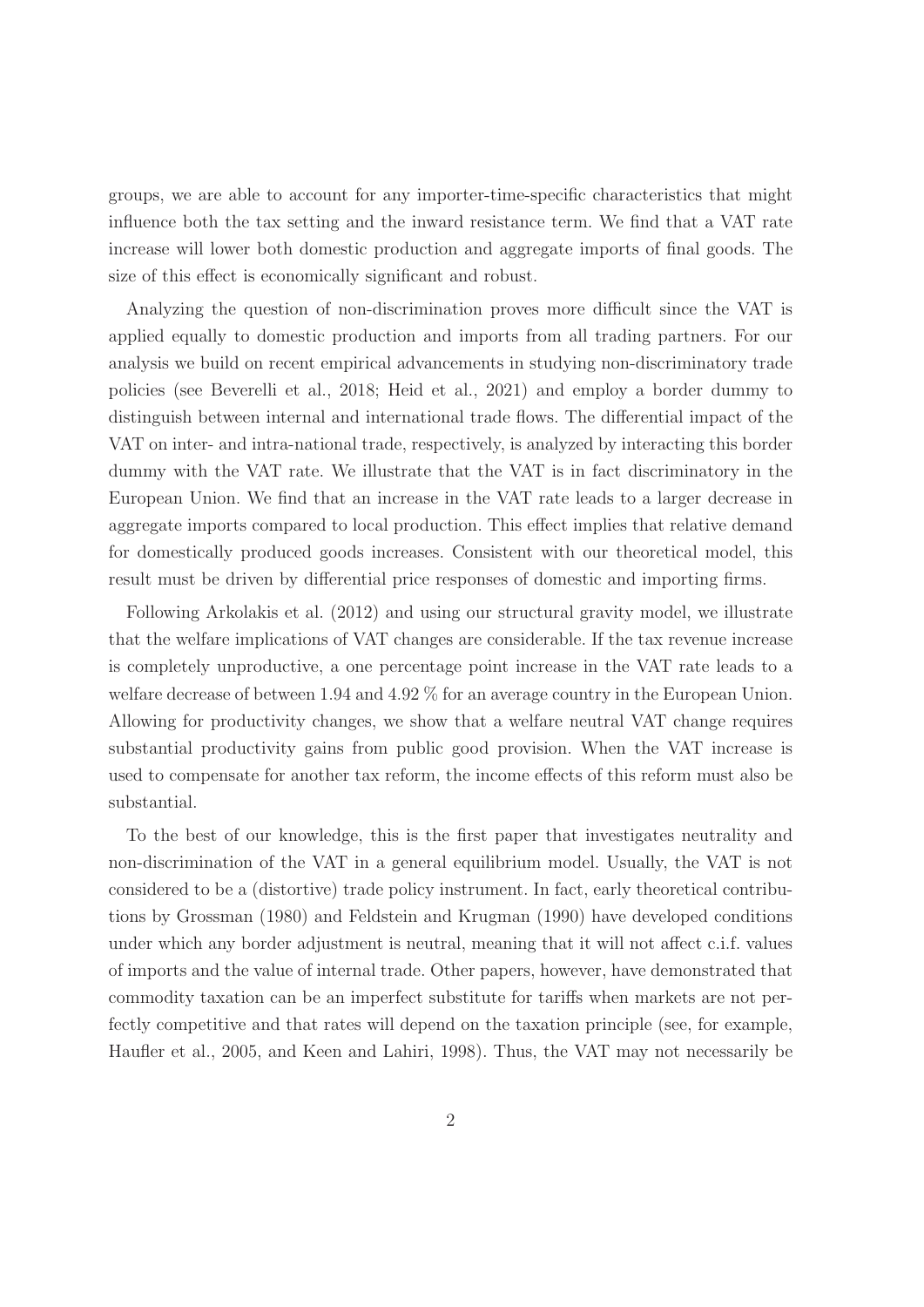groups, we are able to account for any importer-time-specific characteristics that might influence both the tax setting and the inward resistance term. We find that a VAT rate increase will lower both domestic production and aggregate imports of final goods. The size of this effect is economically significant and robust.

Analyzing the question of non-discrimination proves more difficult since the VAT is applied equally to domestic production and imports from all trading partners. For our analysis we build on recent empirical advancements in studying non-discriminatory trade policies (see Beverelli et al., 2018; Heid et al., 2021) and employ a border dummy to distinguish between internal and international trade flows. The differential impact of the VAT on inter- and intra-national trade, respectively, is analyzed by interacting this border dummy with the VAT rate. We illustrate that the VAT is in fact discriminatory in the European Union. We find that an increase in the VAT rate leads to a larger decrease in aggregate imports compared to local production. This effect implies that relative demand for domestically produced goods increases. Consistent with our theoretical model, this result must be driven by differential price responses of domestic and importing firms.

Following Arkolakis et al. (2012) and using our structural gravity model, we illustrate that the welfare implications of VAT changes are considerable. If the tax revenue increase is completely unproductive, a one percentage point increase in the VAT rate leads to a welfare decrease of between 1.94 and 4.92 % for an average country in the European Union. Allowing for productivity changes, we show that a welfare neutral VAT change requires substantial productivity gains from public good provision. When the VAT increase is used to compensate for another tax reform, the income effects of this reform must also be substantial.

To the best of our knowledge, this is the first paper that investigates neutrality and non-discrimination of the VAT in a general equilibrium model. Usually, the VAT is not considered to be a (distortive) trade policy instrument. In fact, early theoretical contributions by Grossman (1980) and Feldstein and Krugman (1990) have developed conditions under which any border adjustment is neutral, meaning that it will not affect c.i.f. values of imports and the value of internal trade. Other papers, however, have demonstrated that commodity taxation can be an imperfect substitute for tariffs when markets are not perfectly competitive and that rates will depend on the taxation principle (see, for example, Haufler et al., 2005, and Keen and Lahiri, 1998). Thus, the VAT may not necessarily be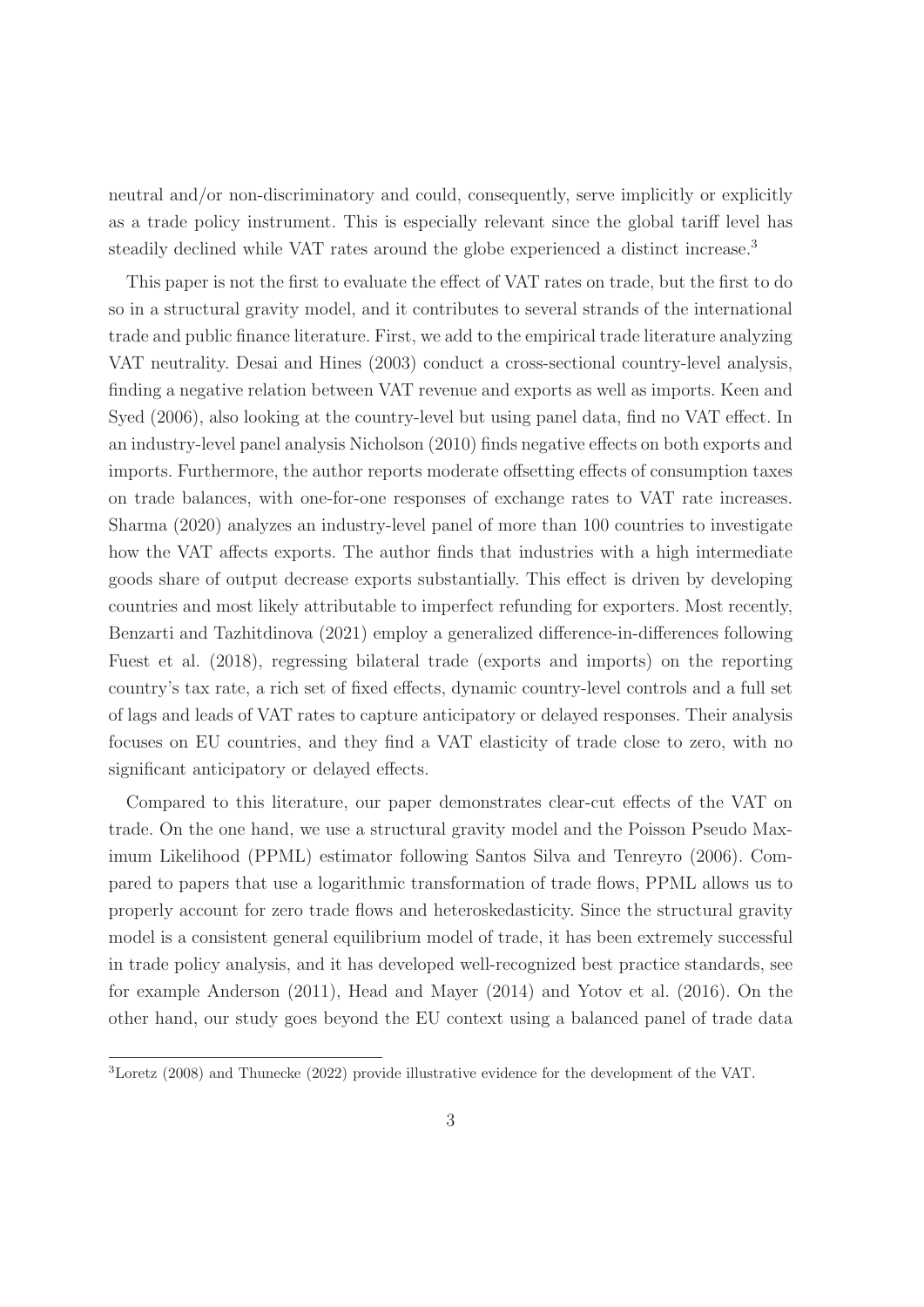neutral and/or non-discriminatory and could, consequently, serve implicitly or explicitly as a trade policy instrument. This is especially relevant since the global tariff level has steadily declined while VAT rates around the globe experienced a distinct increase.<sup>3</sup>

This paper is not the first to evaluate the effect of VAT rates on trade, but the first to do so in a structural gravity model, and it contributes to several strands of the international trade and public finance literature. First, we add to the empirical trade literature analyzing VAT neutrality. Desai and Hines (2003) conduct a cross-sectional country-level analysis, finding a negative relation between VAT revenue and exports as well as imports. Keen and Syed (2006), also looking at the country-level but using panel data, find no VAT effect. In an industry-level panel analysis Nicholson (2010) finds negative effects on both exports and imports. Furthermore, the author reports moderate offsetting effects of consumption taxes on trade balances, with one-for-one responses of exchange rates to VAT rate increases. Sharma (2020) analyzes an industry-level panel of more than 100 countries to investigate how the VAT affects exports. The author finds that industries with a high intermediate goods share of output decrease exports substantially. This effect is driven by developing countries and most likely attributable to imperfect refunding for exporters. Most recently, Benzarti and Tazhitdinova (2021) employ a generalized difference-in-differences following Fuest et al. (2018), regressing bilateral trade (exports and imports) on the reporting country's tax rate, a rich set of fixed effects, dynamic country-level controls and a full set of lags and leads of VAT rates to capture anticipatory or delayed responses. Their analysis focuses on EU countries, and they find a VAT elasticity of trade close to zero, with no significant anticipatory or delayed effects.

Compared to this literature, our paper demonstrates clear-cut effects of the VAT on trade. On the one hand, we use a structural gravity model and the Poisson Pseudo Maximum Likelihood (PPML) estimator following Santos Silva and Tenreyro (2006). Compared to papers that use a logarithmic transformation of trade flows, PPML allows us to properly account for zero trade flows and heteroskedasticity. Since the structural gravity model is a consistent general equilibrium model of trade, it has been extremely successful in trade policy analysis, and it has developed well-recognized best practice standards, see for example Anderson (2011), Head and Mayer (2014) and Yotov et al. (2016). On the other hand, our study goes beyond the EU context using a balanced panel of trade data

<sup>3</sup>Loretz (2008) and Thunecke (2022) provide illustrative evidence for the development of the VAT.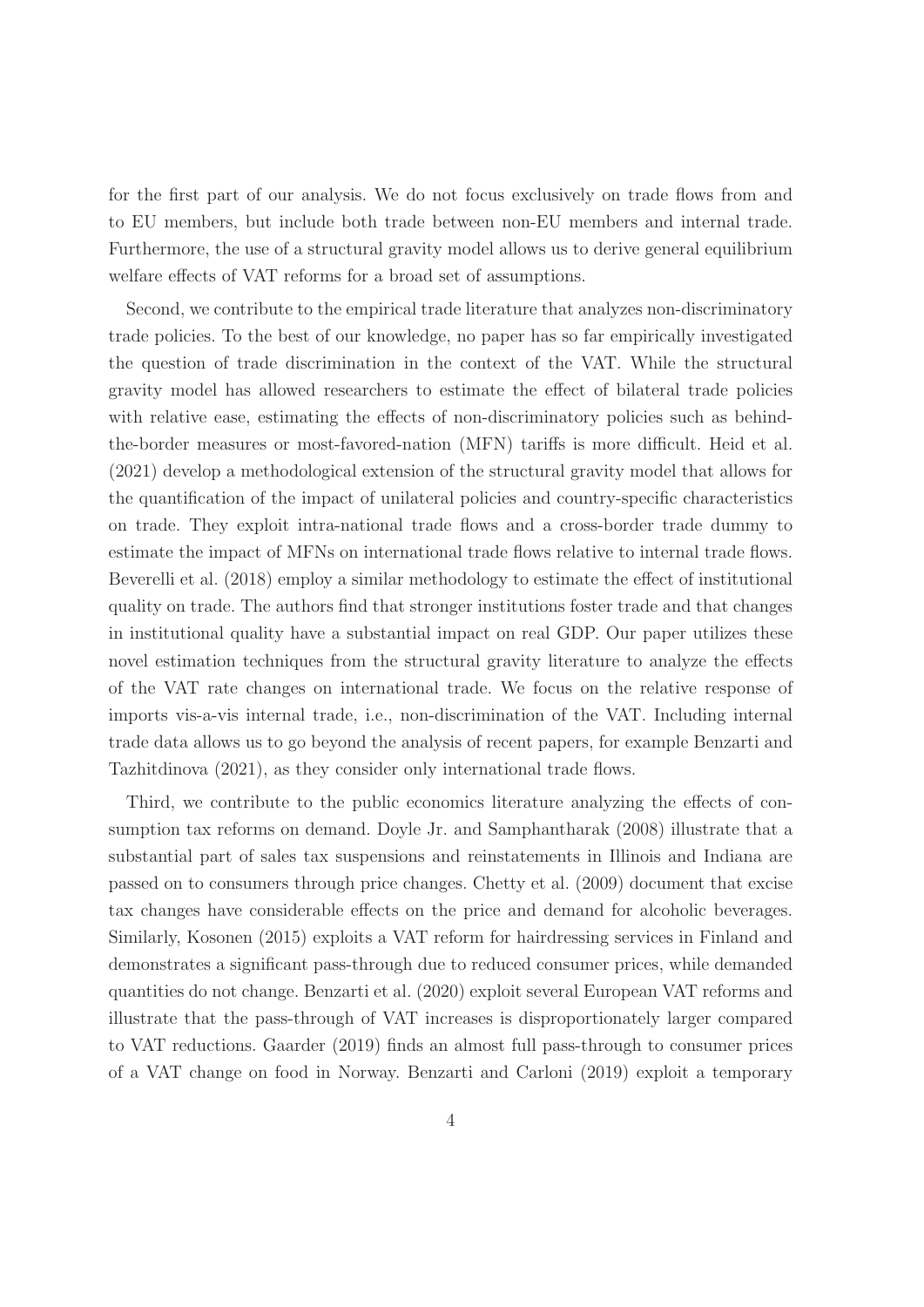for the first part of our analysis. We do not focus exclusively on trade flows from and to EU members, but include both trade between non-EU members and internal trade. Furthermore, the use of a structural gravity model allows us to derive general equilibrium welfare effects of VAT reforms for a broad set of assumptions.

Second, we contribute to the empirical trade literature that analyzes non-discriminatory trade policies. To the best of our knowledge, no paper has so far empirically investigated the question of trade discrimination in the context of the VAT. While the structural gravity model has allowed researchers to estimate the effect of bilateral trade policies with relative ease, estimating the effects of non-discriminatory policies such as behindthe-border measures or most-favored-nation (MFN) tariffs is more difficult. Heid et al. (2021) develop a methodological extension of the structural gravity model that allows for the quantification of the impact of unilateral policies and country-specific characteristics on trade. They exploit intra-national trade flows and a cross-border trade dummy to estimate the impact of MFNs on international trade flows relative to internal trade flows. Beverelli et al. (2018) employ a similar methodology to estimate the effect of institutional quality on trade. The authors find that stronger institutions foster trade and that changes in institutional quality have a substantial impact on real GDP. Our paper utilizes these novel estimation techniques from the structural gravity literature to analyze the effects of the VAT rate changes on international trade. We focus on the relative response of imports vis-a-vis internal trade, i.e., non-discrimination of the VAT. Including internal trade data allows us to go beyond the analysis of recent papers, for example Benzarti and Tazhitdinova (2021), as they consider only international trade flows.

Third, we contribute to the public economics literature analyzing the effects of consumption tax reforms on demand. Doyle Jr. and Samphantharak (2008) illustrate that a substantial part of sales tax suspensions and reinstatements in Illinois and Indiana are passed on to consumers through price changes. Chetty et al. (2009) document that excise tax changes have considerable effects on the price and demand for alcoholic beverages. Similarly, Kosonen (2015) exploits a VAT reform for hairdressing services in Finland and demonstrates a significant pass-through due to reduced consumer prices, while demanded quantities do not change. Benzarti et al. (2020) exploit several European VAT reforms and illustrate that the pass-through of VAT increases is disproportionately larger compared to VAT reductions. Gaarder (2019) finds an almost full pass-through to consumer prices of a VAT change on food in Norway. Benzarti and Carloni (2019) exploit a temporary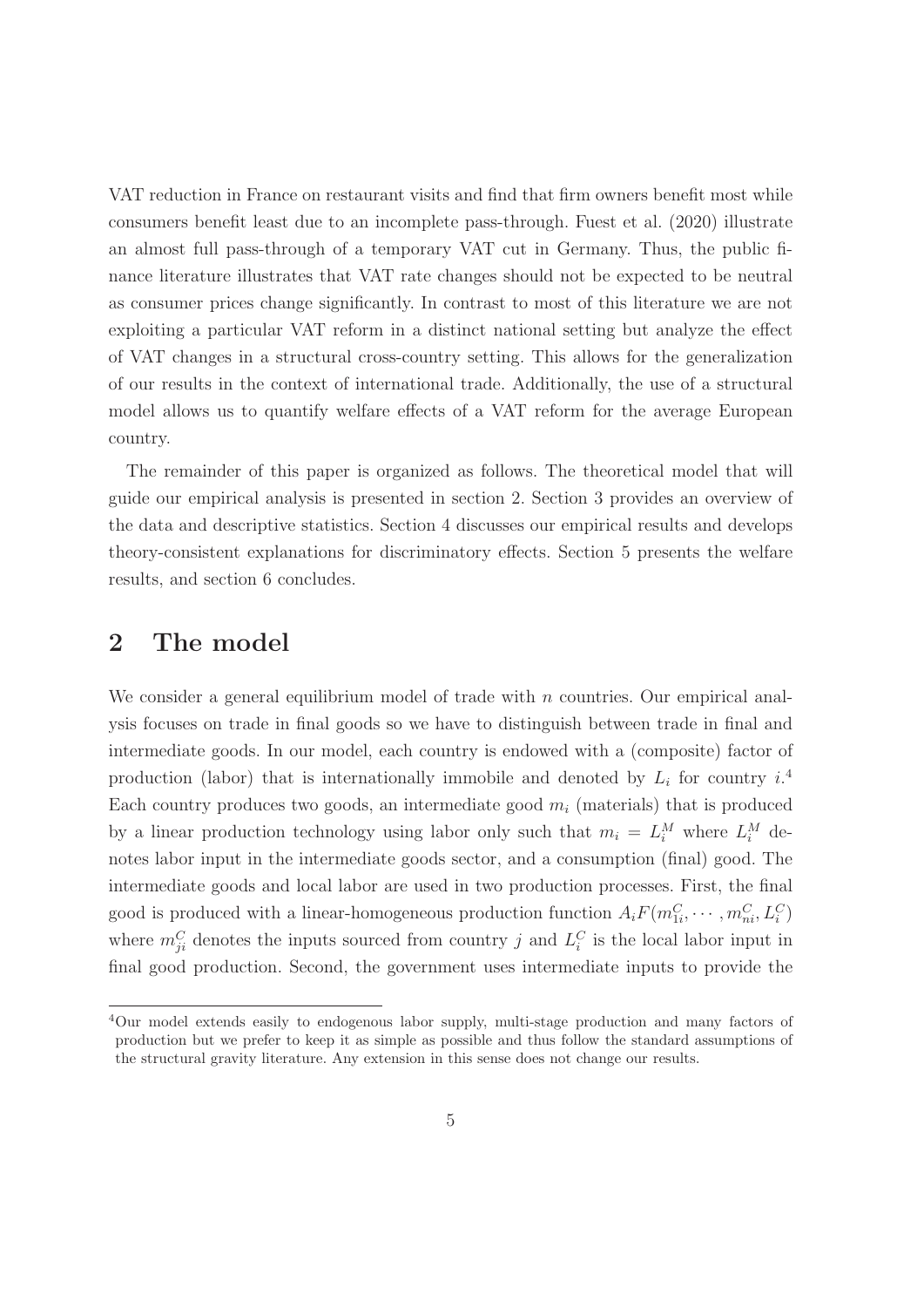VAT reduction in France on restaurant visits and find that firm owners benefit most while consumers benefit least due to an incomplete pass-through. Fuest et al. (2020) illustrate an almost full pass-through of a temporary VAT cut in Germany. Thus, the public finance literature illustrates that VAT rate changes should not be expected to be neutral as consumer prices change significantly. In contrast to most of this literature we are not exploiting a particular VAT reform in a distinct national setting but analyze the effect of VAT changes in a structural cross-country setting. This allows for the generalization of our results in the context of international trade. Additionally, the use of a structural model allows us to quantify welfare effects of a VAT reform for the average European country.

The remainder of this paper is organized as follows. The theoretical model that will guide our empirical analysis is presented in section 2. Section 3 provides an overview of the data and descriptive statistics. Section 4 discusses our empirical results and develops theory-consistent explanations for discriminatory effects. Section 5 presents the welfare results, and section 6 concludes.

## **2 The model**

We consider a general equilibrium model of trade with  $n$  countries. Our empirical analysis focuses on trade in final goods so we have to distinguish between trade in final and intermediate goods. In our model, each country is endowed with a (composite) factor of production (labor) that is internationally immobile and denoted by  $L_i$  for country  $i^4$ Each country produces two goods, an intermediate good  $m_i$  (materials) that is produced by a linear production technology using labor only such that  $m_i = L_i^M$  where  $L_i^M$  denotes labor input in the intermediate goods sector, and a consumption (final) good. The intermediate goods and local labor are used in two production processes. First, the final good is produced with a linear-homogeneous production function  $A_i F(m_{1i}^C, \dots, m_{ni}^C, L_i^C)$ where  $m_{ii}^C$  denotes the inputs sourced from country j and  $L_i^C$  is the local labor input in final good production. Second, the government uses intermediate inputs to provide the

<sup>4</sup>Our model extends easily to endogenous labor supply, multi-stage production and many factors of production but we prefer to keep it as simple as possible and thus follow the standard assumptions of the structural gravity literature. Any extension in this sense does not change our results.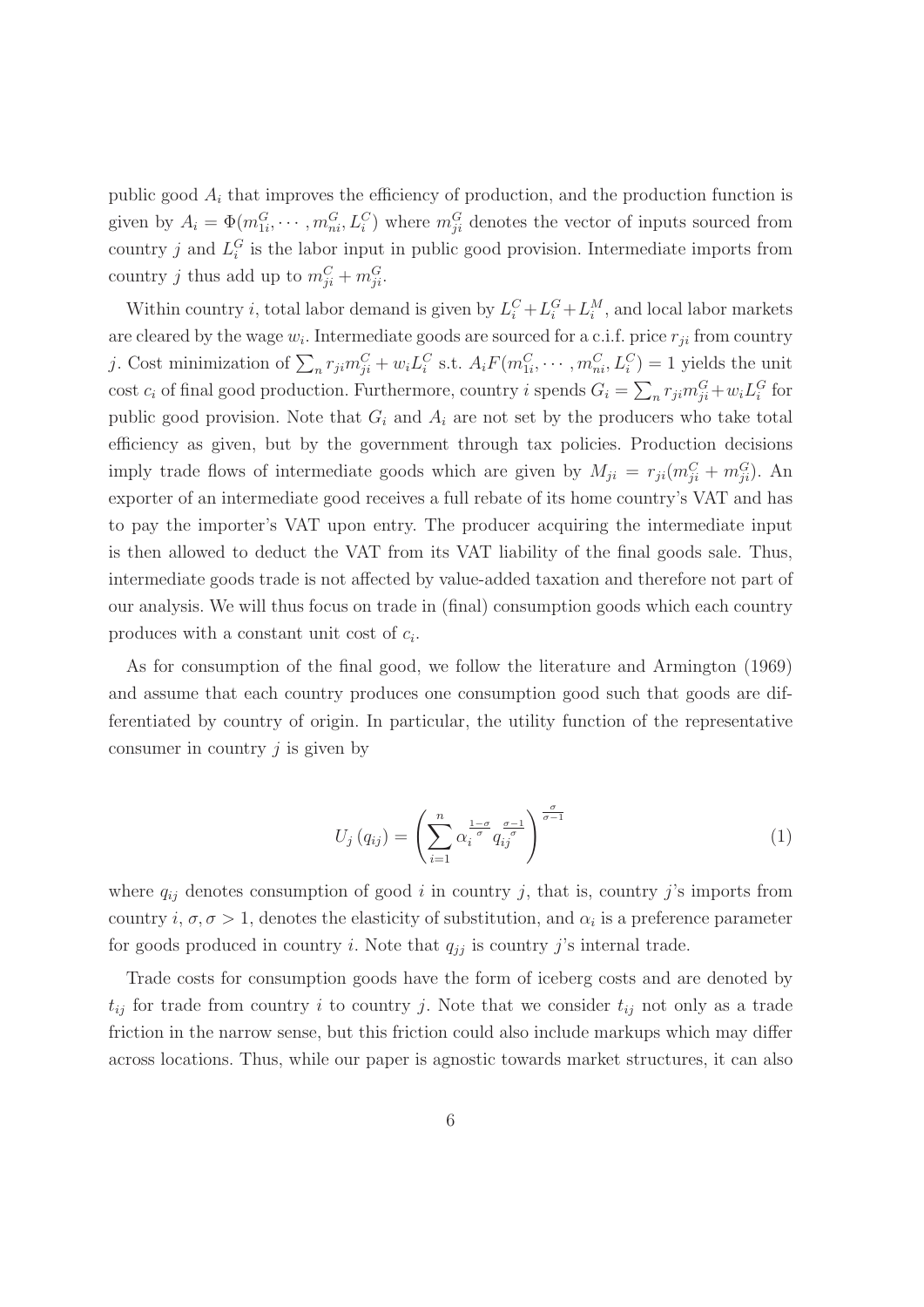public good  $A_i$  that improves the efficiency of production, and the production function is given by  $A_i = \Phi(m_{1i}^G, \dots, m_{ni}^G, L_i^C)$  where  $m_{ji}^G$  denotes the vector of inputs sourced from country j and  $L_i^G$  is the labor input in public good provision. Intermediate imports from country j thus add up to  $m_{ii}^C + m_{ii}^G$ .

Within country *i*, total labor demand is given by  $L_i^C + L_i^G + L_i^M$ , and local labor markets are cleared by the wage  $w_i$ . Intermediate goods are sourced for a c.i.f. price  $r_{ji}$  from country j. Cost minimization of  $\sum_n r_{ji} m_{ji}^C + w_i L_i^C$  s.t.  $A_i F(m_{1i}^C, \dots, m_{ni}^C, L_i^C) = 1$  yields the unit cost  $c_i$  of final good production. Furthermore, country i spends  $G_i = \sum_n r_{ji} m_{ji}^G + w_i L_i^G$  for public good provision. Note that  $G_i$  and  $A_i$  are not set by the producers who take total efficiency as given, but by the government through tax policies. Production decisions imply trade flows of intermediate goods which are given by  $M_{ji} = r_{ji}(m_{ji}^C + m_{ji}^G)$ . An exporter of an intermediate good receives a full rebate of its home country's VAT and has to pay the importer's VAT upon entry. The producer acquiring the intermediate input is then allowed to deduct the VAT from its VAT liability of the final goods sale. Thus, intermediate goods trade is not affected by value-added taxation and therefore not part of our analysis. We will thus focus on trade in (final) consumption goods which each country produces with a constant unit cost of  $c_i$ .

As for consumption of the final good, we follow the literature and Armington (1969) and assume that each country produces one consumption good such that goods are differentiated by country of origin. In particular, the utility function of the representative consumer in country  $j$  is given by

$$
U_j(q_{ij}) = \left(\sum_{i=1}^n \alpha_i^{\frac{1-\sigma}{\sigma}} q_{ij}^{\frac{\sigma-1}{\sigma}}\right)^{\frac{\sigma}{\sigma-1}}
$$
\n(1)

where  $q_{ij}$  denotes consumption of good i in country j, that is, country j's imports from country i,  $\sigma$ ,  $\sigma > 1$ , denotes the elasticity of substitution, and  $\alpha_i$  is a preference parameter for goods produced in country i. Note that  $q_{ij}$  is country j's internal trade.

Trade costs for consumption goods have the form of iceberg costs and are denoted by  $t_{ij}$  for trade from country i to country j. Note that we consider  $t_{ij}$  not only as a trade friction in the narrow sense, but this friction could also include markups which may differ across locations. Thus, while our paper is agnostic towards market structures, it can also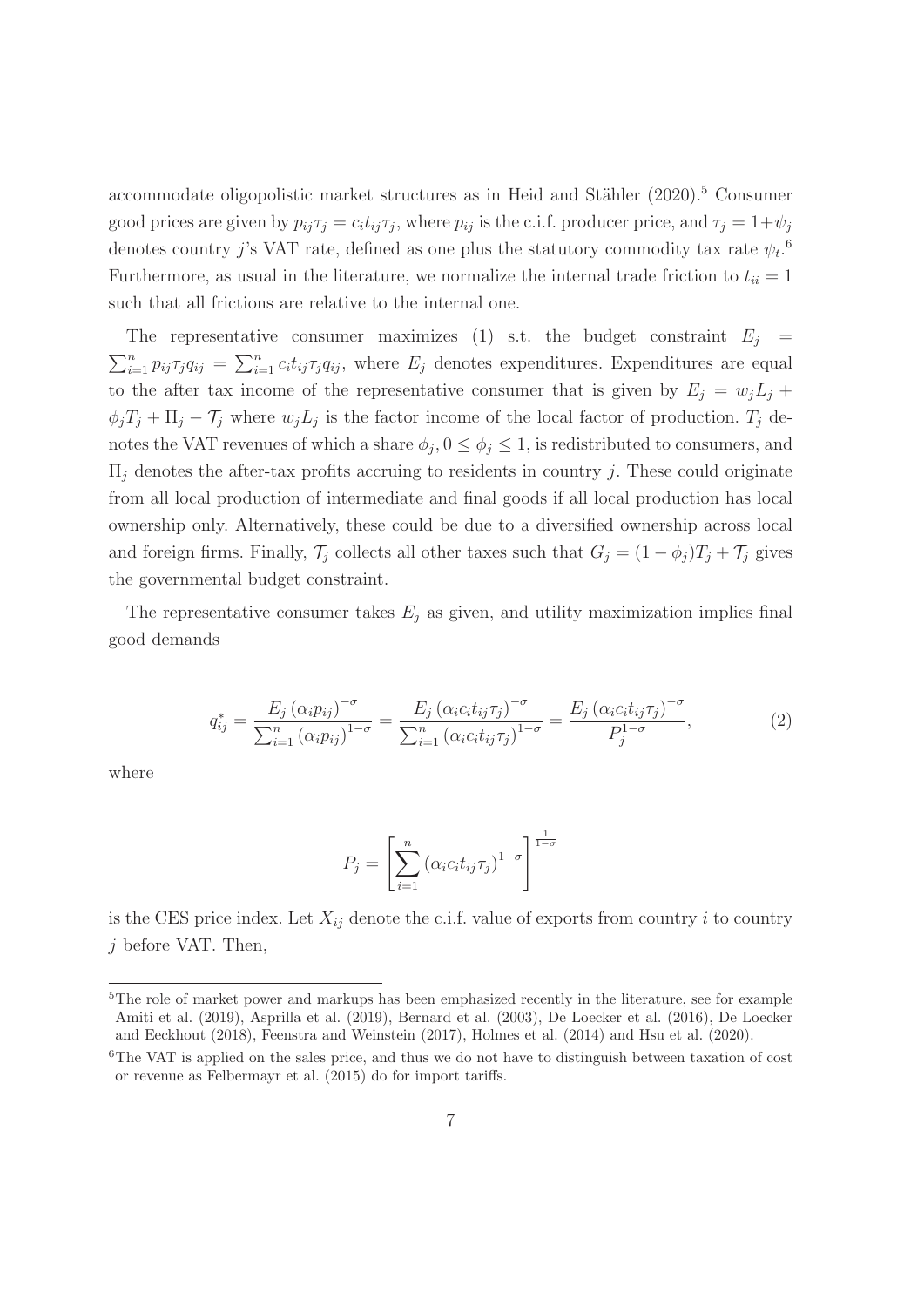accommodate oligopolistic market structures as in Heid and Stähler  $(2020).<sup>5</sup>$  Consumer good prices are given by  $p_{ij}\tau_j = c_i t_{ij}\tau_j$ , where  $p_{ij}$  is the c.i.f. producer price, and  $\tau_j = 1 + \psi_j$ denotes country j's VAT rate, defined as one plus the statutory commodity tax rate  $\psi_t$ .<sup>6</sup> Furthermore, as usual in the literature, we normalize the internal trade friction to  $t_{ii} = 1$ such that all frictions are relative to the internal one.

The representative consumer maximizes (1) s.t. the budget constraint  $E_j =$  $\sum_{i=1}^n p_{ij} \tau_j q_{ij} = \sum_{i=1}^n c_i t_{ij} \tau_j q_{ij}$ , where  $E_j$  denotes expenditures. Expenditures are equal to the after tax income of the representative consumer that is given by  $E_j = w_j L_j +$  $\phi_j T_j + \Pi_j - T_j$  where  $w_j L_j$  is the factor income of the local factor of production.  $T_j$  denotes the VAT revenues of which a share  $\phi_j$ ,  $0 \le \phi_j \le 1$ , is redistributed to consumers, and  $\Pi_i$  denotes the after-tax profits accruing to residents in country j. These could originate from all local production of intermediate and final goods if all local production has local ownership only. Alternatively, these could be due to a diversified ownership across local and foreign firms. Finally,  $\mathcal{T}_j$  collects all other taxes such that  $G_j = (1 - \phi_j)T_j + \mathcal{T}_j$  gives the governmental budget constraint.

The representative consumer takes  $E_i$  as given, and utility maximization implies final good demands

$$
q_{ij}^{*} = \frac{E_j (\alpha_i p_{ij})^{-\sigma}}{\sum_{i=1}^n (\alpha_i p_{ij})^{1-\sigma}} = \frac{E_j (\alpha_i c_i t_{ij} \tau_j)^{-\sigma}}{\sum_{i=1}^n (\alpha_i c_i t_{ij} \tau_j)^{1-\sigma}} = \frac{E_j (\alpha_i c_i t_{ij} \tau_j)^{-\sigma}}{P_j^{1-\sigma}},
$$
(2)

where

$$
P_j = \left[\sum_{i=1}^n \left(\alpha_i c_i t_{ij} \tau_j\right)^{1-\sigma}\right]^{\frac{1}{1-\sigma}}
$$

is the CES price index. Let  $X_{ij}$  denote the c.i.f. value of exports from country i to country j before VAT. Then,

<sup>&</sup>lt;sup>5</sup>The role of market power and markups has been emphasized recently in the literature, see for example Amiti et al. (2019), Asprilla et al. (2019), Bernard et al. (2003), De Loecker et al. (2016), De Loecker and Eeckhout (2018), Feenstra and Weinstein (2017), Holmes et al. (2014) and Hsu et al. (2020).

<sup>&</sup>lt;sup>6</sup>The VAT is applied on the sales price, and thus we do not have to distinguish between taxation of cost or revenue as Felbermayr et al. (2015) do for import tariffs.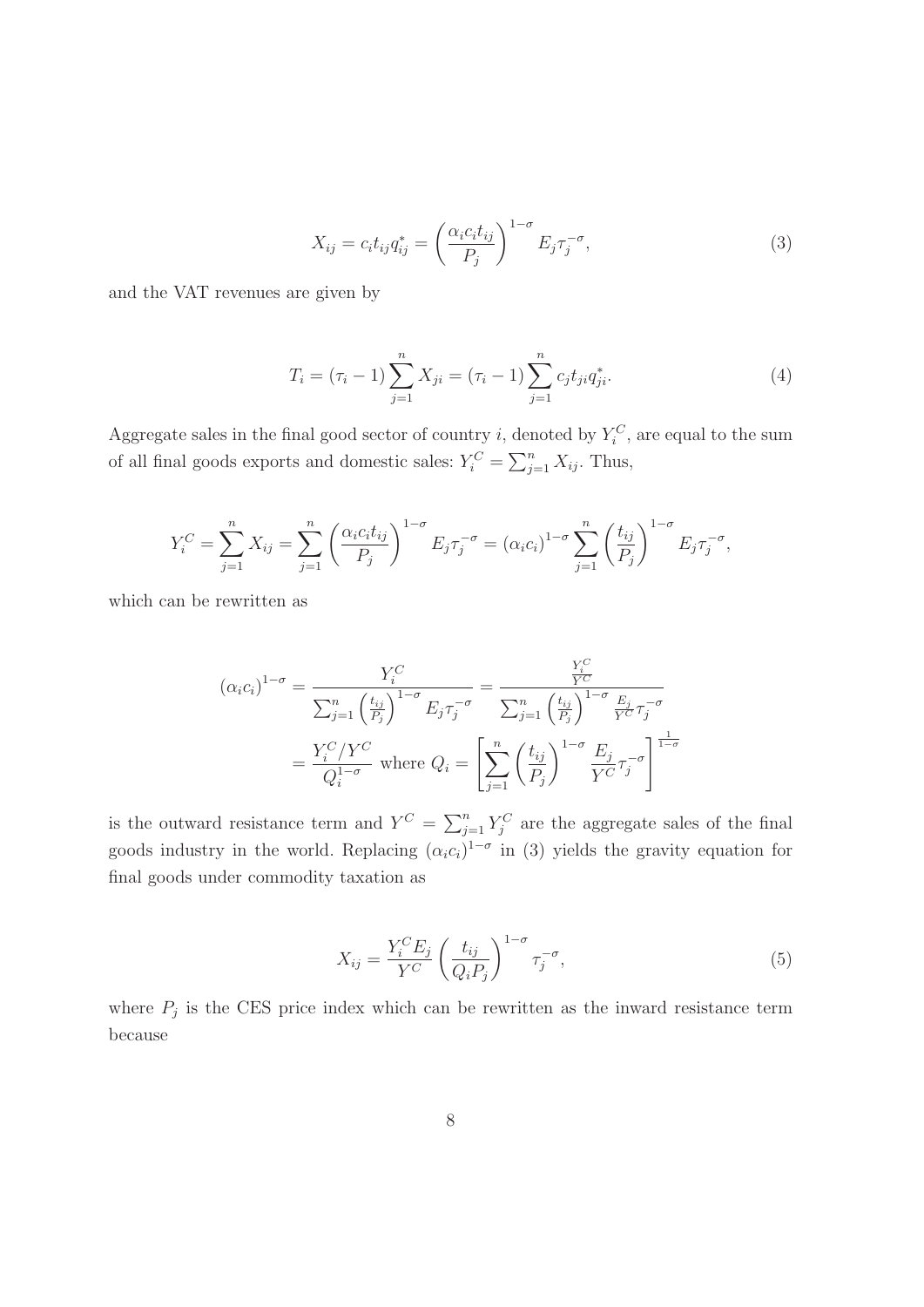$$
X_{ij} = c_i t_{ij} q_{ij}^* = \left(\frac{\alpha_i c_i t_{ij}}{P_j}\right)^{1-\sigma} E_j \tau_j^{-\sigma},\tag{3}
$$

and the VAT revenues are given by

$$
T_i = (\tau_i - 1) \sum_{j=1}^n X_{ji} = (\tau_i - 1) \sum_{j=1}^n c_j t_{ji} q_{ji}^*.
$$
 (4)

Aggregate sales in the final good sector of country i, denoted by  $Y_i^C$ , are equal to the sum of all final goods exports and domestic sales:  $Y_i^C = \sum_{j=1}^n X_{ij}$ . Thus,

$$
Y_i^C = \sum_{j=1}^n X_{ij} = \sum_{j=1}^n \left( \frac{\alpha_i c_i t_{ij}}{P_j} \right)^{1-\sigma} E_j \tau_j^{-\sigma} = (\alpha_i c_i)^{1-\sigma} \sum_{j=1}^n \left( \frac{t_{ij}}{P_j} \right)^{1-\sigma} E_j \tau_j^{-\sigma},
$$

which can be rewritten as

$$
(\alpha_i c_i)^{1-\sigma} = \frac{Y_i^C}{\sum_{j=1}^n \left(\frac{t_{ij}}{P_j}\right)^{1-\sigma} E_j \tau_j^{-\sigma}} = \frac{\frac{Y_i^C}{Y^C}}{\sum_{j=1}^n \left(\frac{t_{ij}}{P_j}\right)^{1-\sigma} \frac{E_j}{Y^C} \tau_j^{-\sigma}}
$$

$$
= \frac{Y_i^C/Y^C}{Q_i^{1-\sigma}} \text{ where } Q_i = \left[\sum_{j=1}^n \left(\frac{t_{ij}}{P_j}\right)^{1-\sigma} \frac{E_j}{Y^C} \tau_j^{-\sigma}\right]^{\frac{1}{1-\sigma}}
$$

is the outward resistance term and  $Y^C = \sum_{j=1}^n Y_j^C$  are the aggregate sales of the final goods industry in the world. Replacing  $(\alpha_i c_i)^{1-\sigma}$  in (3) yields the gravity equation for final goods under commodity taxation as

$$
X_{ij} = \frac{Y_i^C E_j}{Y^C} \left(\frac{t_{ij}}{Q_i P_j}\right)^{1-\sigma} \tau_j^{-\sigma},\tag{5}
$$

where  $P_j$  is the CES price index which can be rewritten as the inward resistance term because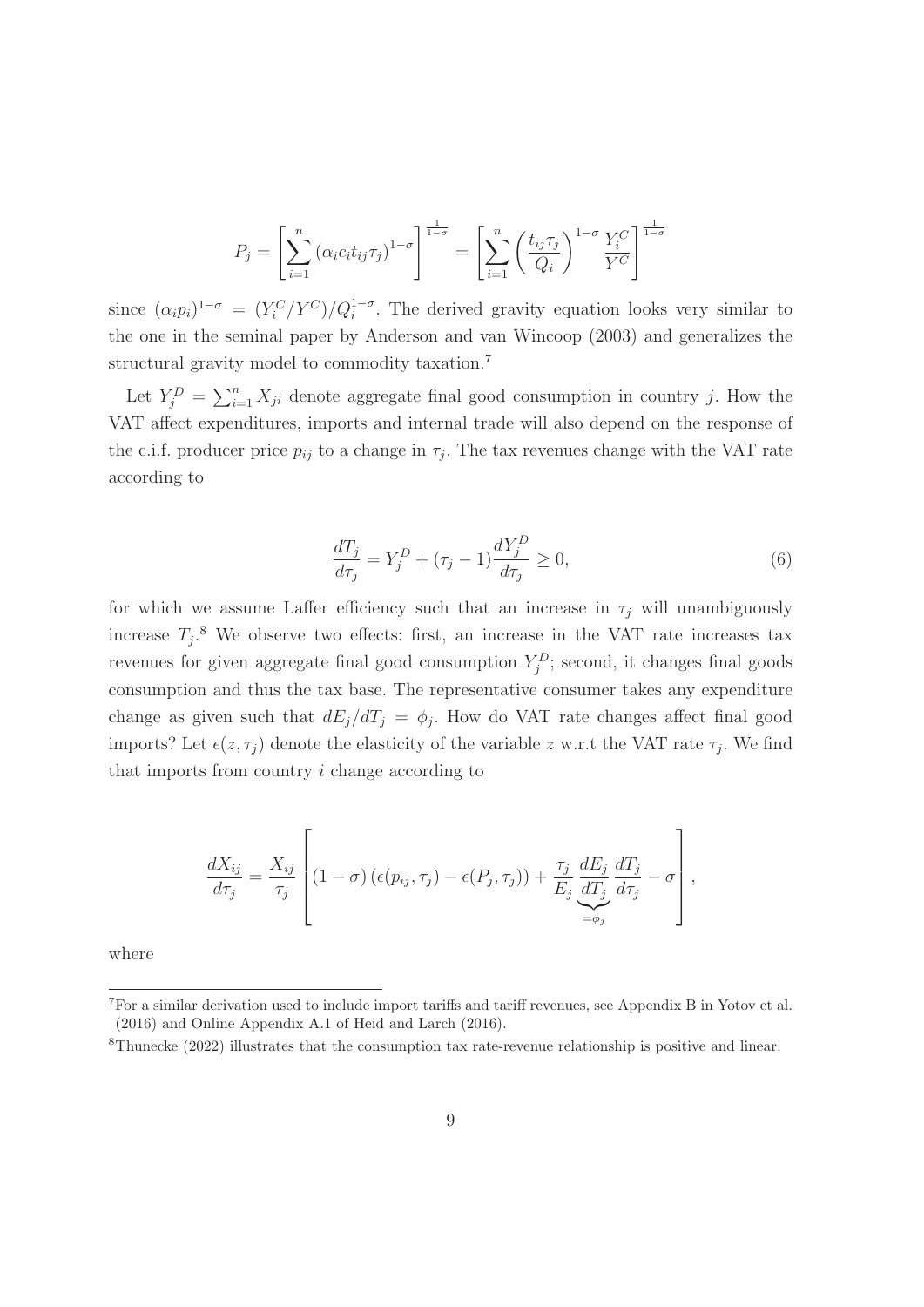$$
P_j = \left[\sum_{i=1}^n \left(\alpha_i c_i t_{ij} \tau_j\right)^{1-\sigma}\right]^{\frac{1}{1-\sigma}} = \left[\sum_{i=1}^n \left(\frac{t_{ij} \tau_j}{Q_i}\right)^{1-\sigma} \frac{Y_i^C}{Y^C}\right]^{\frac{1}{1-\sigma}}
$$

since  $(\alpha_i p_i)^{1-\sigma} = (Y_i^C/Y^C)/Q_i^{1-\sigma}$ . The derived gravity equation looks very similar to the one in the seminal paper by Anderson and van Wincoop (2003) and generalizes the structural gravity model to commodity taxation.<sup>7</sup>

Let  $Y_j^D = \sum_{i=1}^n X_{ji}$  denote aggregate final good consumption in country j. How the VAT affect expenditures, imports and internal trade will also depend on the response of the c.i.f. producer price  $p_{ij}$  to a change in  $\tau_j$ . The tax revenues change with the VAT rate according to

$$
\frac{dT_j}{d\tau_j} = Y_j^D + (\tau_j - 1) \frac{dY_j^D}{d\tau_j} \ge 0,
$$
\n<sup>(6)</sup>

for which we assume Laffer efficiency such that an increase in  $\tau_j$  will unambiguously increase  $T_i$ <sup>8</sup>. We observe two effects: first, an increase in the VAT rate increases tax revenues for given aggregate final good consumption  $Y_i^D$ ; second, it changes final goods consumption and thus the tax base. The representative consumer takes any expenditure change as given such that  $dE_j/dT_j = \phi_j$ . How do VAT rate changes affect final good imports? Let  $\epsilon(z, \tau_j)$  denote the elasticity of the variable z w.r.t the VAT rate  $\tau_j$ . We find that imports from country i change according to

$$
\frac{dX_{ij}}{d\tau_j} = \frac{X_{ij}}{\tau_j} \left[ (1-\sigma) \left( \epsilon(p_{ij}, \tau_j) - \epsilon(P_j, \tau_j) \right) + \frac{\tau_j}{E_j} \underbrace{\frac{dE_j}{dT_j}}_{=\phi_j} \frac{dT_j}{d\tau_j} - \sigma \right],
$$

where

<sup>7</sup>For a similar derivation used to include import tariffs and tariff revenues, see Appendix B in Yotov et al. (2016) and Online Appendix A.1 of Heid and Larch (2016).

<sup>8</sup>Thunecke (2022) illustrates that the consumption tax rate-revenue relationship is positive and linear.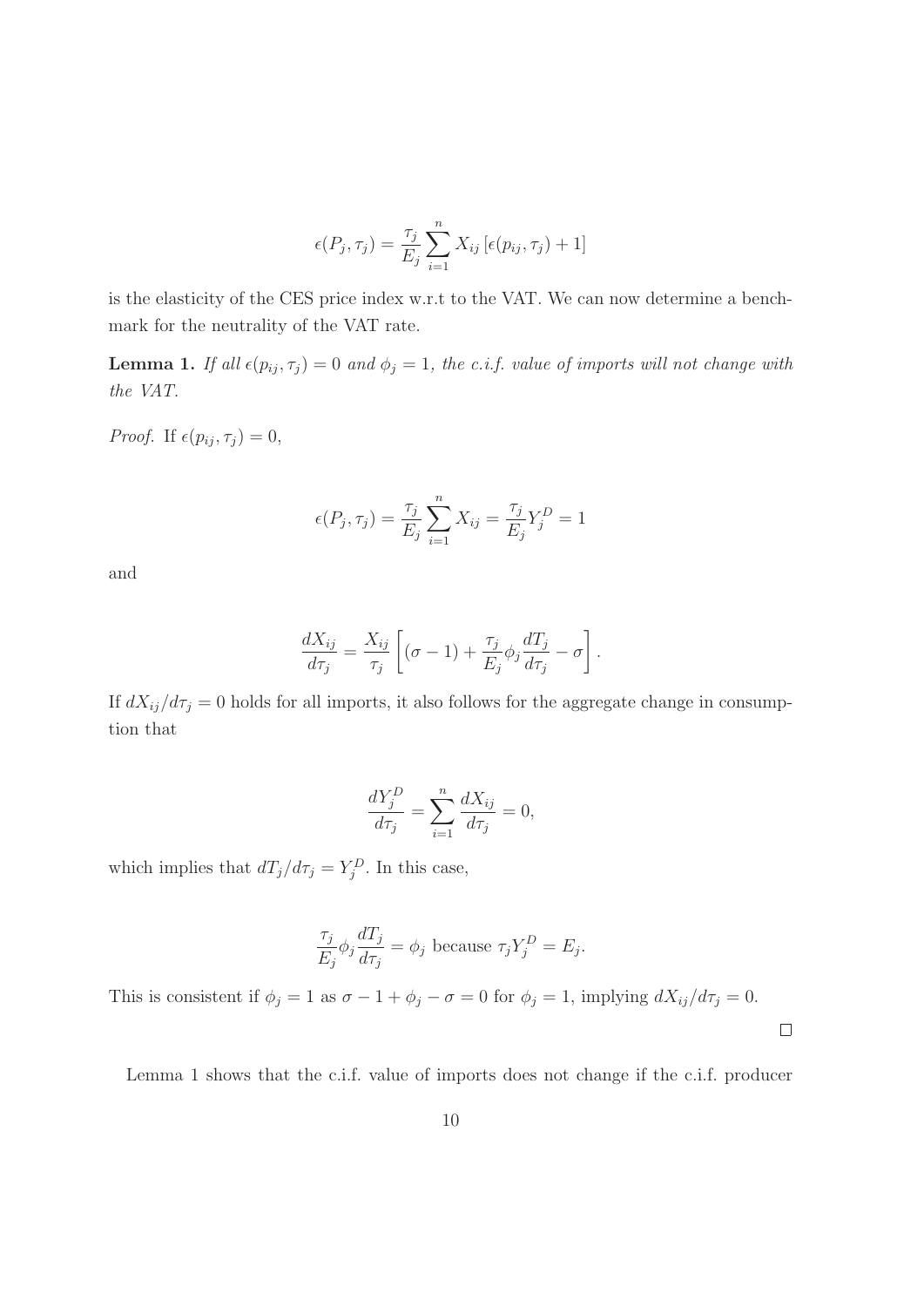$$
\epsilon(P_j, \tau_j) = \frac{\tau_j}{E_j} \sum_{i=1}^n X_{ij} \left[ \epsilon(p_{ij}, \tau_j) + 1 \right]
$$

is the elasticity of the CES price index w.r.t to the VAT. We can now determine a benchmark for the neutrality of the VAT rate.

**Lemma 1.** If all  $\epsilon(p_{ij}, \tau_j) = 0$  and  $\phi_j = 1$ , the c.i.f. value of imports will not change with the VAT.

Proof. If  $\epsilon(p_{ij}, \tau_j) = 0$ ,

$$
\epsilon(P_j, \tau_j) = \frac{\tau_j}{E_j} \sum_{i=1}^n X_{ij} = \frac{\tau_j}{E_j} Y_j^D = 1
$$

and

$$
\frac{dX_{ij}}{d\tau_j} = \frac{X_{ij}}{\tau_j} \left[ (\sigma - 1) + \frac{\tau_j}{E_j} \phi_j \frac{dT_j}{d\tau_j} - \sigma \right].
$$

If  $dX_{ij}/d\tau_j = 0$  holds for all imports, it also follows for the aggregate change in consumption that

$$
\frac{dY_j^D}{d\tau_j} = \sum_{i=1}^n \frac{dX_{ij}}{d\tau_j} = 0,
$$

which implies that  $dT_j/d\tau_j = Y_j^D$ . In this case,

$$
\frac{\tau_j}{E_j} \phi_j \frac{dT_j}{d\tau_j} = \phi_j
$$
 because  $\tau_j Y_j^D = E_j$ .

This is consistent if  $\phi_j = 1$  as  $\sigma - 1 + \phi_j - \sigma = 0$  for  $\phi_j = 1$ , implying  $dX_{ij}/d\tau_j = 0$ .

 $\Box$ 

Lemma 1 shows that the c.i.f. value of imports does not change if the c.i.f. producer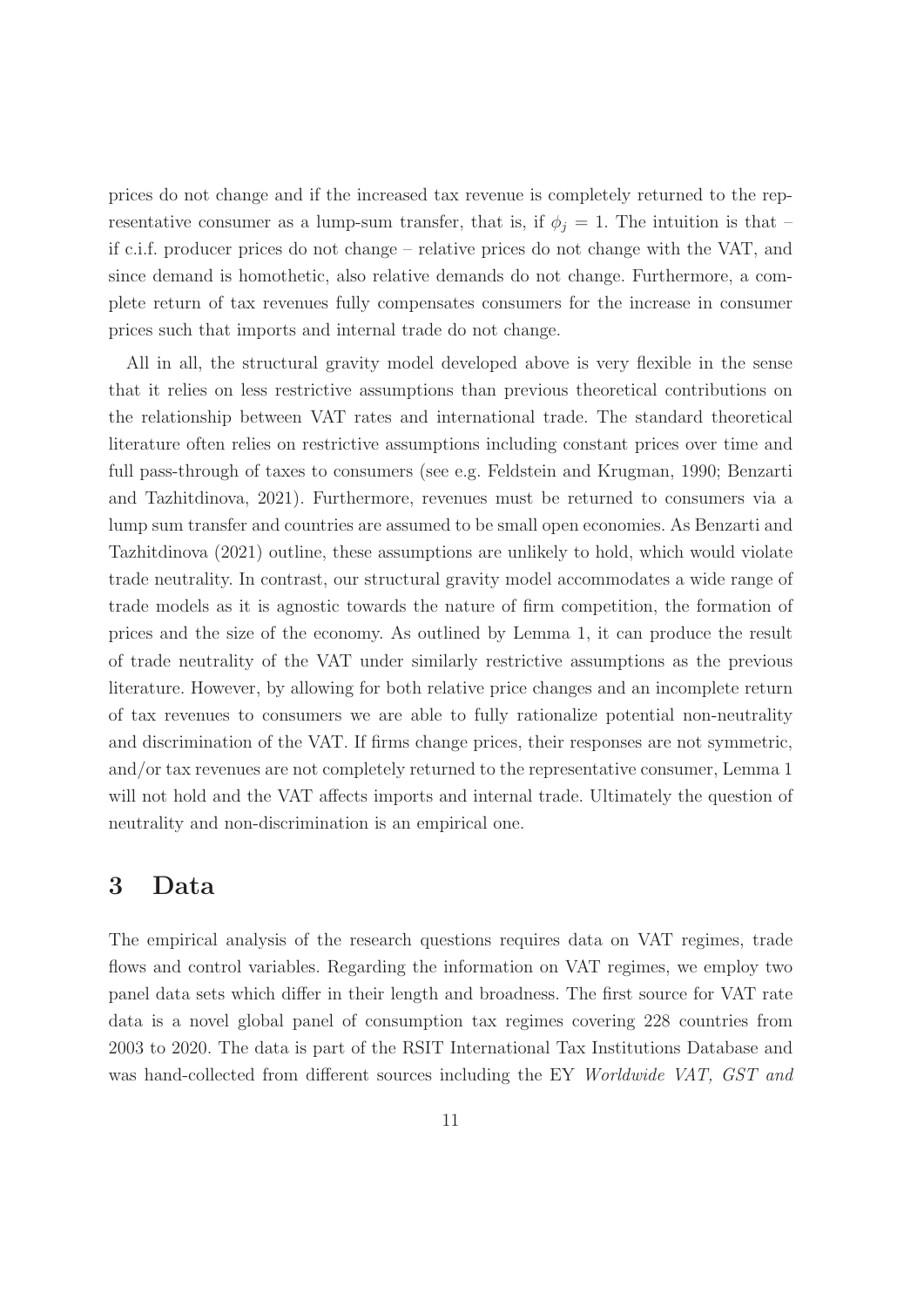prices do not change and if the increased tax revenue is completely returned to the representative consumer as a lump-sum transfer, that is, if  $\phi_j = 1$ . The intuition is that – if c.i.f. producer prices do not change – relative prices do not change with the VAT, and since demand is homothetic, also relative demands do not change. Furthermore, a complete return of tax revenues fully compensates consumers for the increase in consumer prices such that imports and internal trade do not change.

All in all, the structural gravity model developed above is very flexible in the sense that it relies on less restrictive assumptions than previous theoretical contributions on the relationship between VAT rates and international trade. The standard theoretical literature often relies on restrictive assumptions including constant prices over time and full pass-through of taxes to consumers (see e.g. Feldstein and Krugman, 1990; Benzarti and Tazhitdinova, 2021). Furthermore, revenues must be returned to consumers via a lump sum transfer and countries are assumed to be small open economies. As Benzarti and Tazhitdinova (2021) outline, these assumptions are unlikely to hold, which would violate trade neutrality. In contrast, our structural gravity model accommodates a wide range of trade models as it is agnostic towards the nature of firm competition, the formation of prices and the size of the economy. As outlined by Lemma 1, it can produce the result of trade neutrality of the VAT under similarly restrictive assumptions as the previous literature. However, by allowing for both relative price changes and an incomplete return of tax revenues to consumers we are able to fully rationalize potential non-neutrality and discrimination of the VAT. If firms change prices, their responses are not symmetric, and/or tax revenues are not completely returned to the representative consumer, Lemma 1 will not hold and the VAT affects imports and internal trade. Ultimately the question of neutrality and non-discrimination is an empirical one.

### **3 Data**

The empirical analysis of the research questions requires data on VAT regimes, trade flows and control variables. Regarding the information on VAT regimes, we employ two panel data sets which differ in their length and broadness. The first source for VAT rate data is a novel global panel of consumption tax regimes covering 228 countries from 2003 to 2020. The data is part of the RSIT International Tax Institutions Database and was hand-collected from different sources including the EY Worldwide VAT, GST and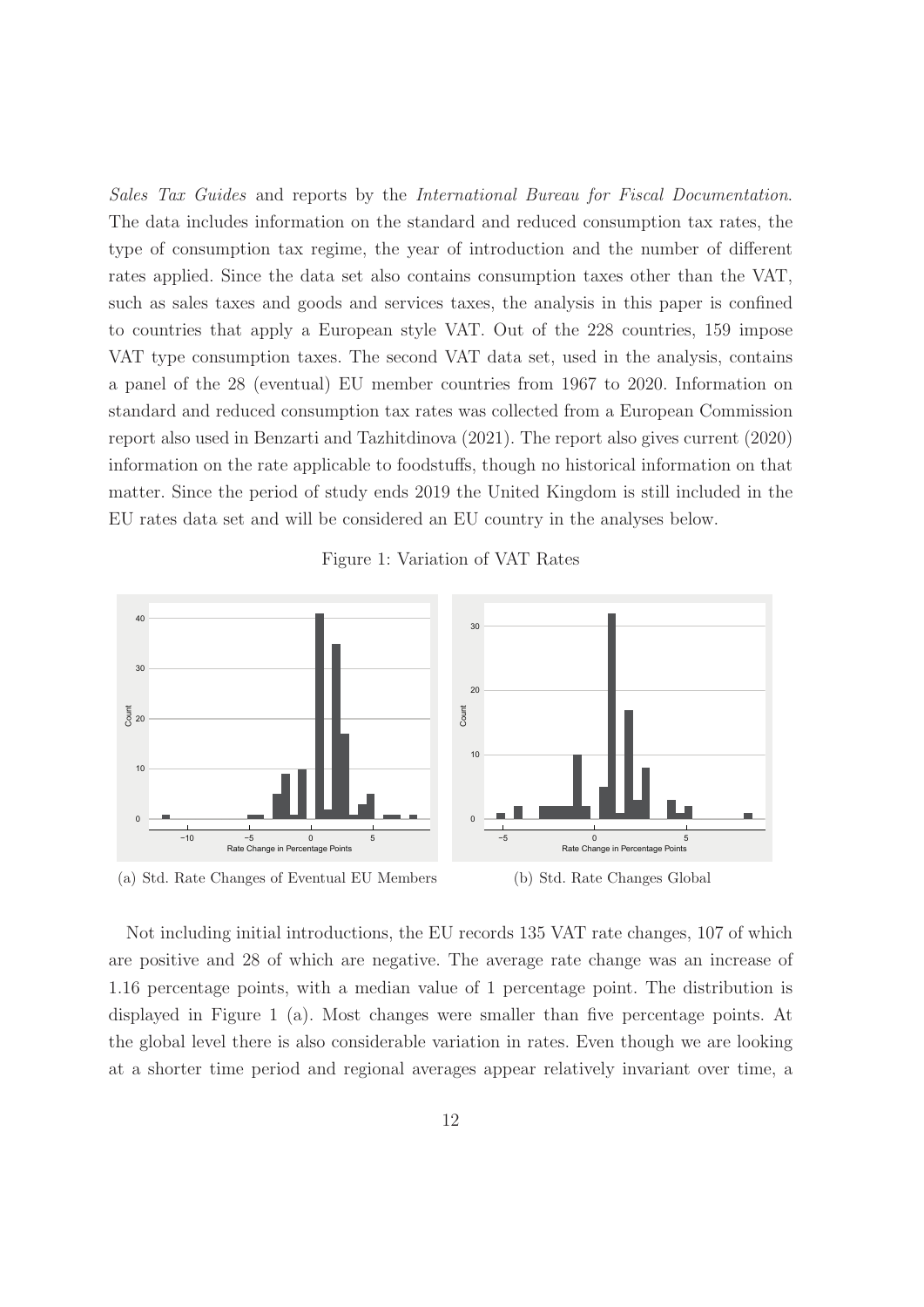Sales Tax Guides and reports by the International Bureau for Fiscal Documentation. The data includes information on the standard and reduced consumption tax rates, the type of consumption tax regime, the year of introduction and the number of different rates applied. Since the data set also contains consumption taxes other than the VAT, such as sales taxes and goods and services taxes, the analysis in this paper is confined to countries that apply a European style VAT. Out of the 228 countries, 159 impose VAT type consumption taxes. The second VAT data set, used in the analysis, contains a panel of the 28 (eventual) EU member countries from 1967 to 2020. Information on standard and reduced consumption tax rates was collected from a European Commission report also used in Benzarti and Tazhitdinova (2021). The report also gives current (2020) information on the rate applicable to foodstuffs, though no historical information on that matter. Since the period of study ends 2019 the United Kingdom is still included in the EU rates data set and will be considered an EU country in the analyses below.



Figure 1: Variation of VAT Rates

(a) Std. Rate Changes of Eventual EU Members



Not including initial introductions, the EU records 135 VAT rate changes, 107 of which are positive and 28 of which are negative. The average rate change was an increase of 1.16 percentage points, with a median value of 1 percentage point. The distribution is displayed in Figure 1 (a). Most changes were smaller than five percentage points. At the global level there is also considerable variation in rates. Even though we are looking at a shorter time period and regional averages appear relatively invariant over time, a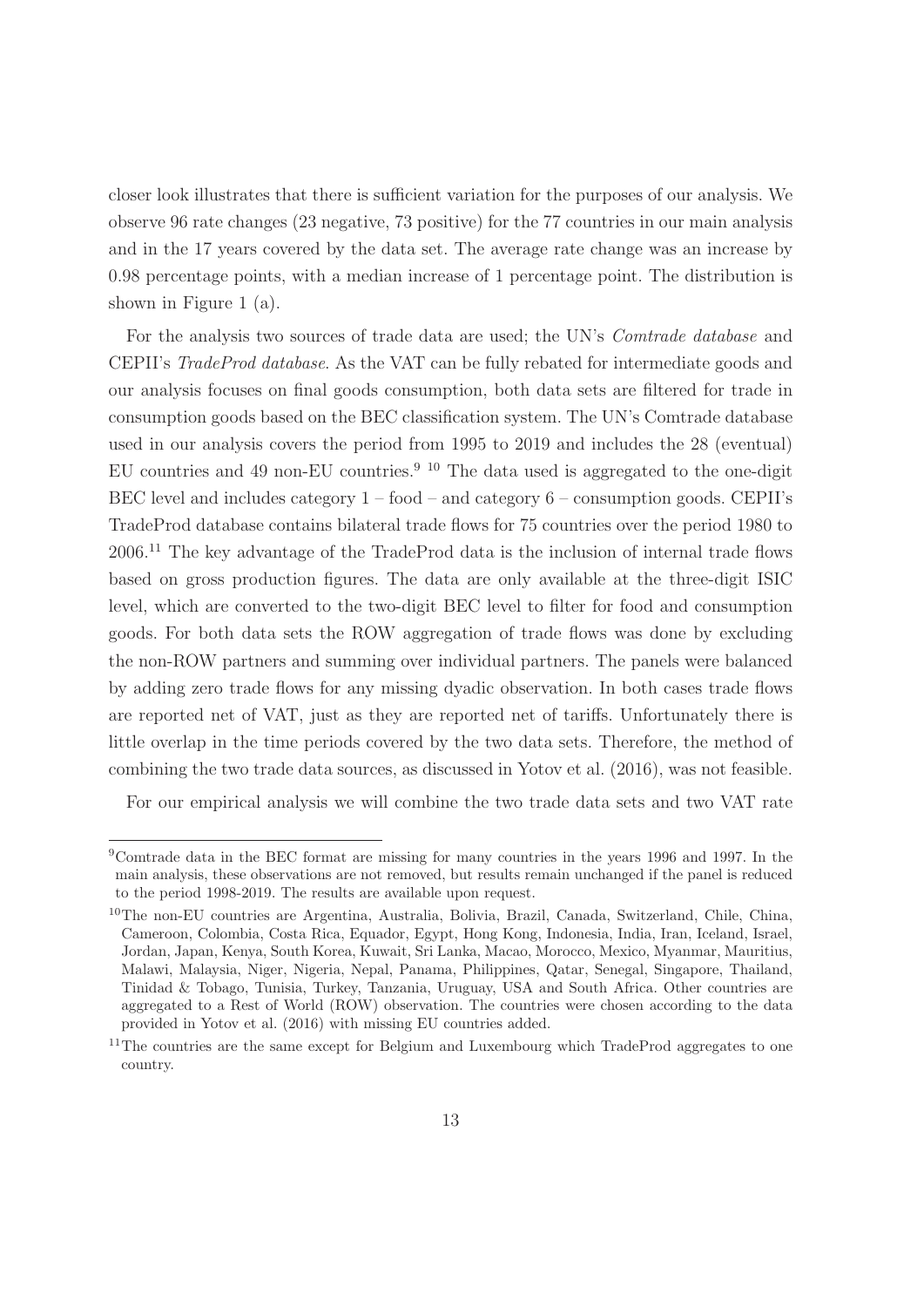closer look illustrates that there is sufficient variation for the purposes of our analysis. We observe 96 rate changes (23 negative, 73 positive) for the 77 countries in our main analysis and in the 17 years covered by the data set. The average rate change was an increase by 0.98 percentage points, with a median increase of 1 percentage point. The distribution is shown in Figure 1 (a).

For the analysis two sources of trade data are used; the UN's Comtrade database and CEPII's TradeProd database. As the VAT can be fully rebated for intermediate goods and our analysis focuses on final goods consumption, both data sets are filtered for trade in consumption goods based on the BEC classification system. The UN's Comtrade database used in our analysis covers the period from 1995 to 2019 and includes the 28 (eventual) EU countries and 49 non-EU countries.<sup>9 10</sup> The data used is aggregated to the one-digit BEC level and includes category  $1 -$  food – and category  $6 -$  consumption goods. CEPII's TradeProd database contains bilateral trade flows for 75 countries over the period 1980 to 2006.<sup>11</sup> The key advantage of the TradeProd data is the inclusion of internal trade flows based on gross production figures. The data are only available at the three-digit ISIC level, which are converted to the two-digit BEC level to filter for food and consumption goods. For both data sets the ROW aggregation of trade flows was done by excluding the non-ROW partners and summing over individual partners. The panels were balanced by adding zero trade flows for any missing dyadic observation. In both cases trade flows are reported net of VAT, just as they are reported net of tariffs. Unfortunately there is little overlap in the time periods covered by the two data sets. Therefore, the method of combining the two trade data sources, as discussed in Yotov et al. (2016), was not feasible.

For our empirical analysis we will combine the two trade data sets and two VAT rate

<sup>9</sup>Comtrade data in the BEC format are missing for many countries in the years 1996 and 1997. In the main analysis, these observations are not removed, but results remain unchanged if the panel is reduced to the period 1998-2019. The results are available upon request.

<sup>10</sup>The non-EU countries are Argentina, Australia, Bolivia, Brazil, Canada, Switzerland, Chile, China, Cameroon, Colombia, Costa Rica, Equador, Egypt, Hong Kong, Indonesia, India, Iran, Iceland, Israel, Jordan, Japan, Kenya, South Korea, Kuwait, Sri Lanka, Macao, Morocco, Mexico, Myanmar, Mauritius, Malawi, Malaysia, Niger, Nigeria, Nepal, Panama, Philippines, Qatar, Senegal, Singapore, Thailand, Tinidad & Tobago, Tunisia, Turkey, Tanzania, Uruguay, USA and South Africa. Other countries are aggregated to a Rest of World (ROW) observation. The countries were chosen according to the data provided in Yotov et al. (2016) with missing EU countries added.

 $11$ The countries are the same except for Belgium and Luxembourg which TradeProd aggregates to one country.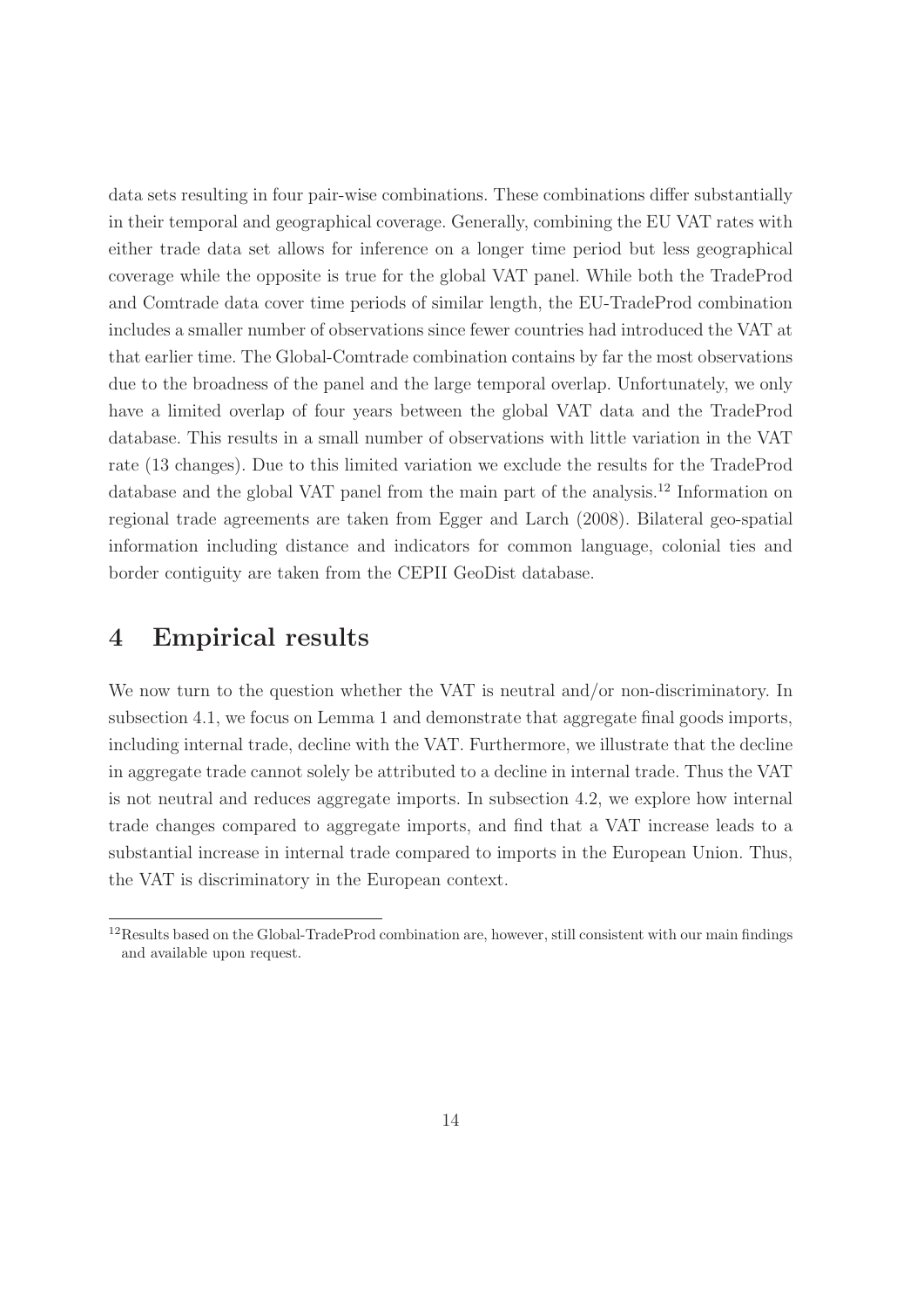data sets resulting in four pair-wise combinations. These combinations differ substantially in their temporal and geographical coverage. Generally, combining the EU VAT rates with either trade data set allows for inference on a longer time period but less geographical coverage while the opposite is true for the global VAT panel. While both the TradeProd and Comtrade data cover time periods of similar length, the EU-TradeProd combination includes a smaller number of observations since fewer countries had introduced the VAT at that earlier time. The Global-Comtrade combination contains by far the most observations due to the broadness of the panel and the large temporal overlap. Unfortunately, we only have a limited overlap of four years between the global VAT data and the TradeProd database. This results in a small number of observations with little variation in the VAT rate (13 changes). Due to this limited variation we exclude the results for the TradeProd database and the global VAT panel from the main part of the analysis.<sup>12</sup> Information on regional trade agreements are taken from Egger and Larch (2008). Bilateral geo-spatial information including distance and indicators for common language, colonial ties and border contiguity are taken from the CEPII GeoDist database.

## **4 Empirical results**

We now turn to the question whether the VAT is neutral and/or non-discriminatory. In subsection 4.1, we focus on Lemma 1 and demonstrate that aggregate final goods imports, including internal trade, decline with the VAT. Furthermore, we illustrate that the decline in aggregate trade cannot solely be attributed to a decline in internal trade. Thus the VAT is not neutral and reduces aggregate imports. In subsection 4.2, we explore how internal trade changes compared to aggregate imports, and find that a VAT increase leads to a substantial increase in internal trade compared to imports in the European Union. Thus, the VAT is discriminatory in the European context.

<sup>12</sup>Results based on the Global-TradeProd combination are, however, still consistent with our main findings and available upon request.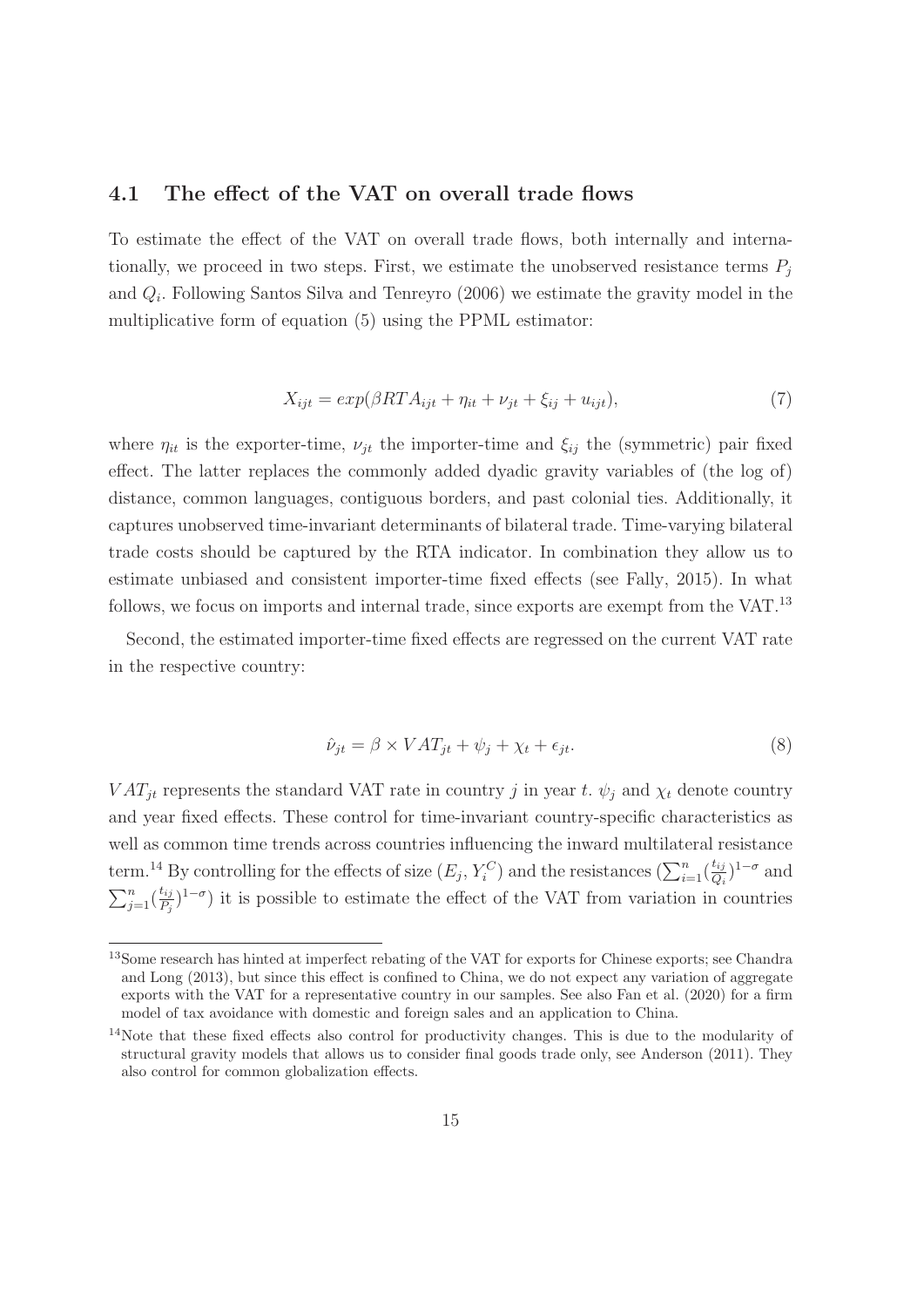#### **4.1 The effect of the VAT on overall trade flows**

To estimate the effect of the VAT on overall trade flows, both internally and internationally, we proceed in two steps. First, we estimate the unobserved resistance terms  $P_i$ and  $Q_i$ . Following Santos Silva and Tenreyro (2006) we estimate the gravity model in the multiplicative form of equation (5) using the PPML estimator:

$$
X_{ijt} = exp(\beta RT A_{ijt} + \eta_{it} + \nu_{jt} + \xi_{ij} + u_{ijt}),\tag{7}
$$

where  $\eta_{it}$  is the exporter-time,  $\nu_{jt}$  the importer-time and  $\xi_{ij}$  the (symmetric) pair fixed effect. The latter replaces the commonly added dyadic gravity variables of (the log of) distance, common languages, contiguous borders, and past colonial ties. Additionally, it captures unobserved time-invariant determinants of bilateral trade. Time-varying bilateral trade costs should be captured by the RTA indicator. In combination they allow us to estimate unbiased and consistent importer-time fixed effects (see Fally, 2015). In what follows, we focus on imports and internal trade, since exports are exempt from the VAT.<sup>13</sup>

Second, the estimated importer-time fixed effects are regressed on the current VAT rate in the respective country:

$$
\hat{\nu}_{jt} = \beta \times VAT_{jt} + \psi_j + \chi_t + \epsilon_{jt}.
$$
\n(8)

 $VAT_{it}$  represents the standard VAT rate in country j in year t.  $\psi_i$  and  $\chi_t$  denote country and year fixed effects. These control for time-invariant country-specific characteristics as well as common time trends across countries influencing the inward multilateral resistance term.<sup>14</sup> By controlling for the effects of size  $(E_j, Y_i^C)$  and the resistances  $(\sum_{i=1}^n (\frac{t_{ij}}{Q_i})$  $\frac{t_{ij}}{Q_i}$ <sup>1- $\sigma$ </sup> and  $\sum_{j=1}^n(\frac{t_{ij}}{P_i})$  $\frac{t_{ij}}{P_j}$ <sup>1- $\sigma$ </sup>) it is possible to estimate the effect of the VAT from variation in countries

<sup>13</sup>Some research has hinted at imperfect rebating of the VAT for exports for Chinese exports; see Chandra and Long (2013), but since this effect is confined to China, we do not expect any variation of aggregate exports with the VAT for a representative country in our samples. See also Fan et al. (2020) for a firm model of tax avoidance with domestic and foreign sales and an application to China.

<sup>&</sup>lt;sup>14</sup>Note that these fixed effects also control for productivity changes. This is due to the modularity of structural gravity models that allows us to consider final goods trade only, see Anderson (2011). They also control for common globalization effects.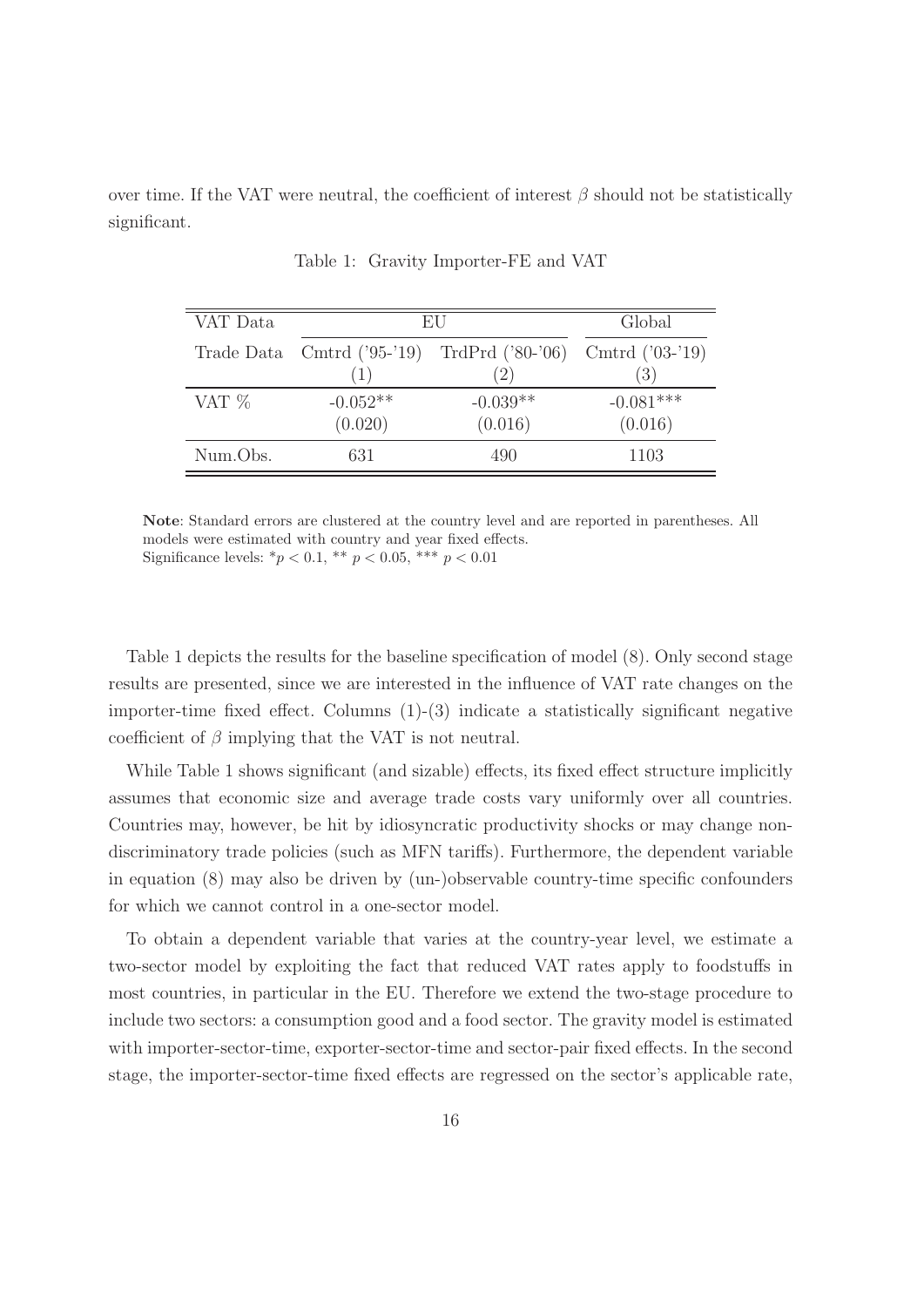over time. If the VAT were neutral, the coefficient of interest  $\beta$  should not be statistically significant.

| VAT Data | EU                           |                    | Global            |
|----------|------------------------------|--------------------|-------------------|
|          | Trade Data Cmtrd $('95-'19)$ | TrdPrd $('80-'06)$ | Cmtrd $('03-'19)$ |
|          |                              | (2)                | (3)               |
| VAT $%$  | $-0.052**$                   | $-0.039**$         | $-0.081***$       |
|          | (0.020)                      | (0.016)            | (0.016)           |
| Num.Obs. | 631                          | 490                | 1103              |

Table 1: Gravity Importer-FE and VAT

**Note**: Standard errors are clustered at the country level and are reported in parentheses. All models were estimated with country and year fixed effects. Significance levels:  ${}^*p$  < 0.1,  ${}^*$   $p$  < 0.05,  ${}^*$   $*$   $p$  < 0.01

Table 1 depicts the results for the baseline specification of model (8). Only second stage results are presented, since we are interested in the influence of VAT rate changes on the importer-time fixed effect. Columns (1)-(3) indicate a statistically significant negative coefficient of  $\beta$  implying that the VAT is not neutral.

While Table 1 shows significant (and sizable) effects, its fixed effect structure implicitly assumes that economic size and average trade costs vary uniformly over all countries. Countries may, however, be hit by idiosyncratic productivity shocks or may change nondiscriminatory trade policies (such as MFN tariffs). Furthermore, the dependent variable in equation (8) may also be driven by (un-)observable country-time specific confounders for which we cannot control in a one-sector model.

To obtain a dependent variable that varies at the country-year level, we estimate a two-sector model by exploiting the fact that reduced VAT rates apply to foodstuffs in most countries, in particular in the EU. Therefore we extend the two-stage procedure to include two sectors: a consumption good and a food sector. The gravity model is estimated with importer-sector-time, exporter-sector-time and sector-pair fixed effects. In the second stage, the importer-sector-time fixed effects are regressed on the sector's applicable rate,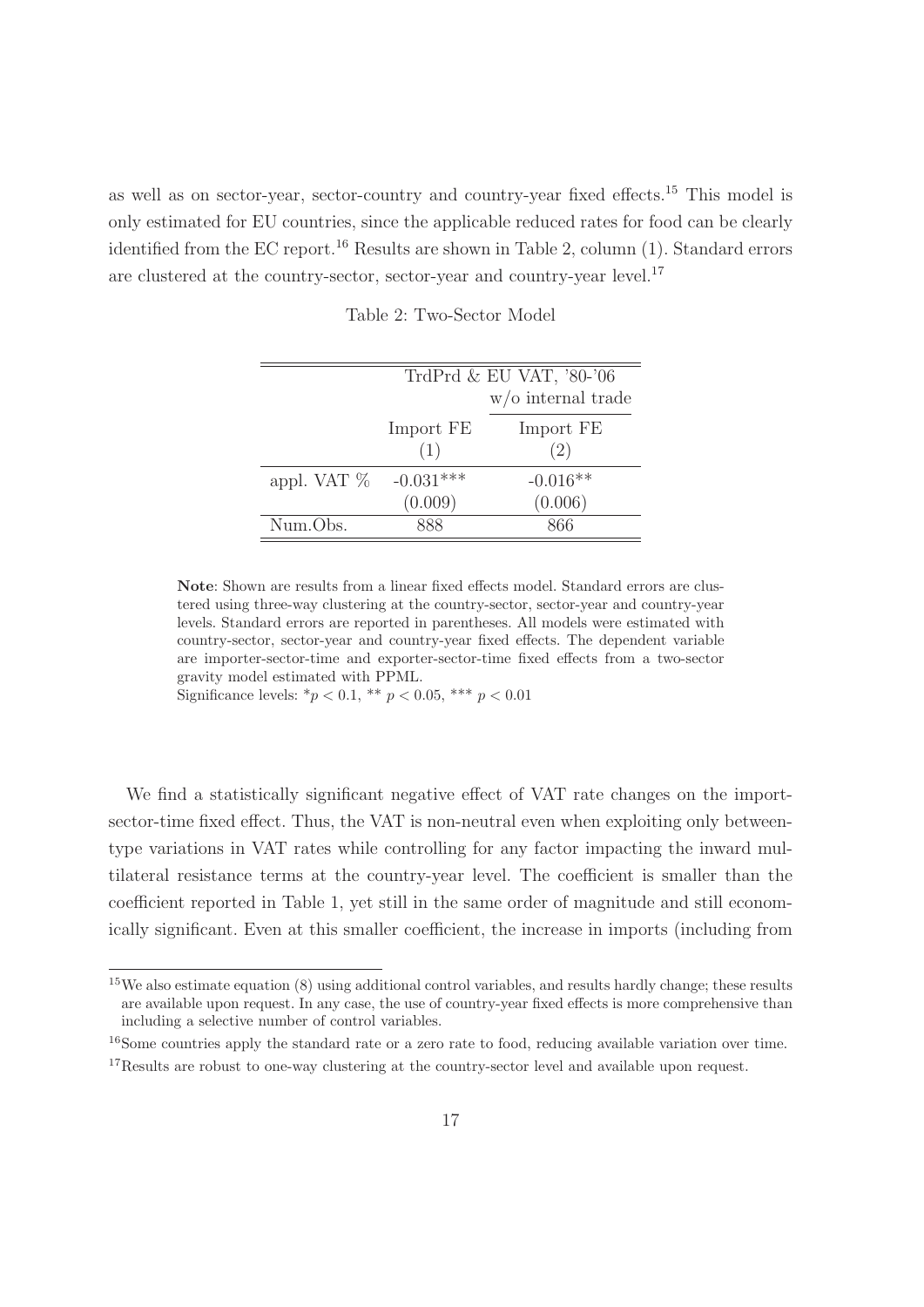as well as on sector-year, sector-country and country-year fixed effects.<sup>15</sup> This model is only estimated for EU countries, since the applicable reduced rates for food can be clearly identified from the EC report.<sup>16</sup> Results are shown in Table 2, column (1). Standard errors are clustered at the country-sector, sector-year and country-year level.<sup>17</sup>

|                | TrdPrd $&$ EU VAT, '80-'06 |                       |
|----------------|----------------------------|-----------------------|
|                |                            | $w$ /o internal trade |
|                | Import FE                  | Import FE             |
|                | (1)                        | (2)                   |
| appl. VAT $\%$ | $-0.031***$                | $-0.016**$            |
|                | (0.009)                    | (0.006)               |
| Num.Obs.       | 888                        | 866                   |

Table 2: Two-Sector Model

**Note**: Shown are results from a linear fixed effects model. Standard errors are clustered using three-way clustering at the country-sector, sector-year and country-year levels. Standard errors are reported in parentheses. All models were estimated with country-sector, sector-year and country-year fixed effects. The dependent variable are importer-sector-time and exporter-sector-time fixed effects from a two-sector gravity model estimated with PPML.

Significance levels:  ${}^*p < 0.1$ ,  ${}^{**}p < 0.05$ ,  ${}^{***}p < 0.01$ 

We find a statistically significant negative effect of VAT rate changes on the importsector-time fixed effect. Thus, the VAT is non-neutral even when exploiting only betweentype variations in VAT rates while controlling for any factor impacting the inward multilateral resistance terms at the country-year level. The coefficient is smaller than the coefficient reported in Table 1, yet still in the same order of magnitude and still economically significant. Even at this smaller coefficient, the increase in imports (including from

<sup>16</sup>Some countries apply the standard rate or a zero rate to food, reducing available variation over time.

<sup>15</sup>We also estimate equation (8) using additional control variables, and results hardly change; these results are available upon request. In any case, the use of country-year fixed effects is more comprehensive than including a selective number of control variables.

<sup>&</sup>lt;sup>17</sup>Results are robust to one-way clustering at the country-sector level and available upon request.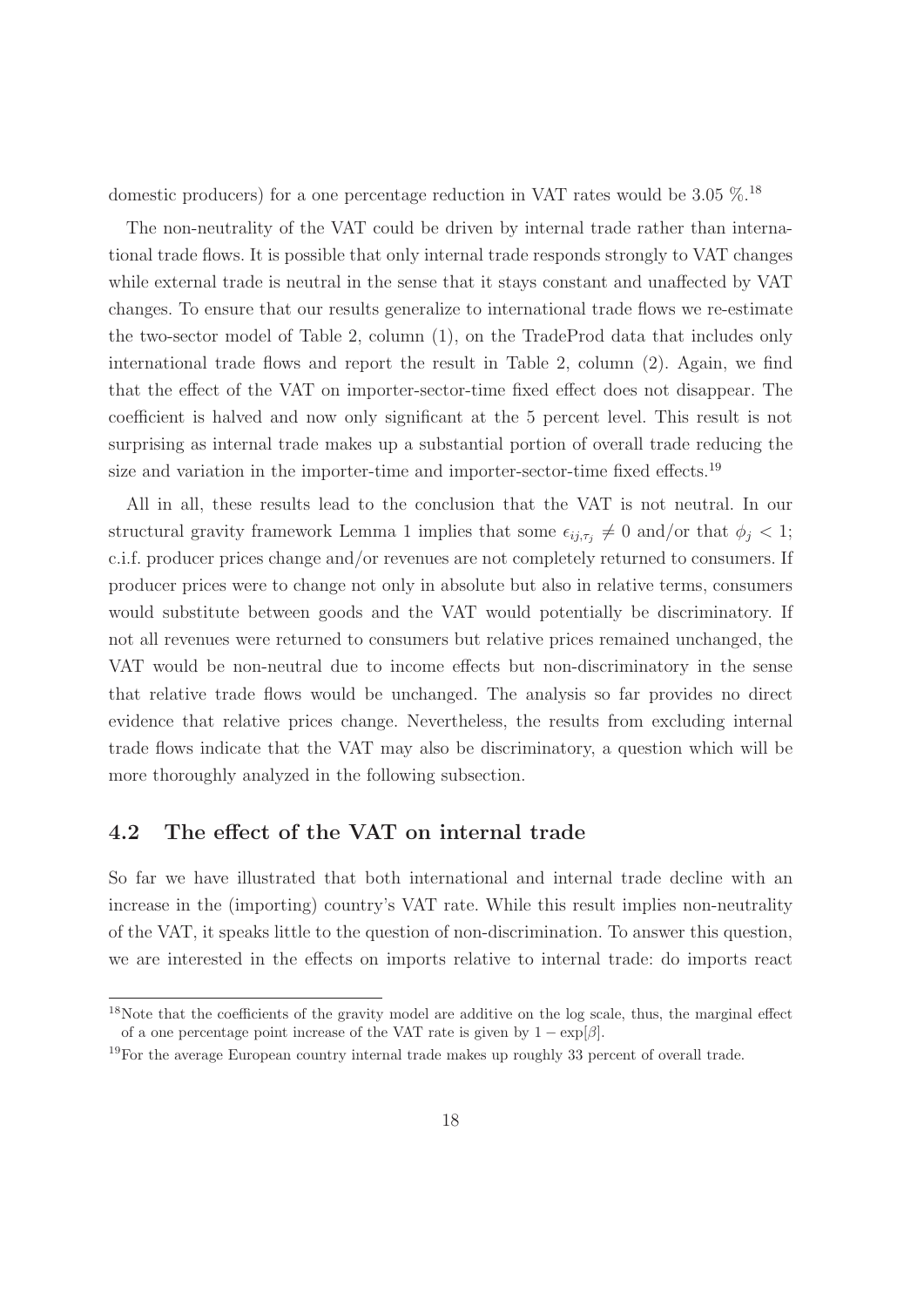domestic producers) for a one percentage reduction in VAT rates would be  $3.05\%$ .<sup>18</sup>

The non-neutrality of the VAT could be driven by internal trade rather than international trade flows. It is possible that only internal trade responds strongly to VAT changes while external trade is neutral in the sense that it stays constant and unaffected by VAT changes. To ensure that our results generalize to international trade flows we re-estimate the two-sector model of Table 2, column (1), on the TradeProd data that includes only international trade flows and report the result in Table 2, column (2). Again, we find that the effect of the VAT on importer-sector-time fixed effect does not disappear. The coefficient is halved and now only significant at the 5 percent level. This result is not surprising as internal trade makes up a substantial portion of overall trade reducing the size and variation in the importer-time and importer-sector-time fixed effects.<sup>19</sup>

All in all, these results lead to the conclusion that the VAT is not neutral. In our structural gravity framework Lemma 1 implies that some  $\epsilon_{ij,\tau_j} \neq 0$  and/or that  $\phi_j < 1$ ; c.i.f. producer prices change and/or revenues are not completely returned to consumers. If producer prices were to change not only in absolute but also in relative terms, consumers would substitute between goods and the VAT would potentially be discriminatory. If not all revenues were returned to consumers but relative prices remained unchanged, the VAT would be non-neutral due to income effects but non-discriminatory in the sense that relative trade flows would be unchanged. The analysis so far provides no direct evidence that relative prices change. Nevertheless, the results from excluding internal trade flows indicate that the VAT may also be discriminatory, a question which will be more thoroughly analyzed in the following subsection.

#### **4.2 The effect of the VAT on internal trade**

So far we have illustrated that both international and internal trade decline with an increase in the (importing) country's VAT rate. While this result implies non-neutrality of the VAT, it speaks little to the question of non-discrimination. To answer this question, we are interested in the effects on imports relative to internal trade: do imports react

<sup>&</sup>lt;sup>18</sup>Note that the coefficients of the gravity model are additive on the log scale, thus, the marginal effect of a one percentage point increase of the VAT rate is given by  $1 - \exp[\beta]$ .

<sup>&</sup>lt;sup>19</sup>For the average European country internal trade makes up roughly 33 percent of overall trade.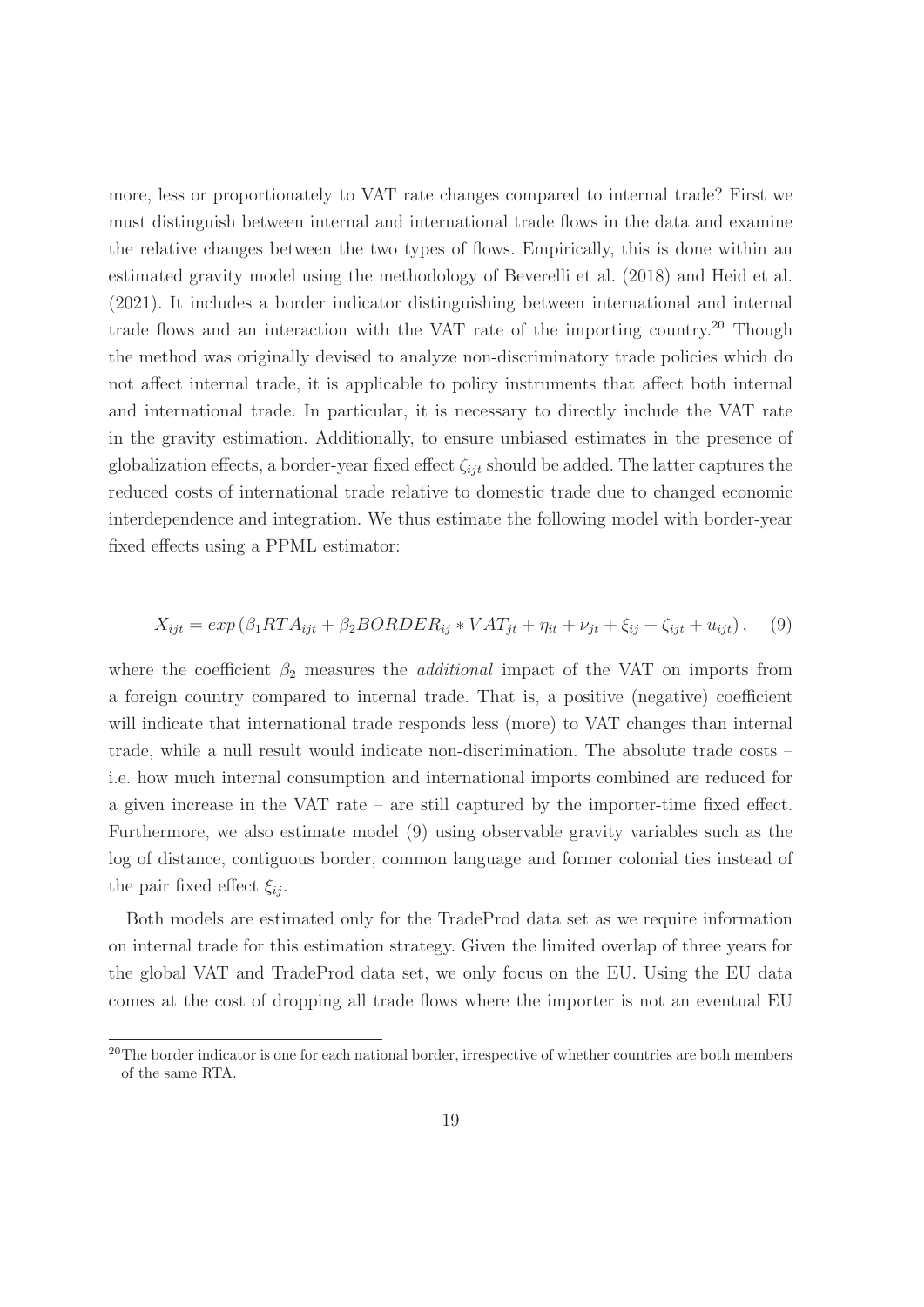more, less or proportionately to VAT rate changes compared to internal trade? First we must distinguish between internal and international trade flows in the data and examine the relative changes between the two types of flows. Empirically, this is done within an estimated gravity model using the methodology of Beverelli et al. (2018) and Heid et al. (2021). It includes a border indicator distinguishing between international and internal trade flows and an interaction with the VAT rate of the importing country.<sup>20</sup> Though the method was originally devised to analyze non-discriminatory trade policies which do not affect internal trade, it is applicable to policy instruments that affect both internal and international trade. In particular, it is necessary to directly include the VAT rate in the gravity estimation. Additionally, to ensure unbiased estimates in the presence of globalization effects, a border-year fixed effect  $\zeta_{ijt}$  should be added. The latter captures the reduced costs of international trade relative to domestic trade due to changed economic interdependence and integration. We thus estimate the following model with border-year fixed effects using a PPML estimator:

$$
X_{ijt} = exp(\beta_1 RT A_{ijt} + \beta_2 BORDER_{ij} * VAT_{jt} + \eta_{it} + \nu_{jt} + \xi_{ij} + \zeta_{ijt} + u_{ijt}),
$$
 (9)

where the coefficient  $\beta_2$  measures the *additional* impact of the VAT on imports from a foreign country compared to internal trade. That is, a positive (negative) coefficient will indicate that international trade responds less (more) to VAT changes than internal trade, while a null result would indicate non-discrimination. The absolute trade costs – i.e. how much internal consumption and international imports combined are reduced for a given increase in the VAT rate – are still captured by the importer-time fixed effect. Furthermore, we also estimate model (9) using observable gravity variables such as the log of distance, contiguous border, common language and former colonial ties instead of the pair fixed effect  $\xi_{ij}$ .

Both models are estimated only for the TradeProd data set as we require information on internal trade for this estimation strategy. Given the limited overlap of three years for the global VAT and TradeProd data set, we only focus on the EU. Using the EU data comes at the cost of dropping all trade flows where the importer is not an eventual EU

<sup>&</sup>lt;sup>20</sup>The border indicator is one for each national border, irrespective of whether countries are both members of the same RTA.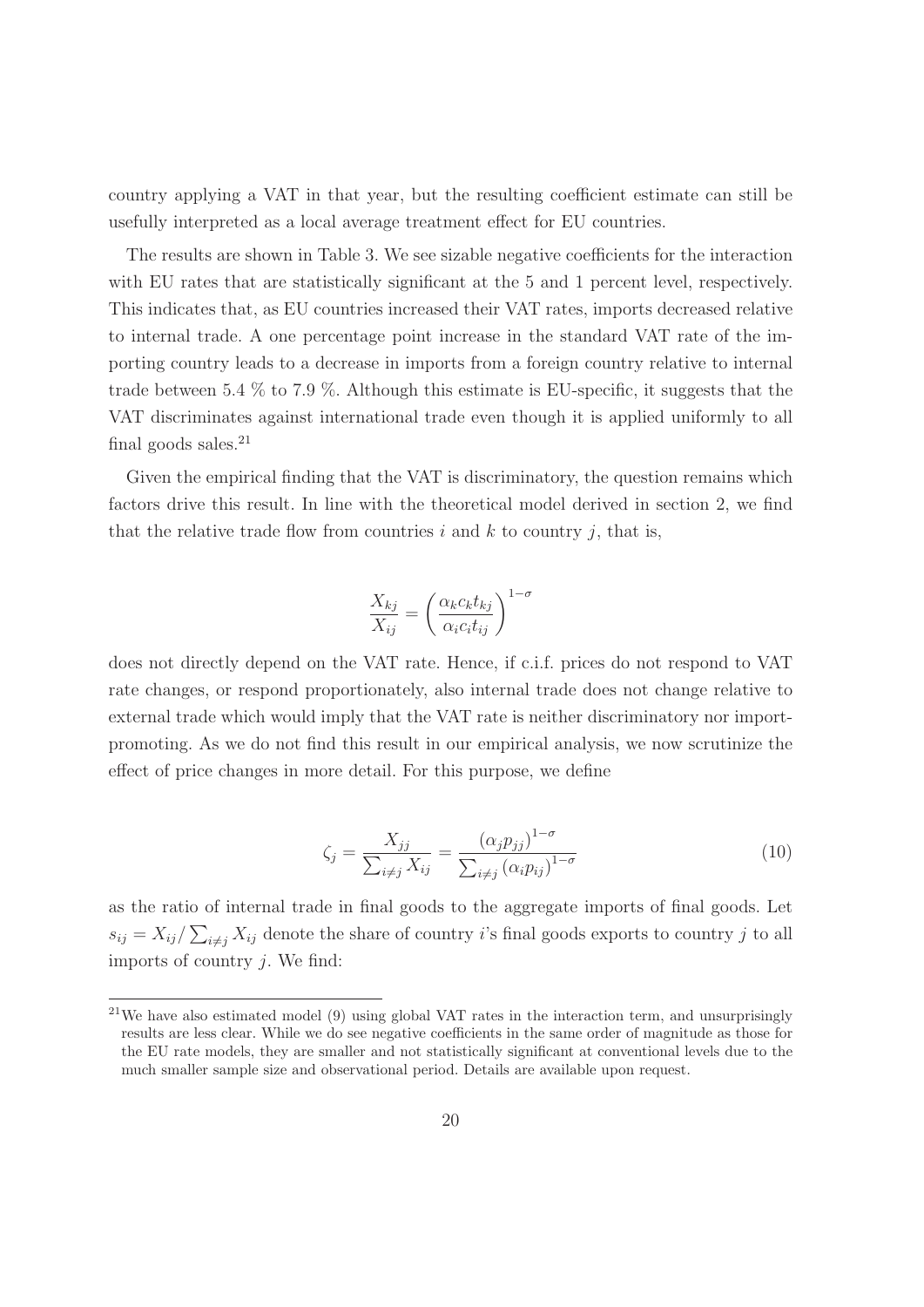country applying a VAT in that year, but the resulting coefficient estimate can still be usefully interpreted as a local average treatment effect for EU countries.

The results are shown in Table 3. We see sizable negative coefficients for the interaction with EU rates that are statistically significant at the 5 and 1 percent level, respectively. This indicates that, as EU countries increased their VAT rates, imports decreased relative to internal trade. A one percentage point increase in the standard VAT rate of the importing country leads to a decrease in imports from a foreign country relative to internal trade between 5.4 % to 7.9 %. Although this estimate is EU-specific, it suggests that the VAT discriminates against international trade even though it is applied uniformly to all final goods sales.<sup>21</sup>

Given the empirical finding that the VAT is discriminatory, the question remains which factors drive this result. In line with the theoretical model derived in section 2, we find that the relative trade flow from countries  $i$  and  $k$  to country  $j$ , that is,

$$
\frac{X_{kj}}{X_{ij}} = \left(\frac{\alpha_k c_k t_{kj}}{\alpha_i c_i t_{ij}}\right)^{1-\sigma}
$$

does not directly depend on the VAT rate. Hence, if c.i.f. prices do not respond to VAT rate changes, or respond proportionately, also internal trade does not change relative to external trade which would imply that the VAT rate is neither discriminatory nor importpromoting. As we do not find this result in our empirical analysis, we now scrutinize the effect of price changes in more detail. For this purpose, we define

$$
\zeta_j = \frac{X_{jj}}{\sum_{i \neq j} X_{ij}} = \frac{(\alpha_j p_{jj})^{1-\sigma}}{\sum_{i \neq j} (\alpha_i p_{ij})^{1-\sigma}}
$$
\n(10)

as the ratio of internal trade in final goods to the aggregate imports of final goods. Let  $s_{ij} = X_{ij}/\sum_{i \neq j} X_{ij}$  denote the share of country *i*'s final goods exports to country *j* to all imports of country  $i$ . We find:

<sup>&</sup>lt;sup>21</sup>We have also estimated model  $(9)$  using global VAT rates in the interaction term, and unsurprisingly results are less clear. While we do see negative coefficients in the same order of magnitude as those for the EU rate models, they are smaller and not statistically significant at conventional levels due to the much smaller sample size and observational period. Details are available upon request.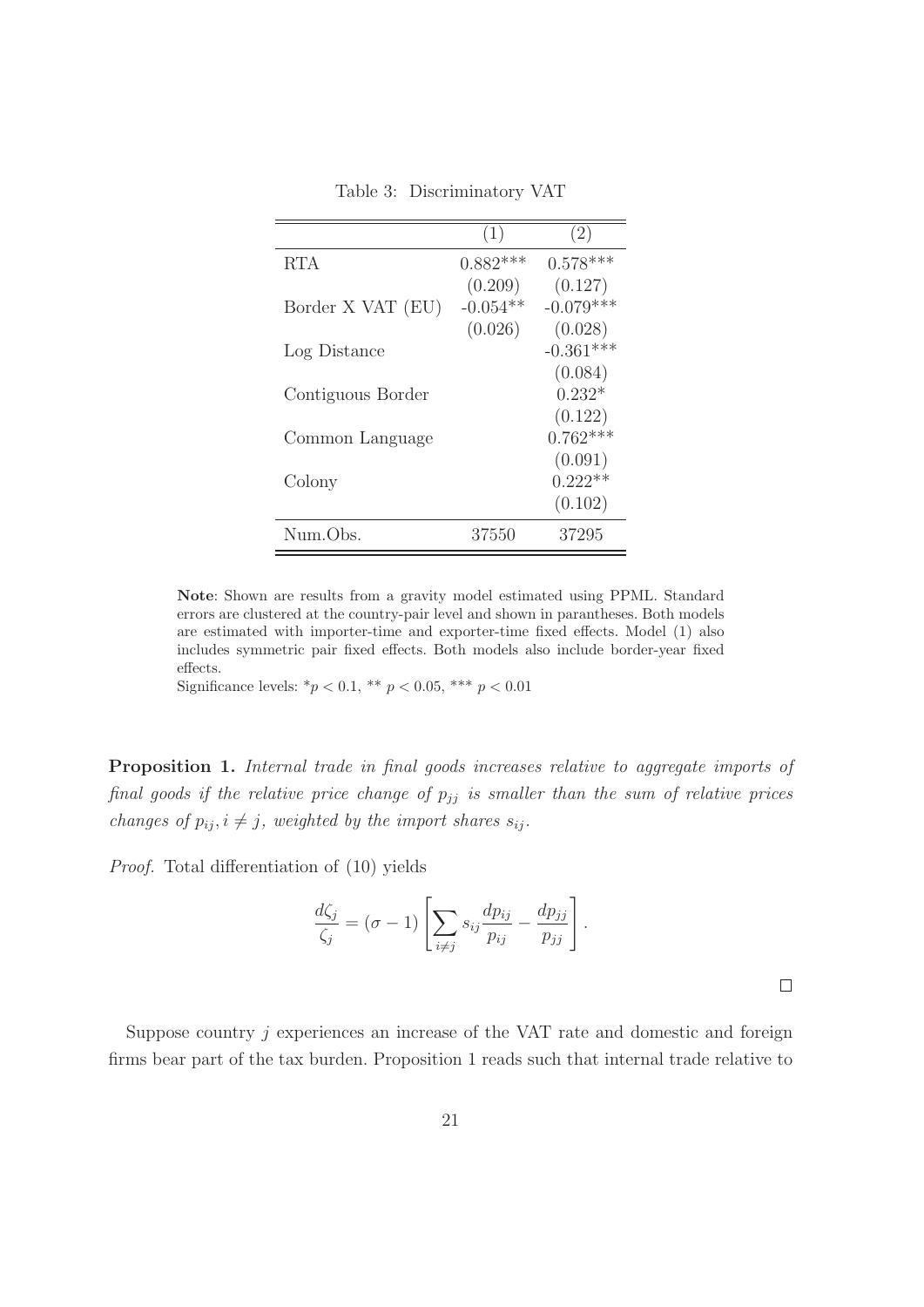|                   | (1)        | (2)         |
|-------------------|------------|-------------|
| <b>RTA</b>        | $0.882***$ | $0.578***$  |
|                   | (0.209)    | (0.127)     |
| Border X VAT (EU) | $-0.054**$ | $-0.079***$ |
|                   | (0.026)    | (0.028)     |
| Log Distance      |            | $-0.361***$ |
|                   |            | (0.084)     |
| Contiguous Border |            | $0.232*$    |
|                   |            | (0.122)     |
| Common Language   |            | $0.762***$  |
|                   |            | (0.091)     |
| Colony            |            | $0.222**$   |
|                   |            | (0.102)     |
| Num.Obs.          | 37550      | 37295       |

Table 3: Discriminatory VAT

**Note**: Shown are results from a gravity model estimated using PPML. Standard errors are clustered at the country-pair level and shown in parantheses. Both models are estimated with importer-time and exporter-time fixed effects. Model (1) also includes symmetric pair fixed effects. Both models also include border-year fixed effects.

Significance levels:  $* p < 0.1$ ,  $* p < 0.05$ ,  $* * p < 0.01$ 

**Proposition 1.** Internal trade in final goods increases relative to aggregate imports of final goods if the relative price change of  $p_{jj}$  is smaller than the sum of relative prices changes of  $p_{ij}$ ,  $i \neq j$ , weighted by the import shares  $s_{ij}$ .

Proof. Total differentiation of (10) yields

$$
\frac{d\zeta_j}{\zeta_j} = (\sigma - 1) \left[ \sum_{i \neq j} s_{ij} \frac{dp_{ij}}{p_{ij}} - \frac{dp_{jj}}{p_{jj}} \right].
$$

 $\Box$ 

Suppose country  $j$  experiences an increase of the VAT rate and domestic and foreign firms bear part of the tax burden. Proposition 1 reads such that internal trade relative to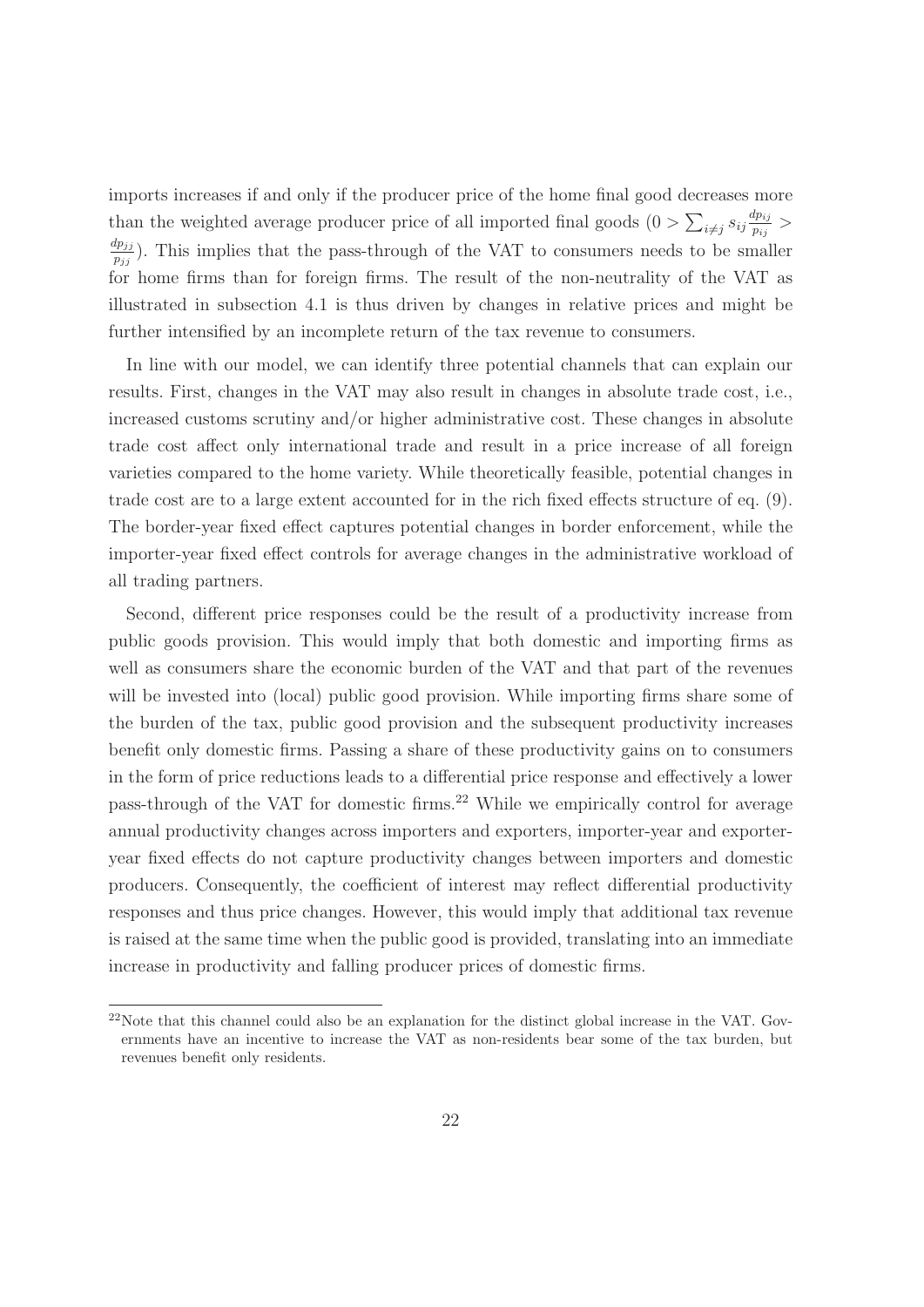imports increases if and only if the producer price of the home final good decreases more than the weighted average producer price of all imported final goods  $(0 > \sum_{i \neq j} s_{ij} \frac{dp_{ij}}{p_{ij}})$  $\frac{np_{ij}}{p_{ij}} >$  $\frac{dp_{jj}}{p_{jj}}$ ). This implies that the pass-through of the VAT to consumers needs to be smaller for home firms than for foreign firms. The result of the non-neutrality of the VAT as illustrated in subsection 4.1 is thus driven by changes in relative prices and might be further intensified by an incomplete return of the tax revenue to consumers.

In line with our model, we can identify three potential channels that can explain our results. First, changes in the VAT may also result in changes in absolute trade cost, i.e., increased customs scrutiny and/or higher administrative cost. These changes in absolute trade cost affect only international trade and result in a price increase of all foreign varieties compared to the home variety. While theoretically feasible, potential changes in trade cost are to a large extent accounted for in the rich fixed effects structure of eq. (9). The border-year fixed effect captures potential changes in border enforcement, while the importer-year fixed effect controls for average changes in the administrative workload of all trading partners.

Second, different price responses could be the result of a productivity increase from public goods provision. This would imply that both domestic and importing firms as well as consumers share the economic burden of the VAT and that part of the revenues will be invested into (local) public good provision. While importing firms share some of the burden of the tax, public good provision and the subsequent productivity increases benefit only domestic firms. Passing a share of these productivity gains on to consumers in the form of price reductions leads to a differential price response and effectively a lower pass-through of the VAT for domestic firms.<sup>22</sup> While we empirically control for average annual productivity changes across importers and exporters, importer-year and exporteryear fixed effects do not capture productivity changes between importers and domestic producers. Consequently, the coefficient of interest may reflect differential productivity responses and thus price changes. However, this would imply that additional tax revenue is raised at the same time when the public good is provided, translating into an immediate increase in productivity and falling producer prices of domestic firms.

<sup>22</sup>Note that this channel could also be an explanation for the distinct global increase in the VAT. Governments have an incentive to increase the VAT as non-residents bear some of the tax burden, but revenues benefit only residents.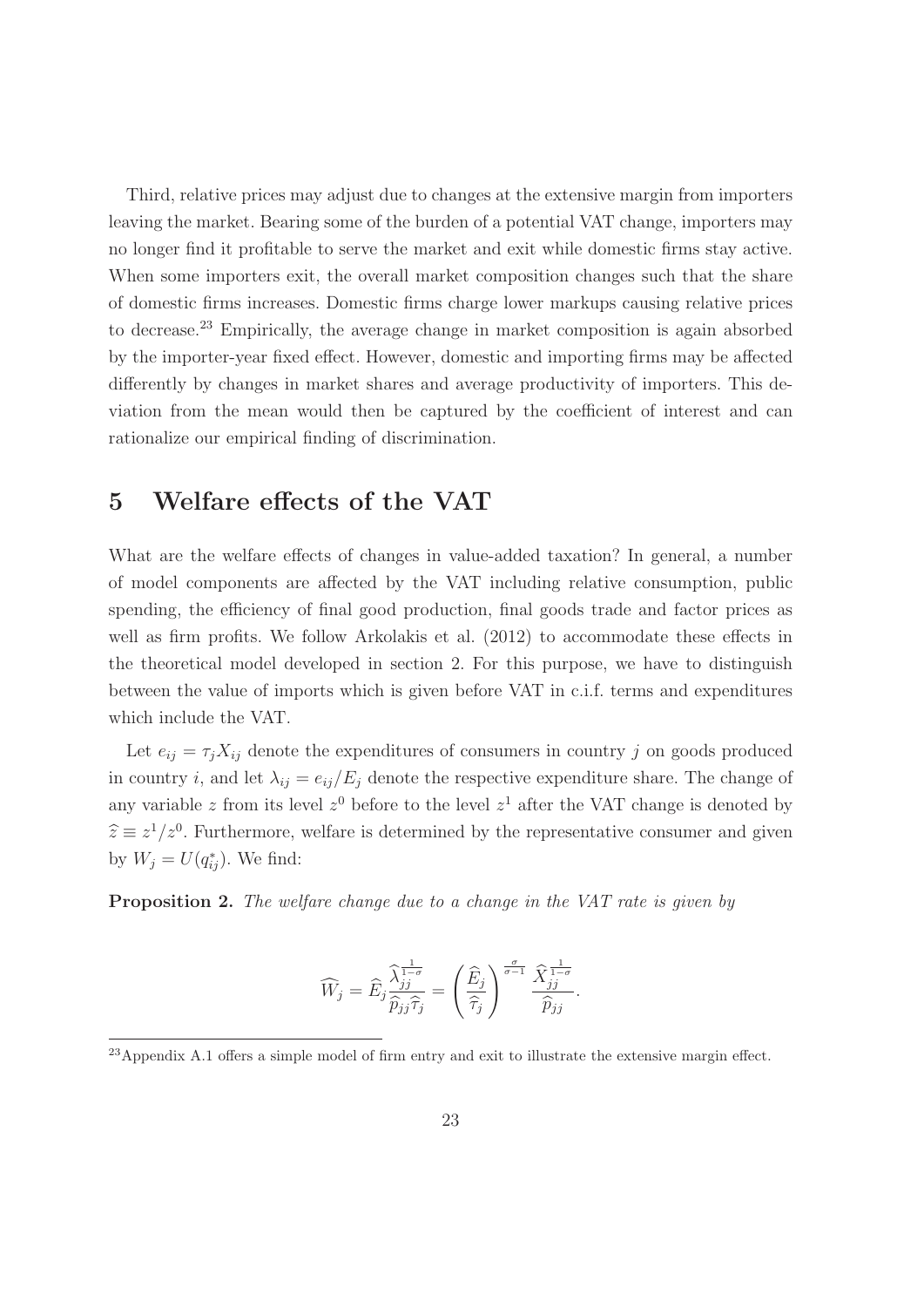Third, relative prices may adjust due to changes at the extensive margin from importers leaving the market. Bearing some of the burden of a potential VAT change, importers may no longer find it profitable to serve the market and exit while domestic firms stay active. When some importers exit, the overall market composition changes such that the share of domestic firms increases. Domestic firms charge lower markups causing relative prices to decrease.<sup>23</sup> Empirically, the average change in market composition is again absorbed by the importer-year fixed effect. However, domestic and importing firms may be affected differently by changes in market shares and average productivity of importers. This deviation from the mean would then be captured by the coefficient of interest and can rationalize our empirical finding of discrimination.

## **5 Welfare effects of the VAT**

What are the welfare effects of changes in value-added taxation? In general, a number of model components are affected by the VAT including relative consumption, public spending, the efficiency of final good production, final goods trade and factor prices as well as firm profits. We follow Arkolakis et al.  $(2012)$  to accommodate these effects in the theoretical model developed in section 2. For this purpose, we have to distinguish between the value of imports which is given before VAT in c.i.f. terms and expenditures which include the VAT.

Let  $e_{ij} = \tau_j X_{ij}$  denote the expenditures of consumers in country j on goods produced in country i, and let  $\lambda_{ij} = e_{ij}/E_j$  denote the respective expenditure share. The change of any variable z from its level  $z<sup>0</sup>$  before to the level  $z<sup>1</sup>$  after the VAT change is denoted by  $\hat{z} \equiv z^1/z^0$ . Furthermore, welfare is determined by the representative consumer and given by  $W_j = U(q_{ij}^*)$ . We find:

**Proposition 2.** The welfare change due to a change in the VAT rate is given by

$$
\widehat{W}_j = \widehat{E}_j \frac{\widehat{\lambda}_{jj}^{\frac{1}{1-\sigma}}}{\widehat{p}_{jj}\widehat{\tau}_j} = \left(\frac{\widehat{E}_j}{\widehat{\tau}_j}\right)^{\frac{\sigma}{\sigma-1}} \frac{\widehat{X}_{jj}^{\frac{1}{1-\sigma}}}{\widehat{p}_{jj}}.
$$

<sup>&</sup>lt;sup>23</sup>Appendix A.1 offers a simple model of firm entry and exit to illustrate the extensive margin effect.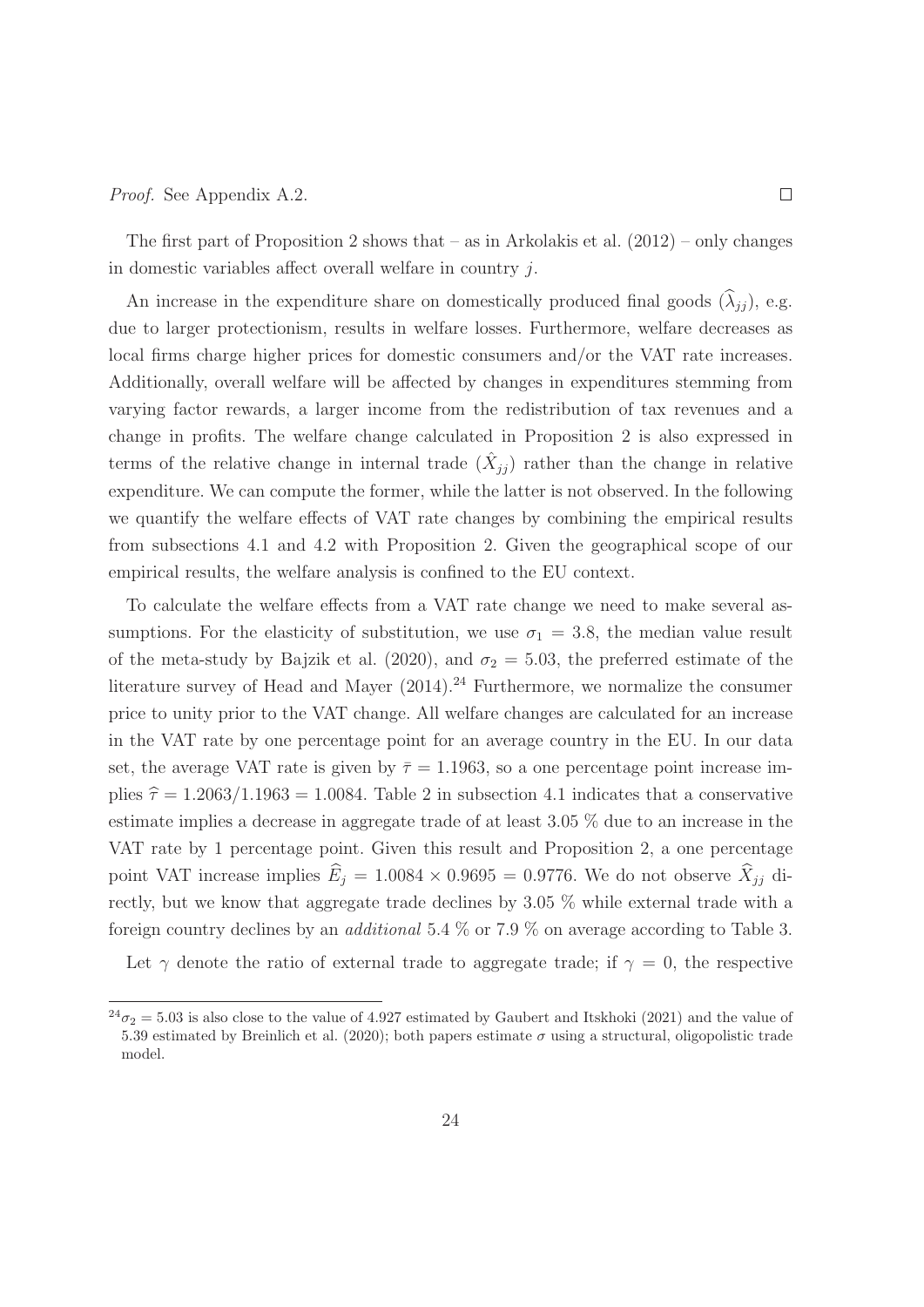#### Proof. See Appendix A.2.

The first part of Proposition 2 shows that  $-$  as in Arkolakis et al. (2012) – only changes in domestic variables affect overall welfare in country j.

An increase in the expenditure share on domestically produced final goods  $(\widehat{\lambda}_{ij})$ , e.g. due to larger protectionism, results in welfare losses. Furthermore, welfare decreases as local firms charge higher prices for domestic consumers and/or the VAT rate increases. Additionally, overall welfare will be affected by changes in expenditures stemming from varying factor rewards, a larger income from the redistribution of tax revenues and a change in profits. The welfare change calculated in Proposition 2 is also expressed in terms of the relative change in internal trade  $(X_{jj})$  rather than the change in relative expenditure. We can compute the former, while the latter is not observed. In the following we quantify the welfare effects of VAT rate changes by combining the empirical results from subsections 4.1 and 4.2 with Proposition 2. Given the geographical scope of our empirical results, the welfare analysis is confined to the EU context.

To calculate the welfare effects from a VAT rate change we need to make several assumptions. For the elasticity of substitution, we use  $\sigma_1 = 3.8$ , the median value result of the meta-study by Bajzik et al. (2020), and  $\sigma_2 = 5.03$ , the preferred estimate of the literature survey of Head and Mayer  $(2014).^{24}$  Furthermore, we normalize the consumer price to unity prior to the VAT change. All welfare changes are calculated for an increase in the VAT rate by one percentage point for an average country in the EU. In our data set, the average VAT rate is given by  $\bar{\tau} = 1.1963$ , so a one percentage point increase implies  $\hat{\tau} = 1.2063/1.1963 = 1.0084$ . Table 2 in subsection 4.1 indicates that a conservative estimate implies a decrease in aggregate trade of at least 3.05 % due to an increase in the VAT rate by 1 percentage point. Given this result and Proposition 2, a one percentage point VAT increase implies  $\widehat{E}_j = 1.0084 \times 0.9695 = 0.9776$ . We do not observe  $\widehat{X}_{jj}$  directly, but we know that aggregate trade declines by 3.05 % while external trade with a foreign country declines by an additional 5.4 % or 7.9 % on average according to Table 3.

Let  $\gamma$  denote the ratio of external trade to aggregate trade; if  $\gamma = 0$ , the respective

 $^{24}\sigma_2 = 5.03$  is also close to the value of 4.927 estimated by Gaubert and Itskhoki (2021) and the value of 5.39 estimated by Breinlich et al. (2020); both papers estimate  $\sigma$  using a structural, oligopolistic trade model.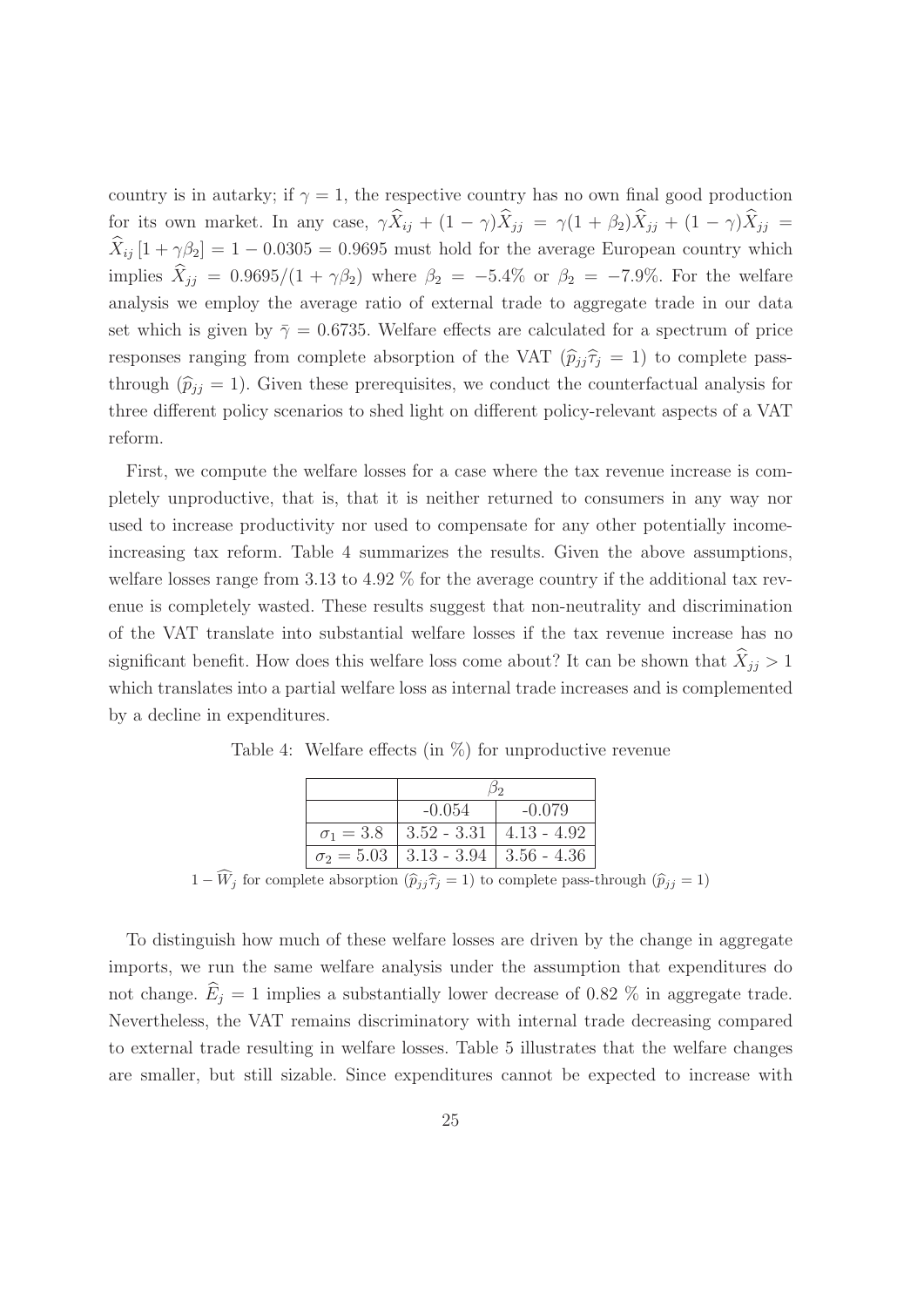country is in autarky; if  $\gamma = 1$ , the respective country has no own final good production for its own market. In any case,  $\gamma \hat{X}_{ij} + (1 - \gamma)\hat{X}_{jj} = \gamma(1 + \beta_2)\hat{X}_{jj} + (1 - \gamma)\hat{X}_{jj} =$  $\widehat{X}_{ij}$  [1 +  $\gamma\beta_2$ ] = 1 – 0.0305 = 0.9695 must hold for the average European country which implies  $\hat{X}_{jj} = 0.9695/(1 + \gamma \beta_2)$  where  $\beta_2 = -5.4\%$  or  $\beta_2 = -7.9\%$ . For the welfare analysis we employ the average ratio of external trade to aggregate trade in our data set which is given by  $\bar{\gamma} = 0.6735$ . Welfare effects are calculated for a spectrum of price responses ranging from complete absorption of the VAT  $(\hat{p}_{jj} \hat{\tau}_j = 1)$  to complete passthrough  $(\hat{p}_{jj} = 1)$ . Given these prerequisites, we conduct the counterfactual analysis for three different policy scenarios to shed light on different policy-relevant aspects of a VAT reform.

First, we compute the welfare losses for a case where the tax revenue increase is completely unproductive, that is, that it is neither returned to consumers in any way nor used to increase productivity nor used to compensate for any other potentially incomeincreasing tax reform. Table 4 summarizes the results. Given the above assumptions, welfare losses range from 3.13 to 4.92 % for the average country if the additional tax revenue is completely wasted. These results suggest that non-neutrality and discrimination of the VAT translate into substantial welfare losses if the tax revenue increase has no significant benefit. How does this welfare loss come about? It can be shown that  $\hat{X}_{jj} > 1$ which translates into a partial welfare loss as internal trade increases and is complemented by a decline in expenditures.

|                  | $-0.054$                                      | $-0.079$ |
|------------------|-----------------------------------------------|----------|
| $\sigma_1 = 3.8$ | $3.52 - 3.31$   4.13 - 4.92                   |          |
|                  | $\sigma_2 = 5.03$   3.13 - 3.94   3.56 - 4.36 |          |

Table 4: Welfare effects (in %) for unproductive revenue

 $1 - W_j$  for complete absorption  $(\hat{p}_{jj} \hat{\tau}_j = 1)$  to complete pass-through  $(\hat{p}_{jj} = 1)$ 

To distinguish how much of these welfare losses are driven by the change in aggregate imports, we run the same welfare analysis under the assumption that expenditures do not change.  $\widehat{E}_i = 1$  implies a substantially lower decrease of 0.82 % in aggregate trade. Nevertheless, the VAT remains discriminatory with internal trade decreasing compared to external trade resulting in welfare losses. Table 5 illustrates that the welfare changes are smaller, but still sizable. Since expenditures cannot be expected to increase with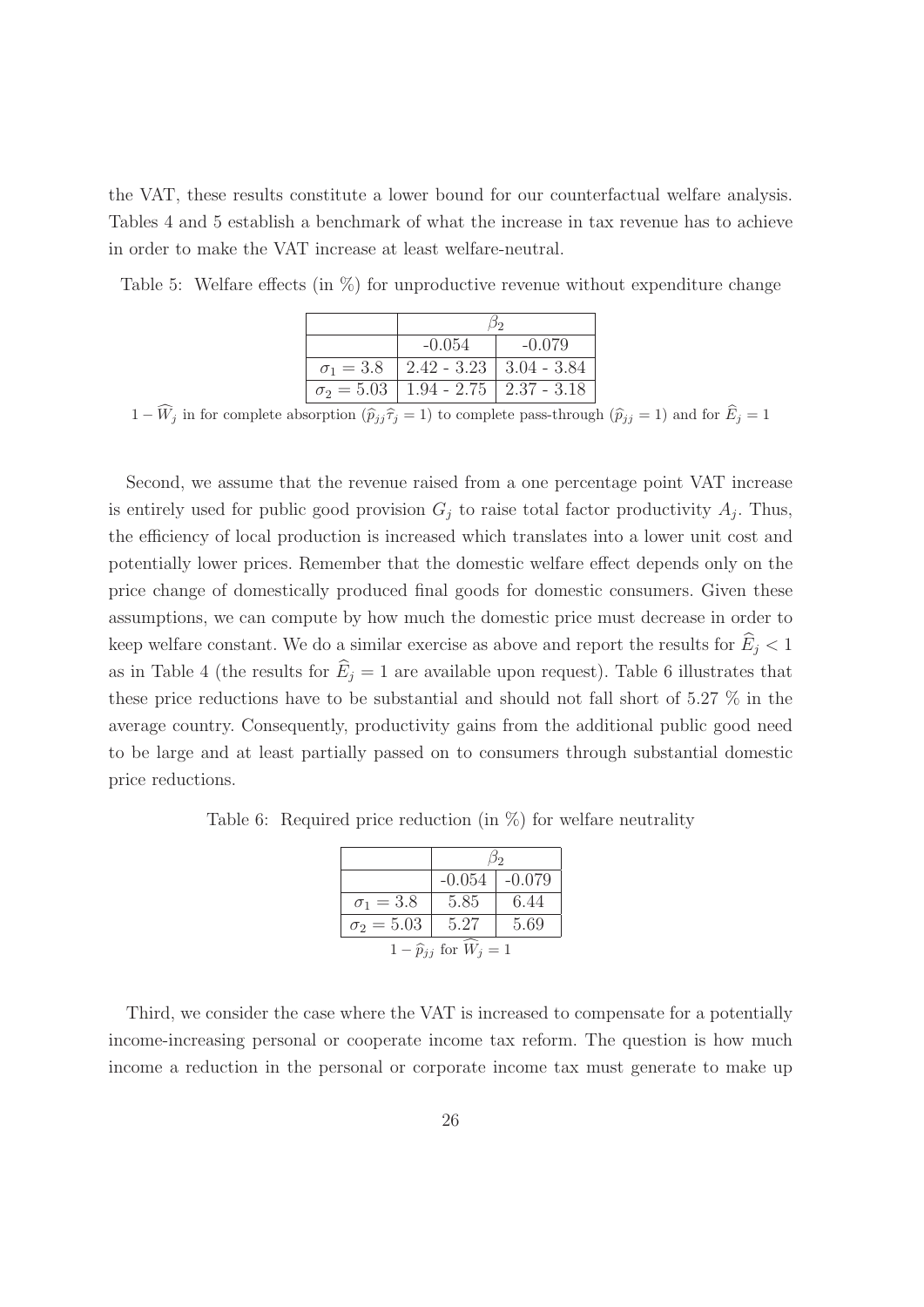the VAT, these results constitute a lower bound for our counterfactual welfare analysis. Tables 4 and 5 establish a benchmark of what the increase in tax revenue has to achieve in order to make the VAT increase at least welfare-neutral.

Table 5: Welfare effects (in  $\%$ ) for unproductive revenue without expenditure change

|                  | $-0.054$                                      | $-0.079$ |
|------------------|-----------------------------------------------|----------|
| $\sigma_1 = 3.8$ | $ 2.42 - 3.23 3.04 - 3.84$                    |          |
|                  | $\sigma_2 = 5.03$   1.94 - 2.75   2.37 - 3.18 |          |

 $1 - W_j$  in for complete absorption  $(\widehat{p}_{jj} \widehat{\tau}_j = 1)$  to complete pass-through  $(\widehat{p}_{jj} = 1)$  and for  $E_j = 1$ 

Second, we assume that the revenue raised from a one percentage point VAT increase is entirely used for public good provision  $G_j$  to raise total factor productivity  $A_j$ . Thus, the efficiency of local production is increased which translates into a lower unit cost and potentially lower prices. Remember that the domestic welfare effect depends only on the price change of domestically produced final goods for domestic consumers. Given these assumptions, we can compute by how much the domestic price must decrease in order to keep welfare constant. We do a similar exercise as above and report the results for  $\widehat{E}_j < 1$ as in Table 4 (the results for  $\hat{E}_i = 1$  are available upon request). Table 6 illustrates that these price reductions have to be substantial and should not fall short of 5.27 % in the average country. Consequently, productivity gains from the additional public good need to be large and at least partially passed on to consumers through substantial domestic price reductions.

Table 6: Required price reduction (in %) for welfare neutrality

|                                  | $-0.054$ | $-0.079$ |
|----------------------------------|----------|----------|
| $\sigma_1 = 3.8$                 | 5.85     | 6.44     |
| $\sigma_2 = 5.03$                | 5.27     | 5.69     |
| $1-\widehat{p}_{ij}$ for $W_j=1$ |          |          |

Third, we consider the case where the VAT is increased to compensate for a potentially income-increasing personal or cooperate income tax reform. The question is how much income a reduction in the personal or corporate income tax must generate to make up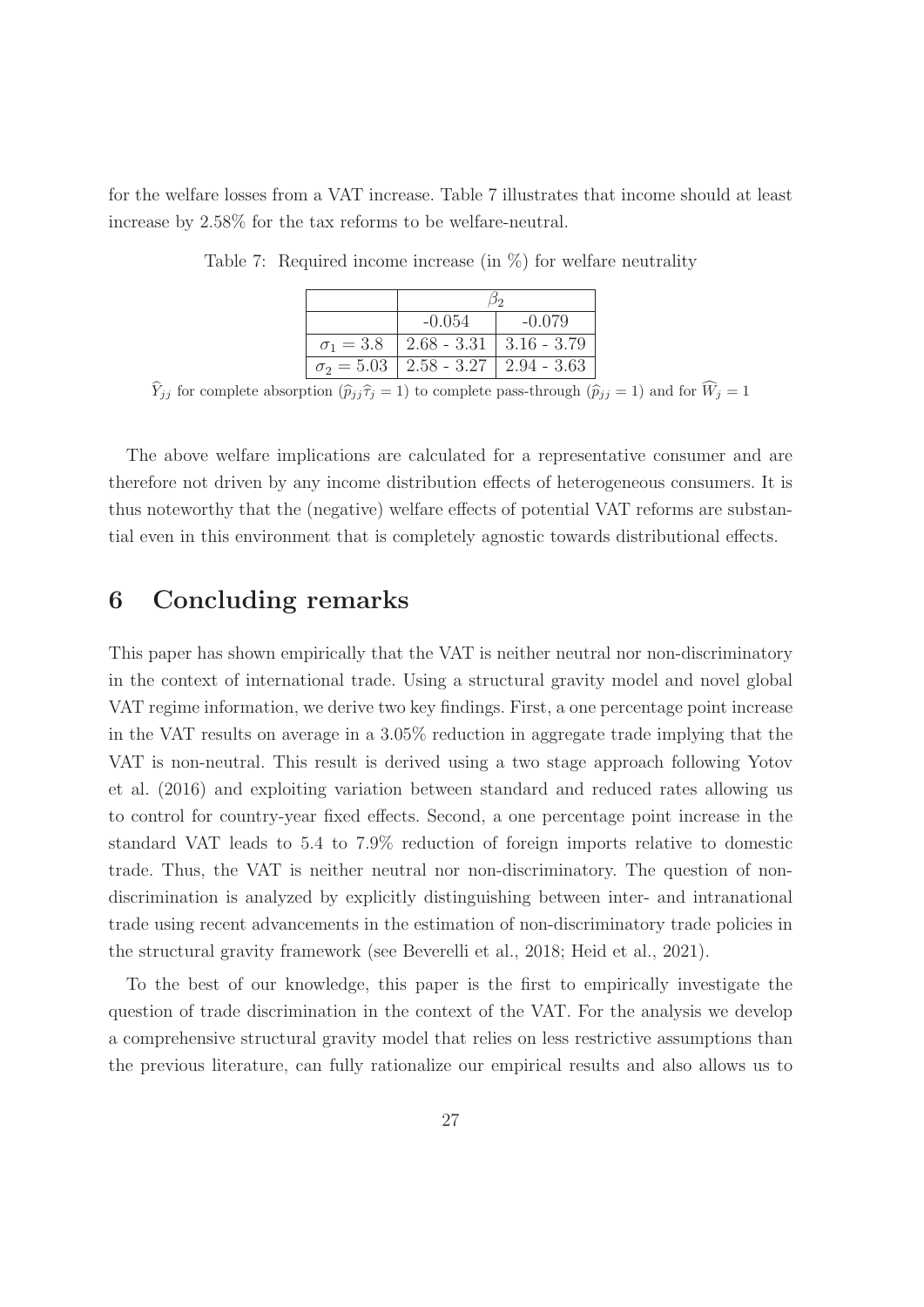for the welfare losses from a VAT increase. Table 7 illustrates that income should at least increase by 2.58% for the tax reforms to be welfare-neutral.

| $-0.054$                                      | $-0.079$ |
|-----------------------------------------------|----------|
| $\sigma_1 = 3.8$   2.68 - 3.31   3.16 - 3.79  |          |
| $\sigma_2 = 5.03$   2.58 - 3.27   2.94 - 3.63 |          |

Table 7: Required income increase (in  $\%$ ) for welfare neutrality

 $Y_{jj}$  for complete absorption  $(\widehat{p}_{jj} \widehat{\tau}_j = 1)$  to complete pass-through  $(\widehat{p}_{jj} = 1)$  and for  $W_j = 1$ 

The above welfare implications are calculated for a representative consumer and are therefore not driven by any income distribution effects of heterogeneous consumers. It is thus noteworthy that the (negative) welfare effects of potential VAT reforms are substantial even in this environment that is completely agnostic towards distributional effects.

## **6 Concluding remarks**

This paper has shown empirically that the VAT is neither neutral nor non-discriminatory in the context of international trade. Using a structural gravity model and novel global VAT regime information, we derive two key findings. First, a one percentage point increase in the VAT results on average in a 3.05% reduction in aggregate trade implying that the VAT is non-neutral. This result is derived using a two stage approach following Yotov et al. (2016) and exploiting variation between standard and reduced rates allowing us to control for country-year fixed effects. Second, a one percentage point increase in the standard VAT leads to 5.4 to 7.9% reduction of foreign imports relative to domestic trade. Thus, the VAT is neither neutral nor non-discriminatory. The question of nondiscrimination is analyzed by explicitly distinguishing between inter- and intranational trade using recent advancements in the estimation of non-discriminatory trade policies in the structural gravity framework (see Beverelli et al., 2018; Heid et al., 2021).

To the best of our knowledge, this paper is the first to empirically investigate the question of trade discrimination in the context of the VAT. For the analysis we develop a comprehensive structural gravity model that relies on less restrictive assumptions than the previous literature, can fully rationalize our empirical results and also allows us to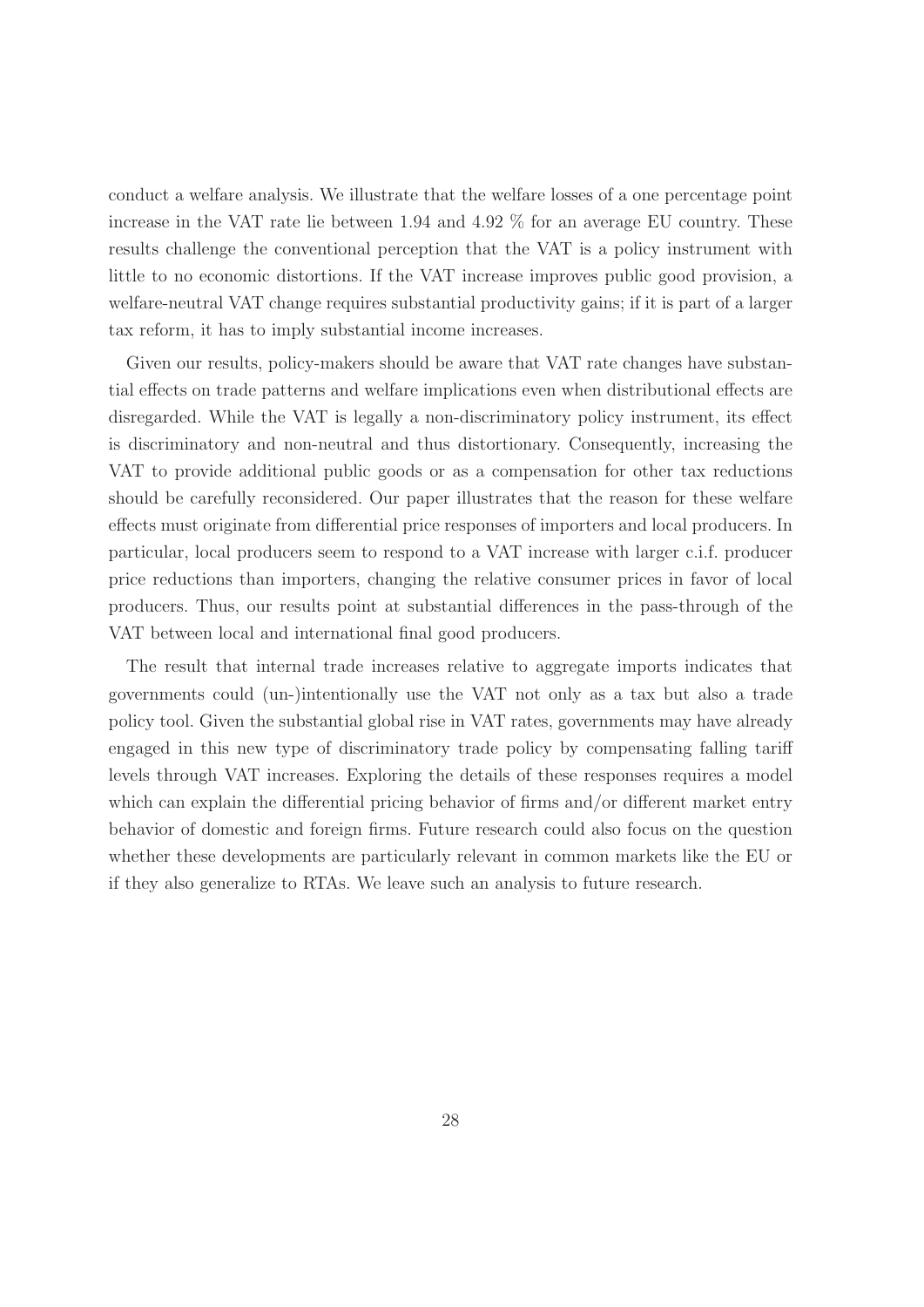conduct a welfare analysis. We illustrate that the welfare losses of a one percentage point increase in the VAT rate lie between 1.94 and 4.92 % for an average EU country. These results challenge the conventional perception that the VAT is a policy instrument with little to no economic distortions. If the VAT increase improves public good provision, a welfare-neutral VAT change requires substantial productivity gains; if it is part of a larger tax reform, it has to imply substantial income increases.

Given our results, policy-makers should be aware that VAT rate changes have substantial effects on trade patterns and welfare implications even when distributional effects are disregarded. While the VAT is legally a non-discriminatory policy instrument, its effect is discriminatory and non-neutral and thus distortionary. Consequently, increasing the VAT to provide additional public goods or as a compensation for other tax reductions should be carefully reconsidered. Our paper illustrates that the reason for these welfare effects must originate from differential price responses of importers and local producers. In particular, local producers seem to respond to a VAT increase with larger c.i.f. producer price reductions than importers, changing the relative consumer prices in favor of local producers. Thus, our results point at substantial differences in the pass-through of the VAT between local and international final good producers.

The result that internal trade increases relative to aggregate imports indicates that governments could (un-)intentionally use the VAT not only as a tax but also a trade policy tool. Given the substantial global rise in VAT rates, governments may have already engaged in this new type of discriminatory trade policy by compensating falling tariff levels through VAT increases. Exploring the details of these responses requires a model which can explain the differential pricing behavior of firms and/or different market entry behavior of domestic and foreign firms. Future research could also focus on the question whether these developments are particularly relevant in common markets like the EU or if they also generalize to RTAs. We leave such an analysis to future research.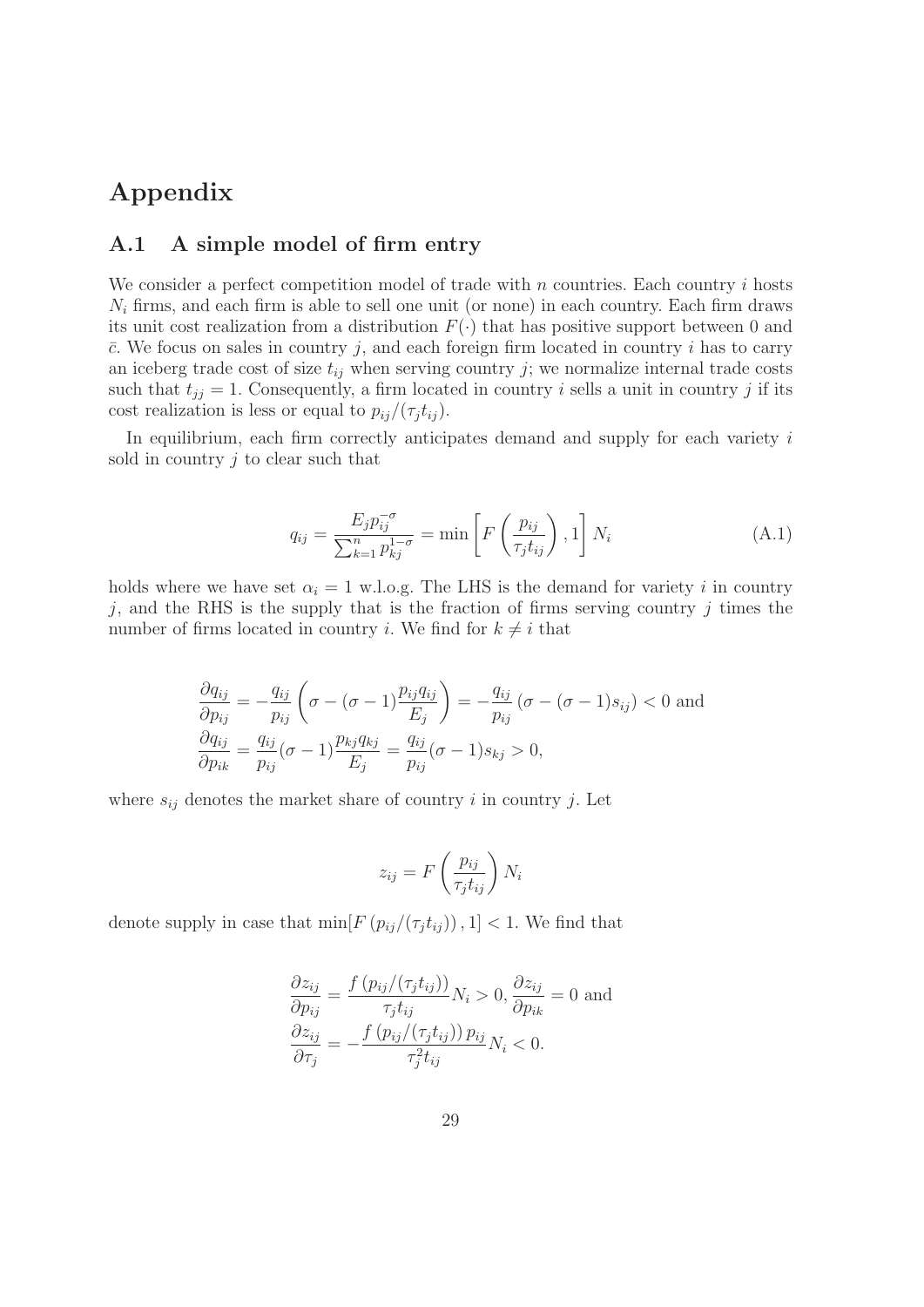## **Appendix**

#### **A.1 A simple model of firm entry**

We consider a perfect competition model of trade with  $n$  countries. Each country  $i$  hosts  $N_i$  firms, and each firm is able to sell one unit (or none) in each country. Each firm draws its unit cost realization from a distribution  $F(\cdot)$  that has positive support between 0 and  $\bar{c}$ . We focus on sales in country j, and each foreign firm located in country i has to carry an iceberg trade cost of size  $t_{ij}$  when serving country j; we normalize internal trade costs such that  $t_{jj} = 1$ . Consequently, a firm located in country i sells a unit in country j if its cost realization is less or equal to  $p_{ij}/(\tau_j t_{ij})$ .

In equilibrium, each firm correctly anticipates demand and supply for each variety  $i$ sold in country  $j$  to clear such that

$$
q_{ij} = \frac{E_j p_{ij}^{-\sigma}}{\sum_{k=1}^n p_{kj}^{1-\sigma}} = \min\left[F\left(\frac{p_{ij}}{\tau_j t_{ij}}\right), 1\right] N_i \tag{A.1}
$$

holds where we have set  $\alpha_i = 1$  w.l.o.g. The LHS is the demand for variety i in country  $j$ , and the RHS is the supply that is the fraction of firms serving country  $j$  times the number of firms located in country i. We find for  $k \neq i$  that

$$
\frac{\partial q_{ij}}{\partial p_{ij}} = -\frac{q_{ij}}{p_{ij}} \left( \sigma - (\sigma - 1) \frac{p_{ij} q_{ij}}{E_j} \right) = -\frac{q_{ij}}{p_{ij}} \left( \sigma - (\sigma - 1) s_{ij} \right) < 0 \text{ and}
$$

$$
\frac{\partial q_{ij}}{\partial p_{ik}} = \frac{q_{ij}}{p_{ij}} (\sigma - 1) \frac{p_{kj} q_{kj}}{E_j} = \frac{q_{ij}}{p_{ij}} (\sigma - 1) s_{kj} > 0,
$$

where  $s_{ij}$  denotes the market share of country i in country j. Let

$$
z_{ij} = F\left(\frac{p_{ij}}{\tau_j t_{ij}}\right) N_i
$$

denote supply in case that  $\min[F(p_{ij}/(\tau_j t_{ij}))]$ , 1 < 1. We find that

$$
\frac{\partial z_{ij}}{\partial p_{ij}} = \frac{f(p_{ij}/(\tau_j t_{ij}))}{\tau_j t_{ij}} N_i > 0, \frac{\partial z_{ij}}{\partial p_{ik}} = 0 \text{ and}
$$

$$
\frac{\partial z_{ij}}{\partial \tau_j} = -\frac{f(p_{ij}/(\tau_j t_{ij})) p_{ij}}{\tau_j^2 t_{ij}} N_i < 0.
$$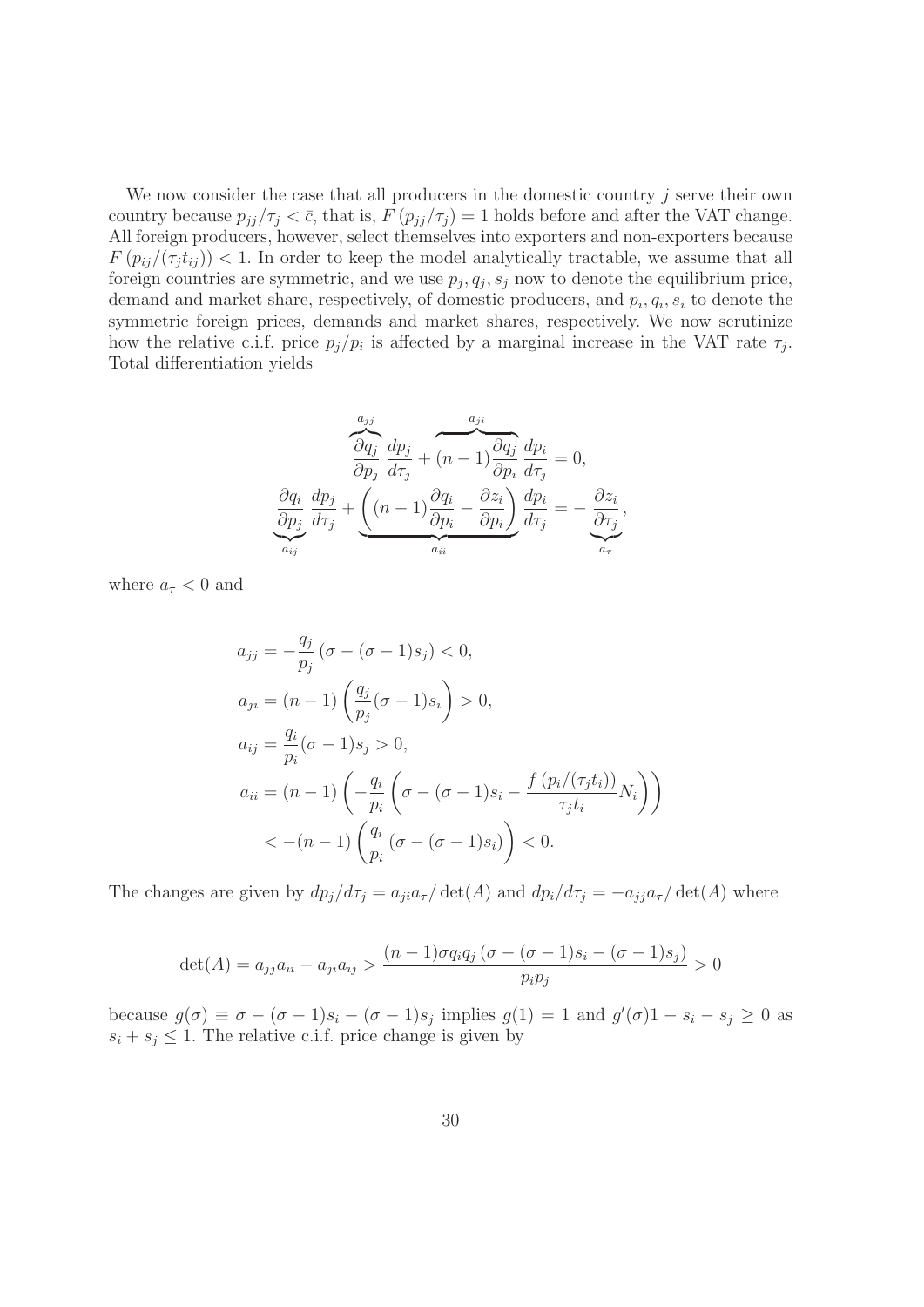We now consider the case that all producers in the domestic country  $j$  serve their own country because  $p_{jj}/\tau_j < \bar{c}$ , that is,  $F(p_{jj}/\tau_j) = 1$  holds before and after the VAT change. All foreign producers, however, select themselves into exporters and non-exporters because  $F(p_{ij}/(\tau_j t_{ij}))$  < 1. In order to keep the model analytically tractable, we assume that all foreign countries are symmetric, and we use  $p_i, q_i, s_i$  now to denote the equilibrium price, demand and market share, respectively, of domestic producers, and  $p_i, q_i, s_i$  to denote the symmetric foreign prices, demands and market shares, respectively. We now scrutinize how the relative c.i.f. price  $p_j/p_i$  is affected by a marginal increase in the VAT rate  $\tau_j$ . Total differentiation yields

$$
\underbrace{\frac{\partial q_j}{\partial p_j} \frac{dp_j}{d\tau_j}}_{a_{ij}} + \underbrace{(n-1)\frac{\partial q_j}{\partial p_i} \frac{dp_i}{d\tau_j}}_{a_{ij}} = 0,
$$
\n
$$
\underbrace{\frac{\partial q_i}{\partial p_j} \frac{dp_j}{d\tau_j}}_{a_{ij}} + \underbrace{\left((n-1)\frac{\partial q_i}{\partial p_i} - \frac{\partial z_i}{\partial p_i}\right)}_{a_{ii}} \underbrace{\frac{dp_i}{d\tau_j}}_{a_{\tau}} = -\underbrace{\frac{\partial z_i}{\partial \tau_j}}_{a_{\tau}}
$$

,

where  $a_{\tau}$  < 0 and

$$
a_{jj} = -\frac{q_j}{p_j} (\sigma - (\sigma - 1)s_j) < 0,
$$
\n
$$
a_{ji} = (n - 1) \left( \frac{q_j}{p_j} (\sigma - 1)s_i \right) > 0,
$$
\n
$$
a_{ij} = \frac{q_i}{p_i} (\sigma - 1)s_j > 0,
$$
\n
$$
a_{ii} = (n - 1) \left( -\frac{q_i}{p_i} \left( \sigma - (\sigma - 1)s_i - \frac{f (p_i/(\tau_j t_i))}{\tau_j t_i} N_i \right) \right) \\
&< -(n - 1) \left( \frac{q_i}{p_i} (\sigma - (\sigma - 1)s_i) \right) < 0.
$$

The changes are given by  $dp_j/d\tau_j = a_{ji}a_{\tau}/\det(A)$  and  $dp_i/d\tau_j = -a_{ji}a_{\tau}/\det(A)$  where

$$
\det(A) = a_{jj}a_{ii} - a_{ji}a_{ij} > \frac{(n-1)\sigma q_i q_j (\sigma - (\sigma - 1)s_i - (\sigma - 1)s_j)}{p_i p_j} > 0
$$

because  $g(\sigma) \equiv \sigma - (\sigma - 1)s_i - (\sigma - 1)s_j$  implies  $g(1) = 1$  and  $g'(\sigma)1 - s_i - s_j \ge 0$  as  $s_i + s_j \leq 1$ . The relative c.i.f. price change is given by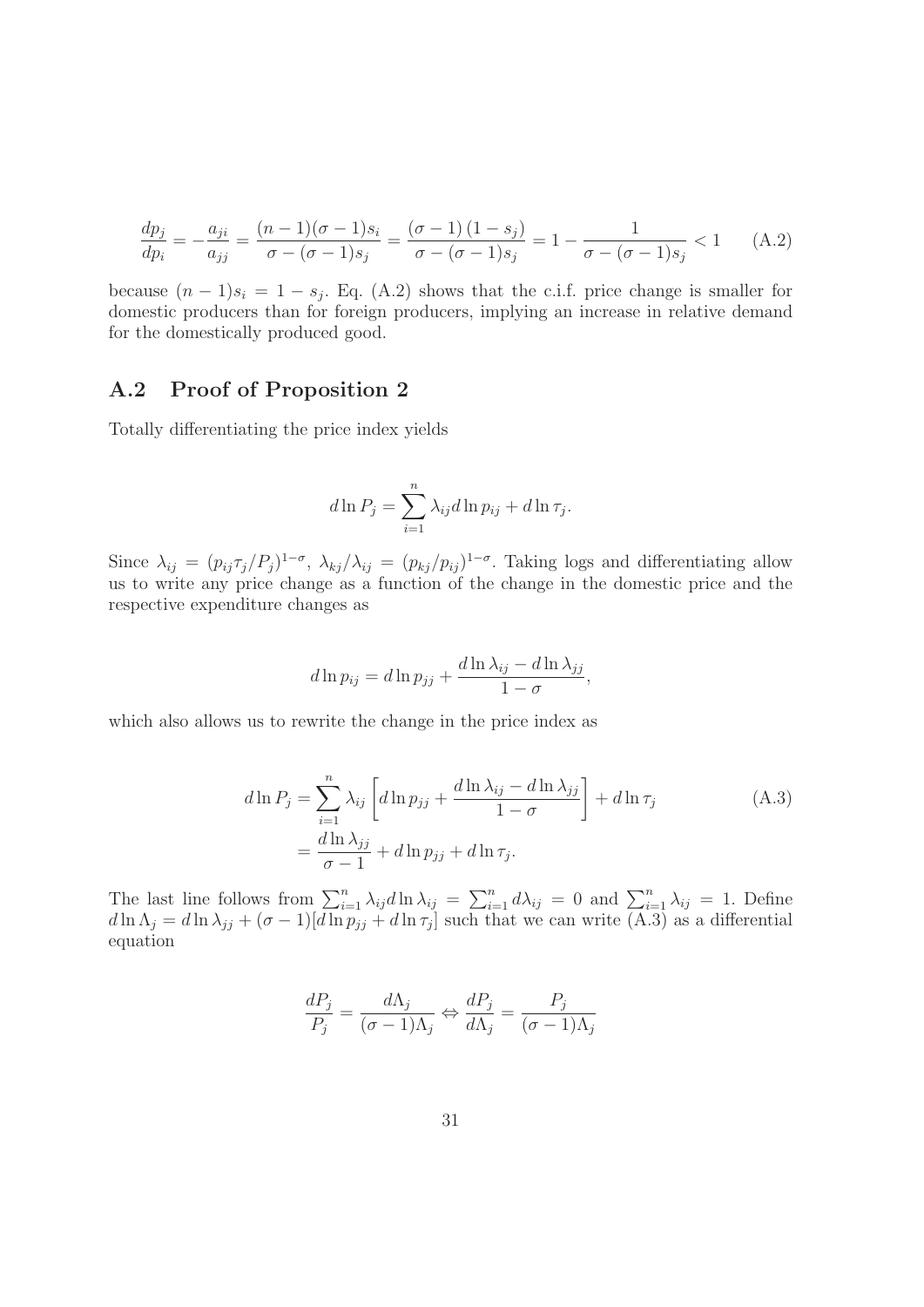$$
\frac{dp_j}{dp_i} = -\frac{a_{ji}}{a_{jj}} = \frac{(n-1)(\sigma - 1)s_i}{\sigma - (\sigma - 1)s_j} = \frac{(\sigma - 1)(1 - s_j)}{\sigma - (\sigma - 1)s_j} = 1 - \frac{1}{\sigma - (\sigma - 1)s_j} < 1 \quad (A.2)
$$

because  $(n-1)s_i = 1 - s_j$ . Eq. (A.2) shows that the c.i.f. price change is smaller for domestic producers than for foreign producers, implying an increase in relative demand for the domestically produced good.

#### **A.2 Proof of Proposition 2**

Totally differentiating the price index yields

$$
d\ln P_j = \sum_{i=1}^n \lambda_{ij} d\ln p_{ij} + d\ln \tau_j.
$$

Since  $\lambda_{ij} = (p_{ij} \tau_j / P_j)^{1-\sigma}$ ,  $\lambda_{kj} / \lambda_{ij} = (p_{kj}/p_{ij})^{1-\sigma}$ . Taking logs and differentiating allow us to write any price change as a function of the change in the domestic price and the respective expenditure changes as

$$
d\ln p_{ij} = d\ln p_{jj} + \frac{d\ln \lambda_{ij} - d\ln \lambda_{jj}}{1 - \sigma},
$$

which also allows us to rewrite the change in the price index as

$$
d\ln P_j = \sum_{i=1}^n \lambda_{ij} \left[ d\ln p_{jj} + \frac{d\ln \lambda_{ij} - d\ln \lambda_{jj}}{1 - \sigma} \right] + d\ln \tau_j
$$
\n
$$
= \frac{d\ln \lambda_{jj}}{\sigma - 1} + d\ln p_{jj} + d\ln \tau_j.
$$
\n(A.3)

The last line follows from  $\sum_{i=1}^{n} \lambda_{ij} d \ln \lambda_{ij} = \sum_{i=1}^{n} d \lambda_{ij} = 0$  and  $\sum_{i=1}^{n} \lambda_{ij} = 1$ . Define  $d \ln \Lambda_j = d \ln \lambda_{jj} + (\sigma - 1)[d \ln p_{jj} + d \ln \tau_j]$  such that we can write (A.3) as a differential equation

$$
\frac{dP_j}{P_j} = \frac{d\Lambda_j}{(\sigma - 1)\Lambda_j} \Leftrightarrow \frac{dP_j}{d\Lambda_j} = \frac{P_j}{(\sigma - 1)\Lambda_j}
$$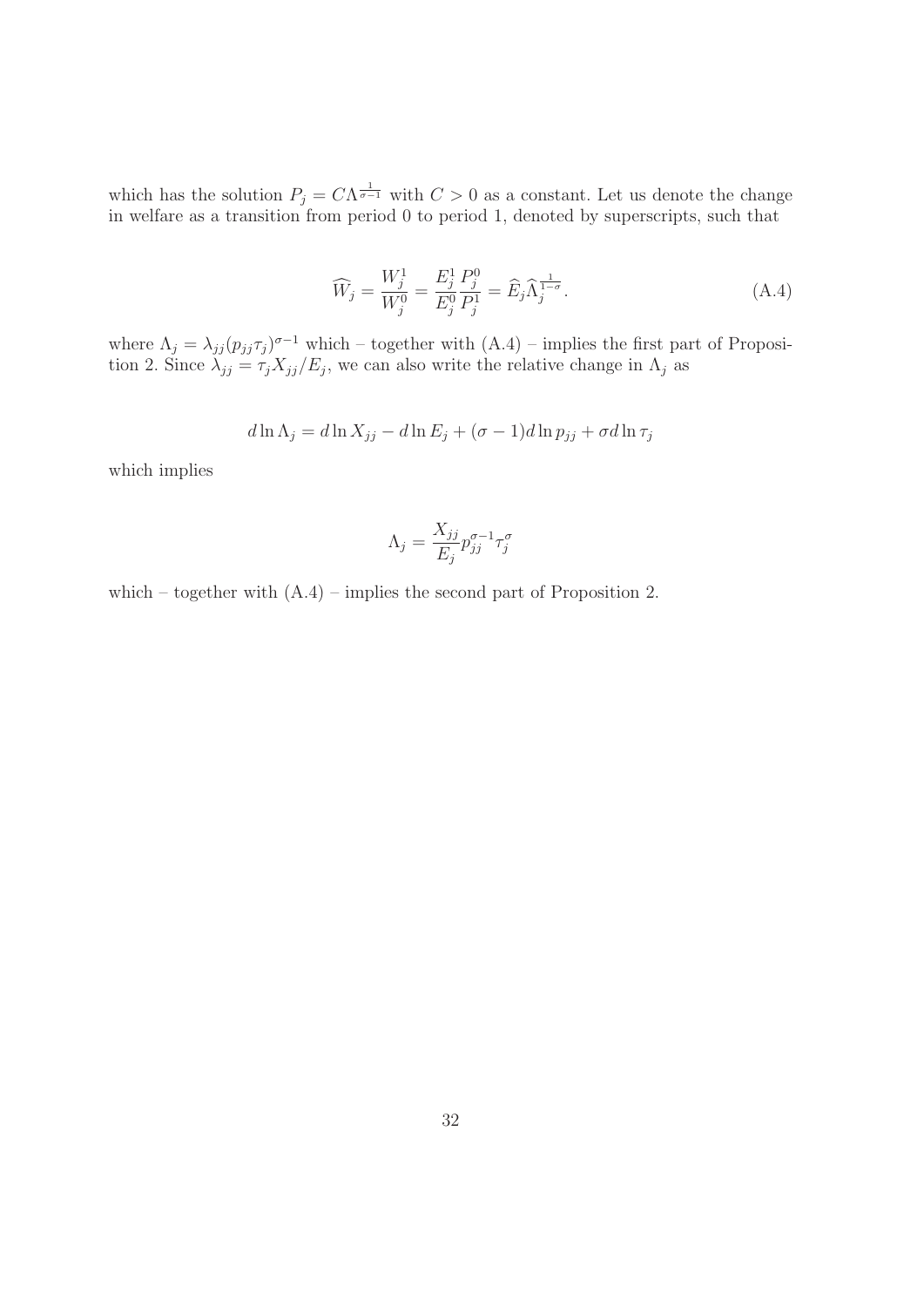which has the solution  $P_i = C \Lambda^{\frac{1}{\sigma-1}}$  with  $C > 0$  as a constant. Let us denote the change in welfare as a transition from period 0 to period 1, denoted by superscripts, such that

$$
\widehat{W}_j = \frac{W_j^1}{W_j^0} = \frac{E_j^1}{E_j^0} \frac{P_j^0}{P_j^1} = \widehat{E}_j \widehat{\Lambda}_j^{\frac{1}{1-\sigma}}.
$$
\n(A.4)

where  $\Lambda_i = \lambda_{ii} (p_{ii} \tau_i)^{\sigma-1}$  which – together with  $(A.4)$  – implies the first part of Proposition 2. Since  $\lambda_{ij} = \tau_j X_{ij}/E_j$ , we can also write the relative change in  $\Lambda_j$  as

$$
d\ln\Lambda_j = d\ln X_{jj} - d\ln E_j + (\sigma - 1)d\ln p_{jj} + \sigma d\ln \tau_j
$$

which implies

$$
\Lambda_j = \frac{X_{jj}}{E_j} p_{jj}^{\sigma - 1} \tau_j^{\sigma}
$$

which – together with  $(A.4)$  – implies the second part of Proposition 2.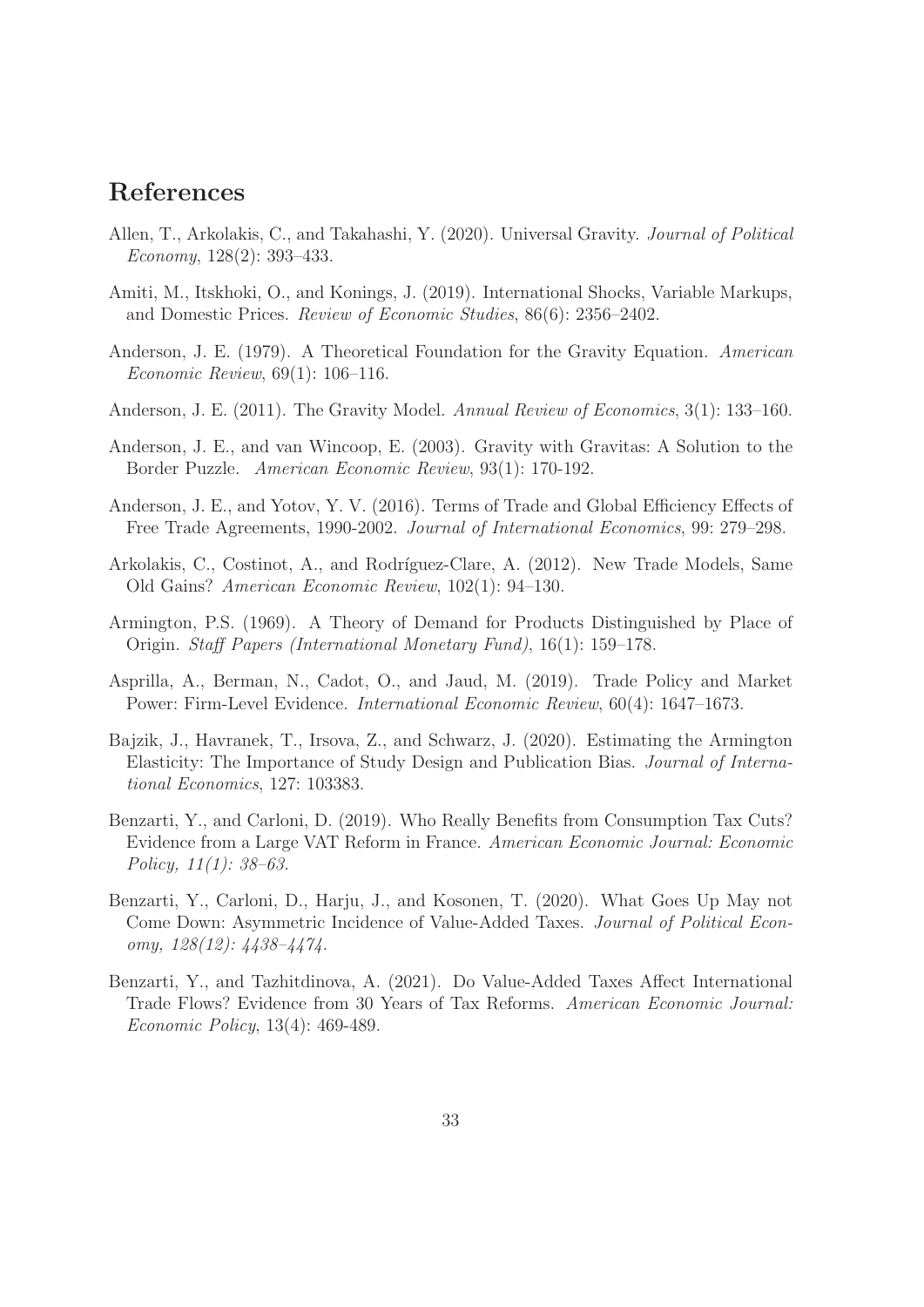## **References**

- Allen, T., Arkolakis, C., and Takahashi, Y. (2020). Universal Gravity. Journal of Political Economy, 128(2): 393–433.
- Amiti, M., Itskhoki, O., and Konings, J. (2019). International Shocks, Variable Markups, and Domestic Prices. Review of Economic Studies, 86(6): 2356–2402.
- Anderson, J. E. (1979). A Theoretical Foundation for the Gravity Equation. American Economic Review, 69(1): 106–116.
- Anderson, J. E. (2011). The Gravity Model. Annual Review of Economics, 3(1): 133–160.
- Anderson, J. E., and van Wincoop, E. (2003). Gravity with Gravitas: A Solution to the Border Puzzle. American Economic Review, 93(1): 170-192.
- Anderson, J. E., and Yotov, Y. V. (2016). Terms of Trade and Global Efficiency Effects of Free Trade Agreements, 1990-2002. Journal of International Economics, 99: 279–298.
- Arkolakis, C., Costinot, A., and Rodríguez-Clare, A. (2012). New Trade Models, Same Old Gains? American Economic Review, 102(1): 94–130.
- Armington, P.S. (1969). A Theory of Demand for Products Distinguished by Place of Origin. Staff Papers (International Monetary Fund), 16(1): 159–178.
- Asprilla, A., Berman, N., Cadot, O., and Jaud, M. (2019). Trade Policy and Market Power: Firm-Level Evidence. International Economic Review, 60(4): 1647–1673.
- Bajzik, J., Havranek, T., Irsova, Z., and Schwarz, J. (2020). Estimating the Armington Elasticity: The Importance of Study Design and Publication Bias. Journal of International Economics, 127: 103383.
- Benzarti, Y., and Carloni, D. (2019). Who Really Benefits from Consumption Tax Cuts? Evidence from a Large VAT Reform in France. American Economic Journal: Economic Policy, 11(1): 38–63.
- Benzarti, Y., Carloni, D., Harju, J., and Kosonen, T. (2020). What Goes Up May not Come Down: Asymmetric Incidence of Value-Added Taxes. Journal of Political Economy, 128(12): 4438–4474.
- Benzarti, Y., and Tazhitdinova, A. (2021). Do Value-Added Taxes Affect International Trade Flows? Evidence from 30 Years of Tax Reforms. American Economic Journal: Economic Policy, 13(4): 469-489.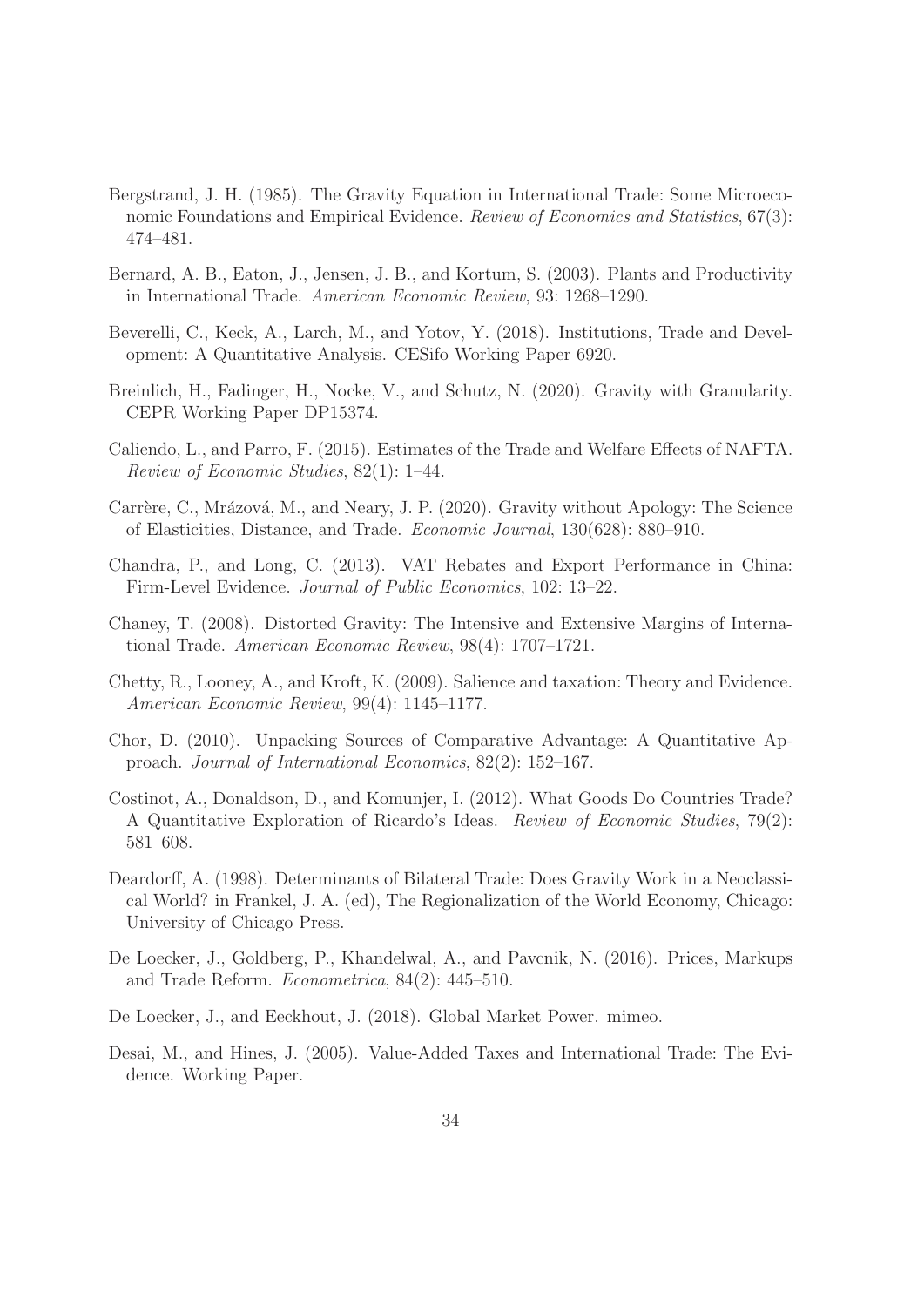- Bergstrand, J. H. (1985). The Gravity Equation in International Trade: Some Microeconomic Foundations and Empirical Evidence. Review of Economics and Statistics, 67(3): 474–481.
- Bernard, A. B., Eaton, J., Jensen, J. B., and Kortum, S. (2003). Plants and Productivity in International Trade. American Economic Review, 93: 1268–1290.
- Beverelli, C., Keck, A., Larch, M., and Yotov, Y. (2018). Institutions, Trade and Development: A Quantitative Analysis. CESifo Working Paper 6920.
- Breinlich, H., Fadinger, H., Nocke, V., and Schutz, N. (2020). Gravity with Granularity. CEPR Working Paper DP15374.
- Caliendo, L., and Parro, F. (2015). Estimates of the Trade and Welfare Effects of NAFTA. Review of Economic Studies, 82(1): 1–44.
- Carrère, C., Mrázová, M., and Neary, J. P. (2020). Gravity without Apology: The Science of Elasticities, Distance, and Trade. Economic Journal, 130(628): 880–910.
- Chandra, P., and Long, C. (2013). VAT Rebates and Export Performance in China: Firm-Level Evidence. Journal of Public Economics, 102: 13–22.
- Chaney, T. (2008). Distorted Gravity: The Intensive and Extensive Margins of International Trade. American Economic Review, 98(4): 1707–1721.
- Chetty, R., Looney, A., and Kroft, K. (2009). Salience and taxation: Theory and Evidence. American Economic Review, 99(4): 1145–1177.
- Chor, D. (2010). Unpacking Sources of Comparative Advantage: A Quantitative Approach. Journal of International Economics, 82(2): 152–167.
- Costinot, A., Donaldson, D., and Komunjer, I. (2012). What Goods Do Countries Trade? A Quantitative Exploration of Ricardo's Ideas. Review of Economic Studies, 79(2): 581–608.
- Deardorff, A. (1998). Determinants of Bilateral Trade: Does Gravity Work in a Neoclassical World? in Frankel, J. A. (ed), The Regionalization of the World Economy, Chicago: University of Chicago Press.
- De Loecker, J., Goldberg, P., Khandelwal, A., and Pavcnik, N. (2016). Prices, Markups and Trade Reform. Econometrica, 84(2): 445–510.
- De Loecker, J., and Eeckhout, J. (2018). Global Market Power. mimeo.
- Desai, M., and Hines, J. (2005). Value-Added Taxes and International Trade: The Evidence. Working Paper.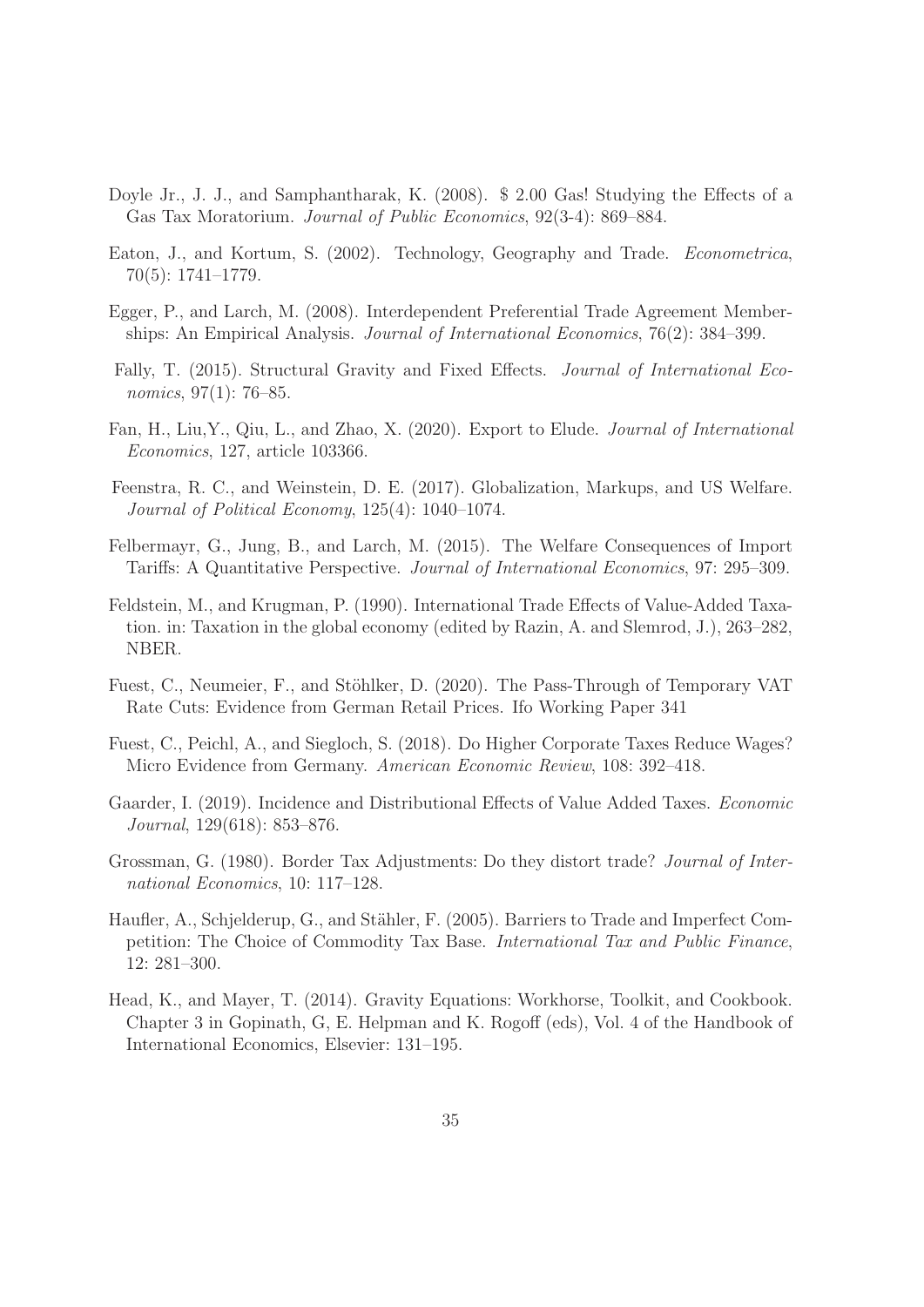- Doyle Jr., J. J., and Samphantharak, K. (2008). \$ 2.00 Gas! Studying the Effects of a Gas Tax Moratorium. Journal of Public Economics, 92(3-4): 869–884.
- Eaton, J., and Kortum, S. (2002). Technology, Geography and Trade. Econometrica, 70(5): 1741–1779.
- Egger, P., and Larch, M. (2008). Interdependent Preferential Trade Agreement Memberships: An Empirical Analysis. Journal of International Economics, 76(2): 384–399.
- Fally, T. (2015). Structural Gravity and Fixed Effects. Journal of International Economics, 97(1): 76–85.
- Fan, H., Liu,Y., Qiu, L., and Zhao, X. (2020). Export to Elude. Journal of International Economics, 127, article 103366.
- Feenstra, R. C., and Weinstein, D. E. (2017). Globalization, Markups, and US Welfare. Journal of Political Economy, 125(4): 1040–1074.
- Felbermayr, G., Jung, B., and Larch, M. (2015). The Welfare Consequences of Import Tariffs: A Quantitative Perspective. Journal of International Economics, 97: 295–309.
- Feldstein, M., and Krugman, P. (1990). International Trade Effects of Value-Added Taxation. in: Taxation in the global economy (edited by Razin, A. and Slemrod, J.), 263–282, NBER.
- Fuest, C., Neumeier, F., and Stöhlker, D. (2020). The Pass-Through of Temporary VAT Rate Cuts: Evidence from German Retail Prices. Ifo Working Paper 341
- Fuest, C., Peichl, A., and Siegloch, S. (2018). Do Higher Corporate Taxes Reduce Wages? Micro Evidence from Germany. American Economic Review, 108: 392–418.
- Gaarder, I. (2019). Incidence and Distributional Effects of Value Added Taxes. Economic Journal, 129(618): 853–876.
- Grossman, G. (1980). Border Tax Adjustments: Do they distort trade? Journal of International Economics, 10: 117–128.
- Haufler, A., Schjelderup, G., and Stähler, F. (2005). Barriers to Trade and Imperfect Competition: The Choice of Commodity Tax Base. International Tax and Public Finance, 12: 281–300.
- Head, K., and Mayer, T. (2014). Gravity Equations: Workhorse, Toolkit, and Cookbook. Chapter 3 in Gopinath, G, E. Helpman and K. Rogoff (eds), Vol. 4 of the Handbook of International Economics, Elsevier: 131–195.